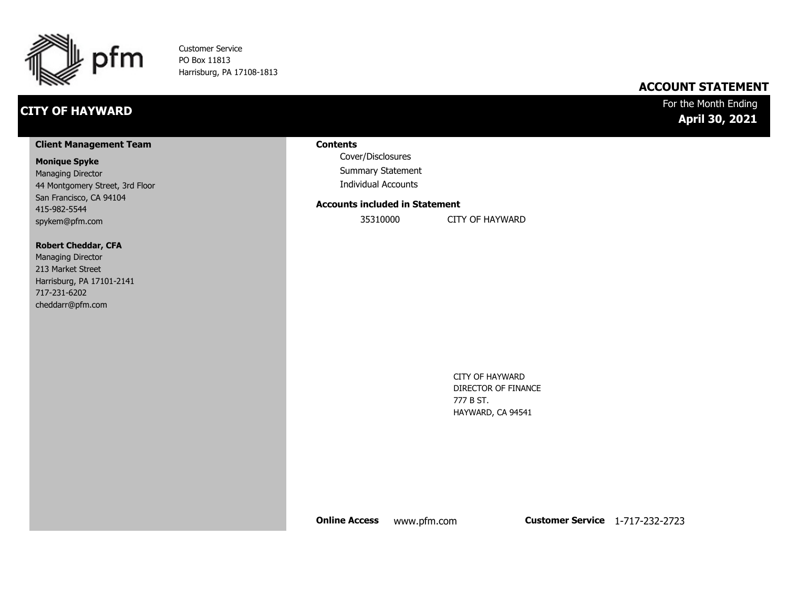

Customer Service PO Box 11813 Harrisburg, PA 17108-1813

## **CITY OF HAYWARD**

### **ACCOUNT STATEMENT**

### For the Month Ending **April 30, 2021**

#### **Client Management Team**

#### **Monique Spyke**

Managing Director 44 Montgomery Street, 3rd Floor San Francisco, CA 94104 415-982-5544 spykem@pfm.com

#### **Robert Cheddar, CFA**

| <b>Managing Director</b>  |
|---------------------------|
| 213 Market Street         |
| Harrisburg, PA 17101-2141 |
| 717-231-6202              |
| cheddarr@pfm.com          |

#### **Contents**

Cover/Disclosures Summary Statement Individual Accounts

#### **Accounts included in Statement**

35310000 CITY OF HAYWARD

CITY OF HAYWARD DIRECTOR OF FINANCE 777 B ST. HAYWARD, CA 94541

**Online Access** www.pfm.com **Customer Service** 1-717-232-2723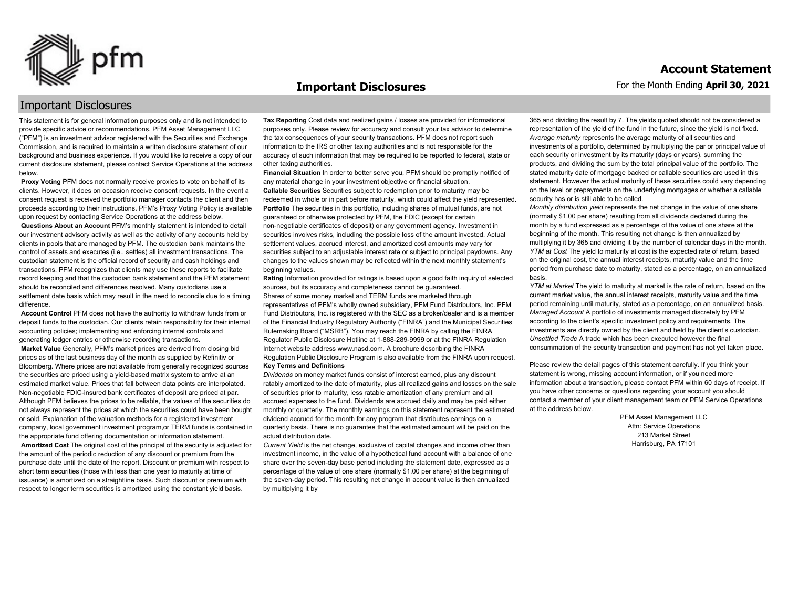

#### **Important Disclosures**

### For the Month Ending **April 30, 2021 Account Statement**

### Important Disclosures

This statement is for general information purposes only and is not intended to provide specific advice or recommendations. PFM Asset Management LLC ("PFM") is an investment advisor registered with the Securities and Exchange Commission, and is required to maintain a written disclosure statement of our background and business experience. If you would like to receive a copy of our current disclosure statement, please contact Service Operations at the address below.

**Proxy Voting** PFM does not normally receive proxies to vote on behalf of its clients. However, it does on occasion receive consent requests. In the event a consent request is received the portfolio manager contacts the client and then proceeds according to their instructions. PFM's Proxy Voting Policy is available upon request by contacting Service Operations at the address below. **Questions About an Account** PFM's monthly statement is intended to detail our investment advisory activity as well as the activity of any accounts held by clients in pools that are managed by PFM. The custodian bank maintains the control of assets and executes (i.e., settles) all investment transactions. The custodian statement is the official record of security and cash holdings and transactions. PFM recognizes that clients may use these reports to facilitate record keeping and that the custodian bank statement and the PFM statement should be reconciled and differences resolved. Many custodians use a settlement date basis which may result in the need to reconcile due to a timing

difference. **Account Control** PFM does not have the authority to withdraw funds from or deposit funds to the custodian. Our clients retain responsibility for their internal accounting policies; implementing and enforcing internal controls and

generating ledger entries or otherwise recording transactions. **Market Value** Generally, PFM's market prices are derived from closing bid prices as of the last business day of the month as supplied by Refinitiv or Bloomberg. Where prices are not available from generally recognized sources the securities are priced using a yield-based matrix system to arrive at an estimated market value. Prices that fall between data points are interpolated. Non-negotiable FDIC-insured bank certificates of deposit are priced at par. Although PFM believes the prices to be reliable, the values of the securities do not always represent the prices at which the securities could have been bought or sold. Explanation of the valuation methods for a registered investment company, local government investment program,or TERM funds is contained in the appropriate fund offering documentation or information statement. **Amortized Cost** The original cost of the principal of the security is adjusted for the amount of the periodic reduction of any discount or premium from the purchase date until the date of the report. Discount or premium with respect to short term securities (those with less than one year to maturity at time of issuance) is amortized on a straightline basis. Such discount or premium with respect to longer term securities is amortized using the constant yield basis.

**Tax Reporting** Cost data and realized gains / losses are provided for informational purposes only. Please review for accuracy and consult your tax advisor to determine the tax consequences of your security transactions. PFM does not report such information to the IRS or other taxing authorities and is not responsible for the accuracy of such information that may be required to be reported to federal, state or other taxing authorities.

**Financial Situation** In order to better serve you, PFM should be promptly notified of any material change in your investment objective or financial situation. **Callable Securities** Securities subject to redemption prior to maturity may be redeemed in whole or in part before maturity, which could affect the yield represented. Portfolio The securities in this portfolio, including shares of mutual funds, are not guaranteed or otherwise protected by PFM, the FDIC (except for certain non-negotiable certificates of deposit) or any government agency. Investment in securities involves risks, including the possible loss of the amount invested. Actual settlement values, accrued interest, and amortized cost amounts may vary for securities subject to an adjustable interest rate or subject to principal paydowns. Any changes to the values shown may be reflected within the next monthly statement's beginning values.

**Rating** Information provided for ratings is based upon a good faith inquiry of selected sources, but its accuracy and completeness cannot be guaranteed. Shares of some money market and TERM funds are marketed through representatives of PFM's wholly owned subsidiary, PFM Fund Distributors, Inc. PFM Fund Distributors, Inc. is registered with the SEC as a broker/dealer and is a member of the Financial Industry Regulatory Authority ("FINRA") and the Municipal Securities Rulemaking Board ("MSRB"). You may reach the FINRA by calling the FINRA Regulator Public Disclosure Hotline at 1-888-289-9999 or at the FINRA Regulation Internet website address www.nasd.com. A brochure describing the FINRA Regulation Public Disclosure Program is also available from the FINRA upon request. **Key Terms and Definitions**

*Dividends* on money market funds consist of interest earned, plus any discount ratably amortized to the date of maturity, plus all realized gains and losses on the sale of securities prior to maturity, less ratable amortization of any premium and all accrued expenses to the fund. Dividends are accrued daily and may be paid either monthly or quarterly. The monthly earnings on this statement represent the estimated dividend accrued for the month for any program that distributes earnings on a quarterly basis. There is no guarantee that the estimated amount will be paid on the actual distribution date.

*Current Yield* is the net change, exclusive of capital changes and income other than investment income, in the value of a hypothetical fund account with a balance of one share over the seven-day base period including the statement date, expressed as a percentage of the value of one share (normally \$1.00 per share) at the beginning of the seven-day period. This resulting net change in account value is then annualized by multiplying it by

365 and dividing the result by 7. The yields quoted should not be considered a representation of the yield of the fund in the future, since the yield is not fixed. *Average maturity* represents the average maturity of all securities and investments of a portfolio, determined by multiplying the par or principal value of each security or investment by its maturity (days or years), summing the products, and dividing the sum by the total principal value of the portfolio. The stated maturity date of mortgage backed or callable securities are used in this statement. However the actual maturity of these securities could vary depending on the level or prepayments on the underlying mortgages or whether a callable security has or is still able to be called.

*Monthly distribution yield* represents the net change in the value of one share (normally \$1.00 per share) resulting from all dividends declared during the month by a fund expressed as a percentage of the value of one share at the beginning of the month. This resulting net change is then annualized by multiplying it by 365 and dividing it by the number of calendar days in the month. *YTM at Cost* The yield to maturity at cost is the expected rate of return, based on the original cost, the annual interest receipts, maturity value and the time period from purchase date to maturity, stated as a percentage, on an annualized basis.

*YTM at Market* The yield to maturity at market is the rate of return, based on the current market value, the annual interest receipts, maturity value and the time period remaining until maturity, stated as a percentage, on an annualized basis. *Managed Account* A portfolio of investments managed discretely by PFM according to the client's specific investment policy and requirements. The investments are directly owned by the client and held by the client's custodian. *Unsettled Trade* A trade which has been executed however the final consummation of the security transaction and payment has not yet taken place.

Please review the detail pages of this statement carefully. If you think your statement is wrong, missing account information, or if you need more information about a transaction, please contact PFM within 60 days of receipt. If you have other concerns or questions regarding your account you should contact a member of your client management team or PFM Service Operations at the address below.

> PFM Asset Management LLC Attn: Service Operations 213 Market Street Harrisburg, PA 17101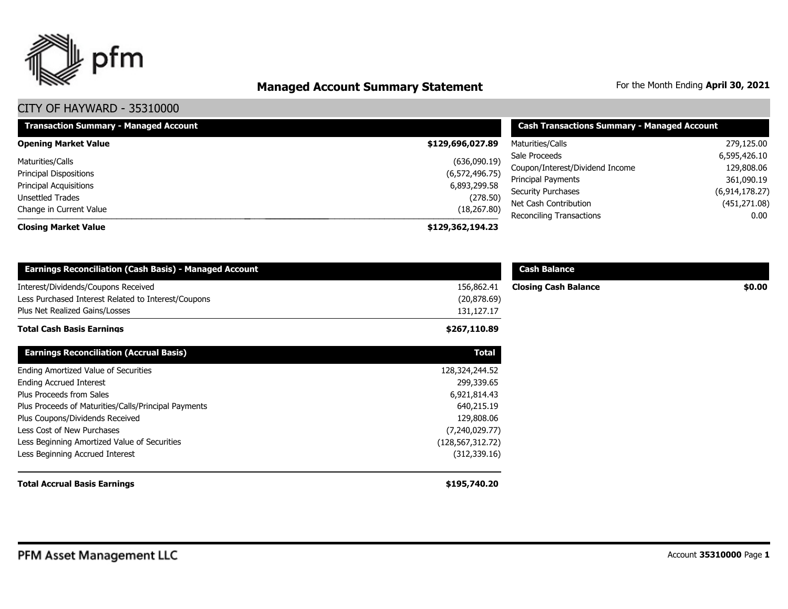

# **Managed Account Summary Statement** For the Month Ending April 30, 2021

| <b>Transaction Summary - Managed Account</b> | <b>Cash Transactions Summary - Managed Account</b> |                                             |                       |
|----------------------------------------------|----------------------------------------------------|---------------------------------------------|-----------------------|
| <b>Opening Market Value</b>                  | \$129,696,027.89                                   | Maturities/Calls                            | 279,125.00            |
| Maturities/Calls                             | (636,090.19)                                       | Sale Proceeds                               | 6,595,426.10          |
| <b>Principal Dispositions</b>                | (6,572,496.75)                                     | Coupon/Interest/Dividend Income             | 129,808.06            |
| <b>Principal Acquisitions</b>                | 6,893,299.58                                       | <b>Principal Payments</b>                   | 361,090.19            |
| Unsettled Trades                             | (278.50)                                           | Security Purchases<br>Net Cash Contribution | (6,914,178.27)        |
| Change in Current Value                      | (18, 267.80)                                       | <b>Reconciling Transactions</b>             | (451, 271.08)<br>0.00 |
| <b>Closing Market Value</b>                  | \$129,362,194.23                                   |                                             |                       |

| <b>Earnings Reconciliation (Cash Basis) - Managed Account</b>                                                                |                                          | <b>Cash Balance</b>         |        |
|------------------------------------------------------------------------------------------------------------------------------|------------------------------------------|-----------------------------|--------|
| Interest/Dividends/Coupons Received<br>Less Purchased Interest Related to Interest/Coupons<br>Plus Net Realized Gains/Losses | 156,862.41<br>(20, 878.69)<br>131,127.17 | <b>Closing Cash Balance</b> | \$0.00 |
| <b>Total Cash Basis Earnings</b>                                                                                             | \$267,110.89                             |                             |        |
| <b>Earnings Reconciliation (Accrual Basis)</b>                                                                               | <b>Total</b>                             |                             |        |
| Ending Amortized Value of Securities                                                                                         | 128,324,244.52                           |                             |        |
| <b>Ending Accrued Interest</b>                                                                                               | 299,339.65                               |                             |        |
| Plus Proceeds from Sales                                                                                                     | 6,921,814.43                             |                             |        |
| Plus Proceeds of Maturities/Calls/Principal Payments                                                                         | 640,215.19                               |                             |        |
| Plus Coupons/Dividends Received                                                                                              | 129,808.06                               |                             |        |
| Less Cost of New Purchases                                                                                                   | (7,240,029.77)                           |                             |        |
| Less Beginning Amortized Value of Securities                                                                                 | (128, 567, 312.72)                       |                             |        |
| Less Beginning Accrued Interest                                                                                              | (312, 339.16)                            |                             |        |
| <b>Total Accrual Basis Earnings</b>                                                                                          | \$195,740.20                             |                             |        |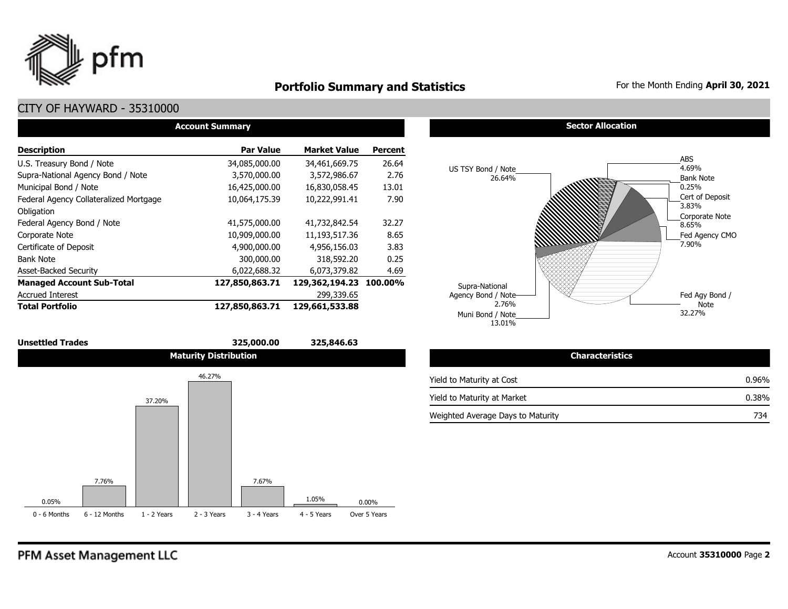

## **Portfolio Summary and Statistics** For the Month Ending April 30, 2021

### CITY OF HAYWARD - 35310000

| <b>Account Summary</b>                 |                  |                        |                |  |  |  |  |  |  |
|----------------------------------------|------------------|------------------------|----------------|--|--|--|--|--|--|
| <b>Description</b>                     | <b>Par Value</b> | <b>Market Value</b>    | <b>Percent</b> |  |  |  |  |  |  |
| U.S. Treasury Bond / Note              | 34,085,000.00    | 34,461,669.75          | 26.64          |  |  |  |  |  |  |
| Supra-National Agency Bond / Note      | 3,570,000.00     | 3,572,986.67           | 2.76           |  |  |  |  |  |  |
| Municipal Bond / Note                  | 16,425,000.00    | 16,830,058.45          | 13.01          |  |  |  |  |  |  |
| Federal Agency Collateralized Mortgage | 10,064,175.39    | 10,222,991.41          | 7.90           |  |  |  |  |  |  |
| Obligation                             |                  |                        |                |  |  |  |  |  |  |
| Federal Agency Bond / Note             | 41,575,000.00    | 41,732,842.54          | 32.27          |  |  |  |  |  |  |
| Corporate Note                         | 10,909,000.00    | 11,193,517.36          | 8.65           |  |  |  |  |  |  |
| Certificate of Deposit                 | 4,900,000.00     | 4,956,156.03           | 3.83           |  |  |  |  |  |  |
| <b>Bank Note</b>                       | 300,000.00       | 318,592.20             | 0.25           |  |  |  |  |  |  |
| <b>Asset-Backed Security</b>           | 6,022,688.32     | 6,073,379.82           | 4.69           |  |  |  |  |  |  |
| <b>Managed Account Sub-Total</b>       | 127,850,863.71   | 129,362,194.23 100.00% |                |  |  |  |  |  |  |
| <b>Accrued Interest</b>                |                  | 299,339.65             |                |  |  |  |  |  |  |
| <b>Total Portfolio</b>                 | 127,850,863.71   | 129,661,533.88         |                |  |  |  |  |  |  |



**Sector Allocation** 



| <b>Characteristics</b>            |          |
|-----------------------------------|----------|
| Yield to Maturity at Cost         | $0.96\%$ |
| Yield to Maturity at Market       | 0.38%    |
| Weighted Average Days to Maturity | 734      |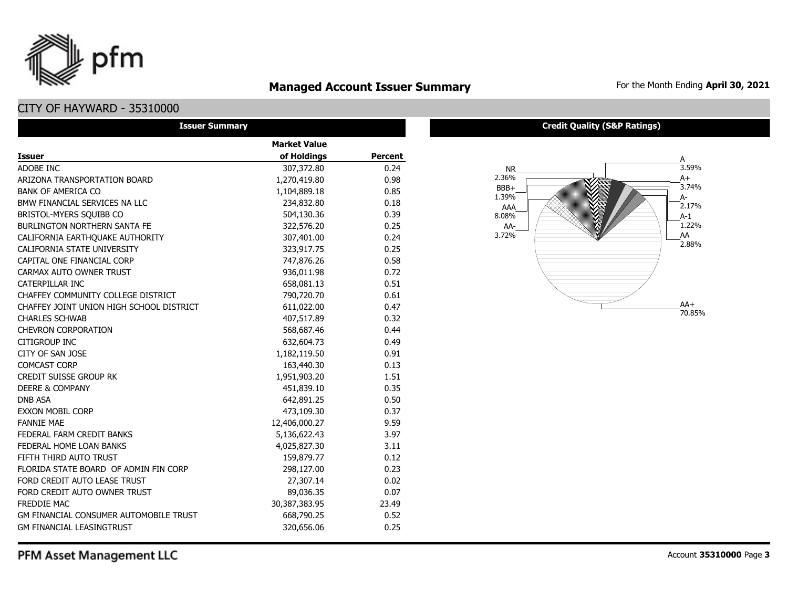

## **Managed Account Issuer Summary** For the Month Ending April 30, 2021

## CITY OF HAYWARD - 35310000

| <b>Issuer Summary</b>                    |                     |         |  |  |  |  |  |
|------------------------------------------|---------------------|---------|--|--|--|--|--|
|                                          | <b>Market Value</b> |         |  |  |  |  |  |
| <b>Issuer</b>                            | of Holdings         | Percent |  |  |  |  |  |
| ADOBE INC                                | 307,372.80          | 0.24    |  |  |  |  |  |
| ARIZONA TRANSPORTATION BOARD             | 1,270,419.80        | 0.98    |  |  |  |  |  |
| <b>BANK OF AMERICA CO</b>                | 1,104,889.18        | 0.85    |  |  |  |  |  |
| BMW FINANCIAL SERVICES NA LLC            | 234,832.80          | 0.18    |  |  |  |  |  |
| BRISTOL-MYERS SQUIBB CO                  | 504,130.36          | 0.39    |  |  |  |  |  |
| <b>BURLINGTON NORTHERN SANTA FE</b>      | 322,576.20          | 0.25    |  |  |  |  |  |
| CALIFORNIA EARTHQUAKE AUTHORITY          | 307,401.00          | 0.24    |  |  |  |  |  |
| CALIFORNIA STATE UNIVERSITY              | 323,917.75          | 0.25    |  |  |  |  |  |
| CAPITAL ONE FINANCIAL CORP               | 747,876.26          | 0.58    |  |  |  |  |  |
| CARMAX AUTO OWNER TRUST                  | 936,011.98          | 0.72    |  |  |  |  |  |
| CATERPILLAR INC                          | 658,081.13          | 0.51    |  |  |  |  |  |
| CHAFFEY COMMUNITY COLLEGE DISTRICT       | 790,720.70          | 0.61    |  |  |  |  |  |
| CHAFFEY JOINT UNION HIGH SCHOOL DISTRICT | 611,022.00          | 0.47    |  |  |  |  |  |
| <b>CHARLES SCHWAB</b>                    | 407,517.89          | 0.32    |  |  |  |  |  |
| <b>CHEVRON CORPORATION</b>               | 568,687.46          | 0.44    |  |  |  |  |  |
| <b>CITIGROUP INC</b>                     | 632,604.73          | 0.49    |  |  |  |  |  |
| CITY OF SAN JOSE                         | 1,182,119.50        | 0.91    |  |  |  |  |  |
| <b>COMCAST CORP</b>                      | 163,440.30          | 0.13    |  |  |  |  |  |
| <b>CREDIT SUISSE GROUP RK</b>            | 1,951,903.20        | 1.51    |  |  |  |  |  |
| <b>DEERE &amp; COMPANY</b>               | 451,839.10          | 0.35    |  |  |  |  |  |
| <b>DNB ASA</b>                           | 642,891.25          | 0.50    |  |  |  |  |  |
| <b>EXXON MOBIL CORP</b>                  | 473,109.30          | 0.37    |  |  |  |  |  |
| <b>FANNIE MAE</b>                        | 12,406,000.27       | 9.59    |  |  |  |  |  |
| FEDERAL FARM CREDIT BANKS                | 5,136,622.43        | 3.97    |  |  |  |  |  |
| FEDERAL HOME LOAN BANKS                  | 4,025,827.30        | 3.11    |  |  |  |  |  |
| FIFTH THIRD AUTO TRUST                   | 159,879.77          | 0.12    |  |  |  |  |  |
| FLORIDA STATE BOARD OF ADMIN FIN CORP    | 298,127.00          | 0.23    |  |  |  |  |  |
| FORD CREDIT AUTO LEASE TRUST             | 27,307.14           | 0.02    |  |  |  |  |  |
| FORD CREDIT AUTO OWNER TRUST             | 89,036.35           | 0.07    |  |  |  |  |  |
| <b>FREDDIE MAC</b>                       | 30,387,383.95       | 23.49   |  |  |  |  |  |
| GM FINANCIAL CONSUMER AUTOMOBILE TRUST   | 668,790.25          | 0.52    |  |  |  |  |  |
| <b>GM FINANCIAL LEASINGTRUST</b>         | 320,656.06          | 0.25    |  |  |  |  |  |

#### **Credit Quality (S&P Ratings)**

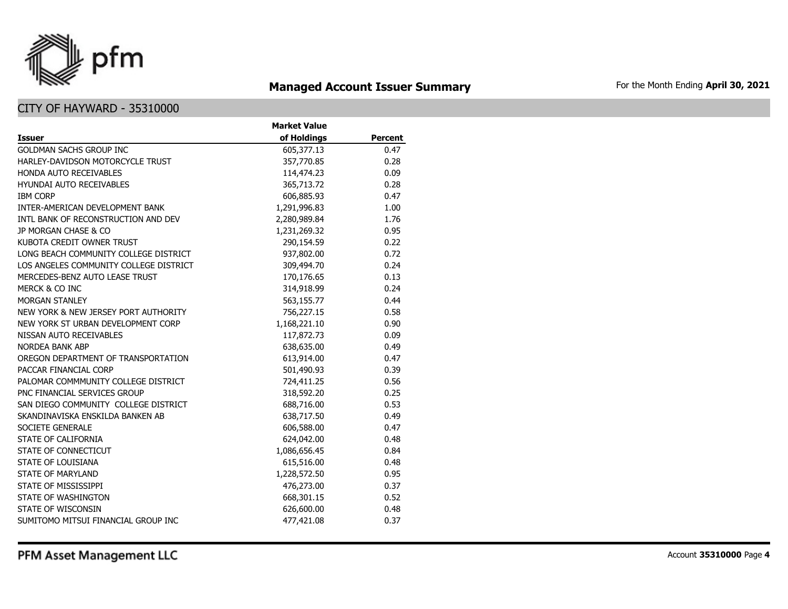

## **Managed Account Issuer Summary** For the Month Ending April 30, 2021

|                                        | <b>Market Value</b> |                |
|----------------------------------------|---------------------|----------------|
| <b>Issuer</b>                          | of Holdings         | <b>Percent</b> |
| <b>GOLDMAN SACHS GROUP INC</b>         | 605,377.13          | 0.47           |
| HARLEY-DAVIDSON MOTORCYCLE TRUST       | 357,770.85          | 0.28           |
| HONDA AUTO RECEIVABLES                 | 114,474.23          | 0.09           |
| <b>HYUNDAI AUTO RECEIVABLES</b>        | 365,713.72          | 0.28           |
| <b>IBM CORP</b>                        | 606,885.93          | 0.47           |
| INTER-AMERICAN DEVELOPMENT BANK        | 1,291,996.83        | 1.00           |
| INTL BANK OF RECONSTRUCTION AND DEV    | 2,280,989.84        | 1.76           |
| JP MORGAN CHASE & CO                   | 1,231,269.32        | 0.95           |
| KUBOTA CREDIT OWNER TRUST              | 290,154.59          | 0.22           |
| LONG BEACH COMMUNITY COLLEGE DISTRICT  | 937,802.00          | 0.72           |
| LOS ANGELES COMMUNITY COLLEGE DISTRICT | 309,494.70          | 0.24           |
| MERCEDES-BENZ AUTO LEASE TRUST         | 170,176.65          | 0.13           |
| MERCK & CO INC                         | 314,918.99          | 0.24           |
| <b>MORGAN STANLEY</b>                  | 563,155.77          | 0.44           |
| NEW YORK & NEW JERSEY PORT AUTHORITY   | 756,227.15          | 0.58           |
| NEW YORK ST URBAN DEVELOPMENT CORP     | 1,168,221.10        | 0.90           |
| NISSAN AUTO RECEIVABLES                | 117,872.73          | 0.09           |
| <b>NORDEA BANK ABP</b>                 | 638,635.00          | 0.49           |
| OREGON DEPARTMENT OF TRANSPORTATION    | 613,914.00          | 0.47           |
| PACCAR FINANCIAL CORP                  | 501,490.93          | 0.39           |
| PALOMAR COMMMUNITY COLLEGE DISTRICT    | 724,411.25          | 0.56           |
| PNC FINANCIAL SERVICES GROUP           | 318,592.20          | 0.25           |
| SAN DIEGO COMMUNITY COLLEGE DISTRICT   | 688,716.00          | 0.53           |
| SKANDINAVISKA ENSKILDA BANKEN AB       | 638,717.50          | 0.49           |
| SOCIETE GENERALE                       | 606,588.00          | 0.47           |
| STATE OF CALIFORNIA                    | 624,042.00          | 0.48           |
| STATE OF CONNECTICUT                   | 1,086,656.45        | 0.84           |
| STATE OF LOUISIANA                     | 615,516.00          | 0.48           |
| <b>STATE OF MARYLAND</b>               | 1,228,572.50        | 0.95           |
| STATE OF MISSISSIPPI                   | 476,273.00          | 0.37           |
| STATE OF WASHINGTON                    | 668,301.15          | 0.52           |
| STATE OF WISCONSIN                     | 626,600.00          | 0.48           |
| SUMITOMO MITSUI FINANCIAL GROUP INC    | 477,421.08          | 0.37           |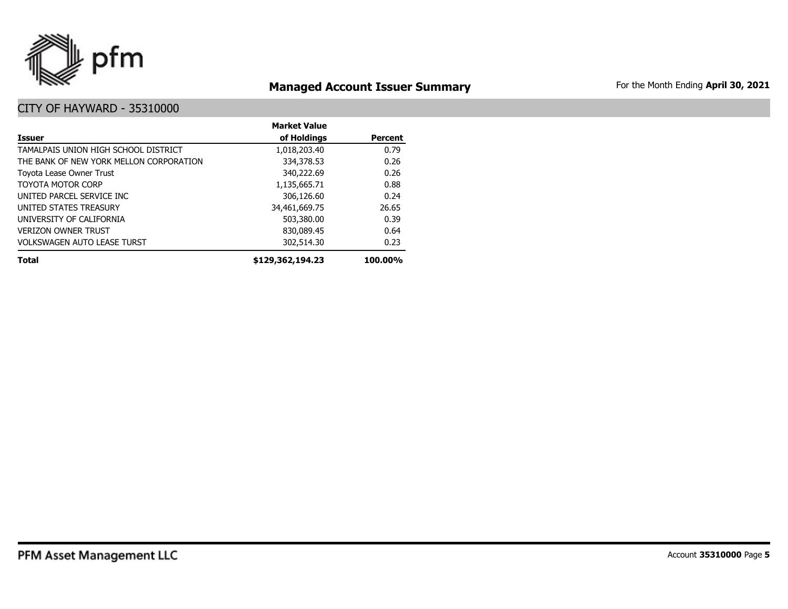

## **Managed Account Issuer Summary** For the Month Ending April 30, 2021

|                                         | <b>Market Value</b> |                |
|-----------------------------------------|---------------------|----------------|
| Issuer                                  | of Holdings         | <b>Percent</b> |
| TAMALPAIS UNION HIGH SCHOOL DISTRICT    | 1,018,203.40        | 0.79           |
| THE BANK OF NEW YORK MELLON CORPORATION | 334,378.53          | 0.26           |
| Toyota Lease Owner Trust                | 340,222.69          | 0.26           |
| <b>TOYOTA MOTOR CORP</b>                | 1,135,665.71        | 0.88           |
| UNITED PARCEL SERVICE INC               | 306,126.60          | 0.24           |
| UNITED STATES TREASURY                  | 34,461,669.75       | 26.65          |
| UNIVERSITY OF CALIFORNIA                | 503,380.00          | 0.39           |
| <b>VERIZON OWNER TRUST</b>              | 830,089.45          | 0.64           |
| <b>VOLKSWAGEN AUTO LEASE TURST</b>      | 302,514.30          | 0.23           |
| <b>Total</b>                            | \$129,362,194.23    | 100.00%        |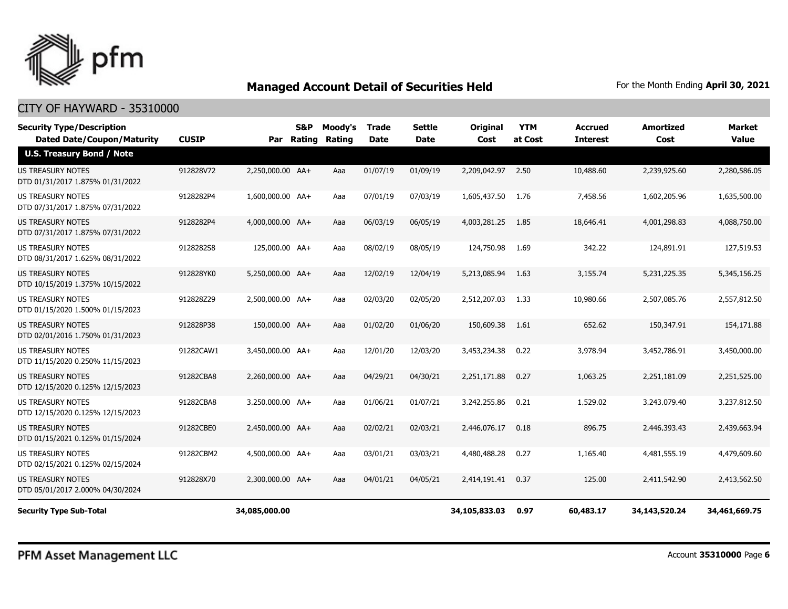

| <b>Security Type/Description</b><br><b>Dated Date/Coupon/Maturity</b> | <b>CUSIP</b> |                  | S&P | Moody's<br>Par Rating Rating | Trade<br>Date | <b>Settle</b><br>Date | <b>Original</b><br>Cost | <b>YTM</b><br>at Cost | Accrued<br><b>Interest</b> | <b>Amortized</b><br>Cost | Market<br><b>Value</b> |
|-----------------------------------------------------------------------|--------------|------------------|-----|------------------------------|---------------|-----------------------|-------------------------|-----------------------|----------------------------|--------------------------|------------------------|
| <b>U.S. Treasury Bond / Note</b>                                      |              |                  |     |                              |               |                       |                         |                       |                            |                          |                        |
| <b>US TREASURY NOTES</b><br>DTD 01/31/2017 1.875% 01/31/2022          | 912828V72    | 2,250,000.00 AA+ |     | Aaa                          | 01/07/19      | 01/09/19              | 2,209,042.97            | 2.50                  | 10,488.60                  | 2,239,925.60             | 2,280,586.05           |
| US TREASURY NOTES<br>DTD 07/31/2017 1.875% 07/31/2022                 | 9128282P4    | 1,600,000.00 AA+ |     | Aaa                          | 07/01/19      | 07/03/19              | 1,605,437.50            | 1.76                  | 7,458.56                   | 1,602,205.96             | 1,635,500.00           |
| <b>US TREASURY NOTES</b><br>DTD 07/31/2017 1.875% 07/31/2022          | 9128282P4    | 4,000,000.00 AA+ |     | Aaa                          | 06/03/19      | 06/05/19              | 4,003,281.25            | 1.85                  | 18,646.41                  | 4,001,298.83             | 4,088,750.00           |
| US TREASURY NOTES<br>DTD 08/31/2017 1.625% 08/31/2022                 | 9128282S8    | 125,000.00 AA+   |     | Aaa                          | 08/02/19      | 08/05/19              | 124,750.98              | 1.69                  | 342.22                     | 124,891.91               | 127,519.53             |
| US TREASURY NOTES<br>DTD 10/15/2019 1.375% 10/15/2022                 | 912828YK0    | 5,250,000.00 AA+ |     | Aaa                          | 12/02/19      | 12/04/19              | 5,213,085.94            | 1.63                  | 3,155.74                   | 5,231,225.35             | 5,345,156.25           |
| US TREASURY NOTES<br>DTD 01/15/2020 1.500% 01/15/2023                 | 912828Z29    | 2,500,000.00 AA+ |     | Aaa                          | 02/03/20      | 02/05/20              | 2,512,207.03            | 1.33                  | 10,980.66                  | 2,507,085.76             | 2,557,812.50           |
| <b>US TREASURY NOTES</b><br>DTD 02/01/2016 1.750% 01/31/2023          | 912828P38    | 150,000.00 AA+   |     | Aaa                          | 01/02/20      | 01/06/20              | 150,609.38              | 1.61                  | 652.62                     | 150,347.91               | 154,171.88             |
| <b>US TREASURY NOTES</b><br>DTD 11/15/2020 0.250% 11/15/2023          | 91282CAW1    | 3,450,000.00 AA+ |     | Aaa                          | 12/01/20      | 12/03/20              | 3,453,234.38            | 0.22                  | 3,978.94                   | 3,452,786.91             | 3,450,000.00           |
| <b>US TREASURY NOTES</b><br>DTD 12/15/2020 0.125% 12/15/2023          | 91282CBA8    | 2.260.000.00 AA+ |     | Aaa                          | 04/29/21      | 04/30/21              | 2,251,171.88            | 0.27                  | 1,063.25                   | 2,251,181.09             | 2,251,525.00           |
| <b>US TREASURY NOTES</b><br>DTD 12/15/2020 0.125% 12/15/2023          | 91282CBA8    | 3,250,000.00 AA+ |     | Aaa                          | 01/06/21      | 01/07/21              | 3,242,255.86            | 0.21                  | 1,529.02                   | 3,243,079.40             | 3,237,812.50           |
| <b>US TREASURY NOTES</b><br>DTD 01/15/2021 0.125% 01/15/2024          | 91282CBE0    | 2,450,000.00 AA+ |     | Aaa                          | 02/02/21      | 02/03/21              | 2,446,076.17            | 0.18                  | 896.75                     | 2,446,393.43             | 2,439,663.94           |
| <b>US TREASURY NOTES</b><br>DTD 02/15/2021 0.125% 02/15/2024          | 91282CBM2    | 4,500,000.00 AA+ |     | Aaa                          | 03/01/21      | 03/03/21              | 4,480,488,28            | 0.27                  | 1,165.40                   | 4,481,555.19             | 4,479,609.60           |
| <b>US TREASURY NOTES</b><br>DTD 05/01/2017 2.000% 04/30/2024          | 912828X70    | 2,300,000.00 AA+ |     | Aaa                          | 04/01/21      | 04/05/21              | 2,414,191.41            | 0.37                  | 125.00                     | 2,411,542.90             | 2,413,562.50           |
| <b>Security Type Sub-Total</b>                                        |              | 34,085,000.00    |     |                              |               |                       | 34,105,833.03           | 0.97                  | 60,483.17                  | 34,143,520.24            | 34,461,669.75          |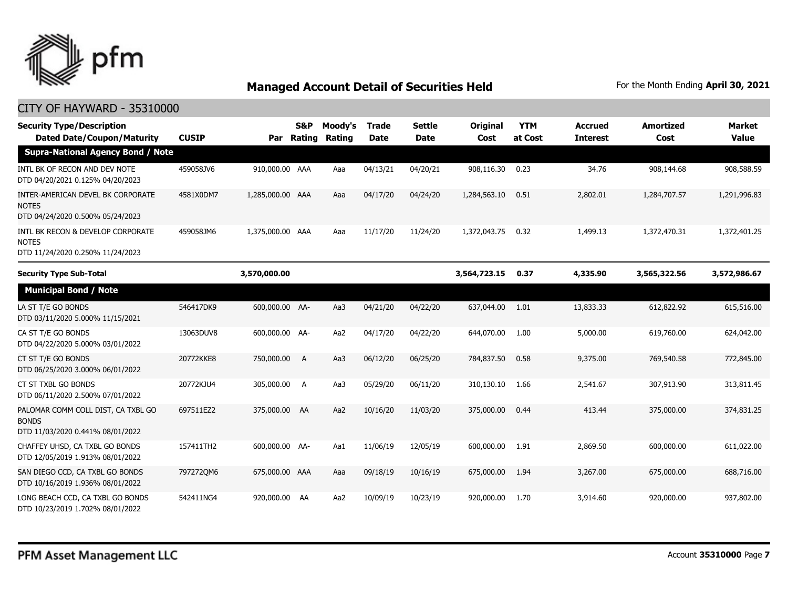

| <b>Security Type/Description</b><br><b>Dated Date/Coupon/Maturity</b>                  | <b>CUSIP</b> | Par              | S&P<br>Rating | Moody's<br>Rating | Trade<br><b>Date</b> | <b>Settle</b><br><b>Date</b> | Original<br>Cost | <b>YTM</b><br>at Cost | <b>Accrued</b><br><b>Interest</b> | <b>Amortized</b><br>Cost | <b>Market</b><br><b>Value</b> |
|----------------------------------------------------------------------------------------|--------------|------------------|---------------|-------------------|----------------------|------------------------------|------------------|-----------------------|-----------------------------------|--------------------------|-------------------------------|
| <b>Supra-National Agency Bond / Note</b>                                               |              |                  |               |                   |                      |                              |                  |                       |                                   |                          |                               |
| INTL BK OF RECON AND DEV NOTE<br>DTD 04/20/2021 0.125% 04/20/2023                      | 459058JV6    | 910,000.00 AAA   |               | Aaa               | 04/13/21             | 04/20/21                     | 908,116.30       | 0.23                  | 34.76                             | 908,144.68               | 908,588.59                    |
| INTER-AMERICAN DEVEL BK CORPORATE<br><b>NOTES</b><br>DTD 04/24/2020 0.500% 05/24/2023  | 4581X0DM7    | 1,285,000.00 AAA |               | Aaa               | 04/17/20             | 04/24/20                     | 1,284,563.10     | 0.51                  | 2,802.01                          | 1,284,707.57             | 1,291,996.83                  |
| INTL BK RECON & DEVELOP CORPORATE<br><b>NOTES</b><br>DTD 11/24/2020 0.250% 11/24/2023  | 459058JM6    | 1,375,000.00 AAA |               | Aaa               | 11/17/20             | 11/24/20                     | 1,372,043.75     | 0.32                  | 1,499.13                          | 1,372,470.31             | 1,372,401.25                  |
| <b>Security Type Sub-Total</b>                                                         |              | 3,570,000.00     |               |                   |                      |                              | 3,564,723.15     | 0.37                  | 4,335.90                          | 3,565,322.56             | 3,572,986.67                  |
| <b>Municipal Bond / Note</b>                                                           |              |                  |               |                   |                      |                              |                  |                       |                                   |                          |                               |
| LA ST T/E GO BONDS<br>DTD 03/11/2020 5.000% 11/15/2021                                 | 546417DK9    | 600,000.00 AA-   |               | Aa3               | 04/21/20             | 04/22/20                     | 637,044.00       | 1.01                  | 13,833.33                         | 612,822.92               | 615,516.00                    |
| CA ST T/E GO BONDS<br>DTD 04/22/2020 5.000% 03/01/2022                                 | 13063DUV8    | 600,000.00 AA-   |               | Aa2               | 04/17/20             | 04/22/20                     | 644,070.00       | 1.00                  | 5,000.00                          | 619,760.00               | 624,042.00                    |
| CT ST T/E GO BONDS<br>DTD 06/25/2020 3.000% 06/01/2022                                 | 20772KKE8    | 750,000.00       | <b>A</b>      | Aa3               | 06/12/20             | 06/25/20                     | 784,837.50       | 0.58                  | 9,375.00                          | 769,540.58               | 772,845.00                    |
| CT ST TXBL GO BONDS<br>DTD 06/11/2020 2.500% 07/01/2022                                | 20772KJU4    | 305,000.00       | A             | Aa3               | 05/29/20             | 06/11/20                     | 310,130.10       | 1.66                  | 2,541.67                          | 307,913.90               | 313,811.45                    |
| PALOMAR COMM COLL DIST, CA TXBL GO<br><b>BONDS</b><br>DTD 11/03/2020 0.441% 08/01/2022 | 697511EZ2    | 375,000.00 AA    |               | Aa2               | 10/16/20             | 11/03/20                     | 375,000.00       | 0.44                  | 413.44                            | 375,000.00               | 374,831.25                    |
| CHAFFEY UHSD, CA TXBL GO BONDS<br>DTD 12/05/2019 1.913% 08/01/2022                     | 157411TH2    | 600,000.00 AA-   |               | Aa1               | 11/06/19             | 12/05/19                     | 600,000.00       | 1.91                  | 2,869.50                          | 600,000.00               | 611,022.00                    |
| SAN DIEGO CCD, CA TXBL GO BONDS<br>DTD 10/16/2019 1.936% 08/01/2022                    | 797272QM6    | 675,000.00 AAA   |               | Aaa               | 09/18/19             | 10/16/19                     | 675,000.00       | 1.94                  | 3,267.00                          | 675,000.00               | 688,716.00                    |
| LONG BEACH CCD, CA TXBL GO BONDS<br>DTD 10/23/2019 1.702% 08/01/2022                   | 542411NG4    | 920,000,00 AA    |               | Aa2               | 10/09/19             | 10/23/19                     | 920,000.00       | 1.70                  | 3,914.60                          | 920,000.00               | 937,802.00                    |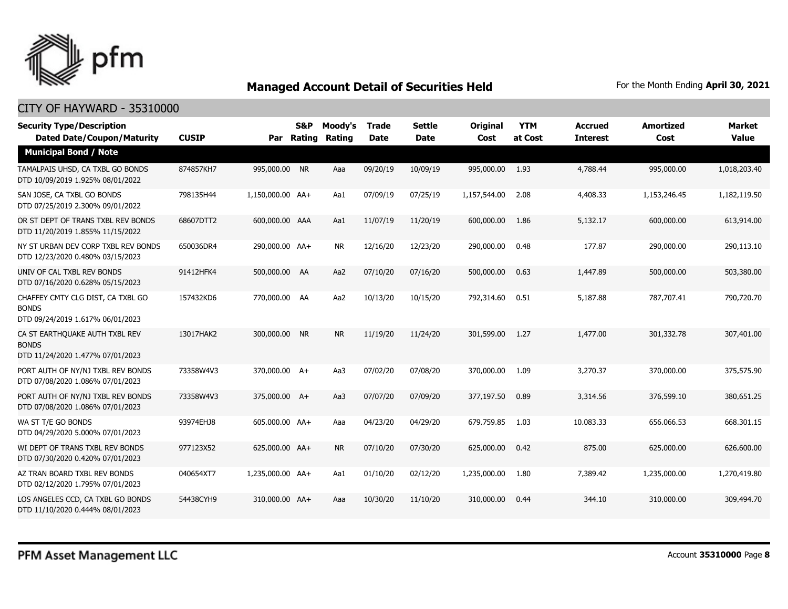

| <b>Security Type/Description</b><br><b>Dated Date/Coupon/Maturity</b>                 | <b>CUSIP</b> |                  | <b>S&amp;P</b><br>Par Rating | Moody's<br><b>Rating</b> | <b>Trade</b><br><b>Date</b> | <b>Settle</b><br><b>Date</b> | <b>Original</b><br>Cost | <b>YTM</b><br>at Cost | <b>Accrued</b><br><b>Interest</b> | <b>Amortized</b><br>Cost | <b>Market</b><br><b>Value</b> |
|---------------------------------------------------------------------------------------|--------------|------------------|------------------------------|--------------------------|-----------------------------|------------------------------|-------------------------|-----------------------|-----------------------------------|--------------------------|-------------------------------|
| <b>Municipal Bond / Note</b>                                                          |              |                  |                              |                          |                             |                              |                         |                       |                                   |                          |                               |
| TAMALPAIS UHSD, CA TXBL GO BONDS<br>DTD 10/09/2019 1.925% 08/01/2022                  | 874857KH7    | 995,000.00 NR    |                              | Aaa                      | 09/20/19                    | 10/09/19                     | 995,000.00              | 1.93                  | 4,788.44                          | 995,000.00               | 1,018,203.40                  |
| SAN JOSE, CA TXBL GO BONDS<br>DTD 07/25/2019 2.300% 09/01/2022                        | 798135H44    | 1,150,000.00 AA+ |                              | Aa1                      | 07/09/19                    | 07/25/19                     | 1,157,544.00            | 2.08                  | 4,408.33                          | 1,153,246.45             | 1,182,119.50                  |
| OR ST DEPT OF TRANS TXBL REV BONDS<br>DTD 11/20/2019 1.855% 11/15/2022                | 68607DTT2    | 600,000.00 AAA   |                              | Aa1                      | 11/07/19                    | 11/20/19                     | 600,000.00              | 1.86                  | 5,132.17                          | 600,000.00               | 613,914.00                    |
| NY ST URBAN DEV CORP TXBL REV BONDS<br>DTD 12/23/2020 0.480% 03/15/2023               | 650036DR4    | 290,000.00 AA+   |                              | NR.                      | 12/16/20                    | 12/23/20                     | 290,000.00              | 0.48                  | 177.87                            | 290,000.00               | 290,113.10                    |
| UNIV OF CAL TXBL REV BONDS<br>DTD 07/16/2020 0.628% 05/15/2023                        | 91412HFK4    | 500,000.00 AA    |                              | Aa2                      | 07/10/20                    | 07/16/20                     | 500,000.00              | 0.63                  | 1,447.89                          | 500,000.00               | 503,380.00                    |
| CHAFFEY CMTY CLG DIST, CA TXBL GO<br><b>BONDS</b><br>DTD 09/24/2019 1.617% 06/01/2023 | 157432KD6    | 770,000.00 AA    |                              | Aa2                      | 10/13/20                    | 10/15/20                     | 792,314.60              | 0.51                  | 5,187.88                          | 787.707.41               | 790,720.70                    |
| CA ST EARTHQUAKE AUTH TXBL REV<br><b>BONDS</b><br>DTD 11/24/2020 1.477% 07/01/2023    | 13017HAK2    | 300,000.00 NR    |                              | <b>NR</b>                | 11/19/20                    | 11/24/20                     | 301,599.00              | 1.27                  | 1,477.00                          | 301,332.78               | 307,401.00                    |
| PORT AUTH OF NY/NJ TXBL REV BONDS<br>DTD 07/08/2020 1.086% 07/01/2023                 | 73358W4V3    | 370,000.00 A+    |                              | Aa3                      | 07/02/20                    | 07/08/20                     | 370,000.00              | 1.09                  | 3,270.37                          | 370,000.00               | 375,575.90                    |
| PORT AUTH OF NY/NJ TXBL REV BONDS<br>DTD 07/08/2020 1.086% 07/01/2023                 | 73358W4V3    | 375,000.00 A+    |                              | Aa3                      | 07/07/20                    | 07/09/20                     | 377,197.50              | 0.89                  | 3,314.56                          | 376,599.10               | 380,651.25                    |
| WA ST T/E GO BONDS<br>DTD 04/29/2020 5.000% 07/01/2023                                | 93974EHJ8    | 605,000.00 AA+   |                              | Aaa                      | 04/23/20                    | 04/29/20                     | 679,759.85              | 1.03                  | 10,083.33                         | 656,066.53               | 668,301.15                    |
| WI DEPT OF TRANS TXBL REV BONDS<br>DTD 07/30/2020 0.420% 07/01/2023                   | 977123X52    | 625,000.00 AA+   |                              | <b>NR</b>                | 07/10/20                    | 07/30/20                     | 625,000.00              | 0.42                  | 875.00                            | 625,000.00               | 626,600.00                    |
| AZ TRAN BOARD TXBL REV BONDS<br>DTD 02/12/2020 1.795% 07/01/2023                      | 040654XT7    | 1,235,000.00 AA+ |                              | Aa1                      | 01/10/20                    | 02/12/20                     | 1,235,000.00            | 1.80                  | 7,389.42                          | 1,235,000.00             | 1,270,419.80                  |
| LOS ANGELES CCD, CA TXBL GO BONDS<br>DTD 11/10/2020 0.444% 08/01/2023                 | 54438CYH9    | 310,000.00 AA+   |                              | Aaa                      | 10/30/20                    | 11/10/20                     | 310,000.00              | 0.44                  | 344.10                            | 310,000.00               | 309,494.70                    |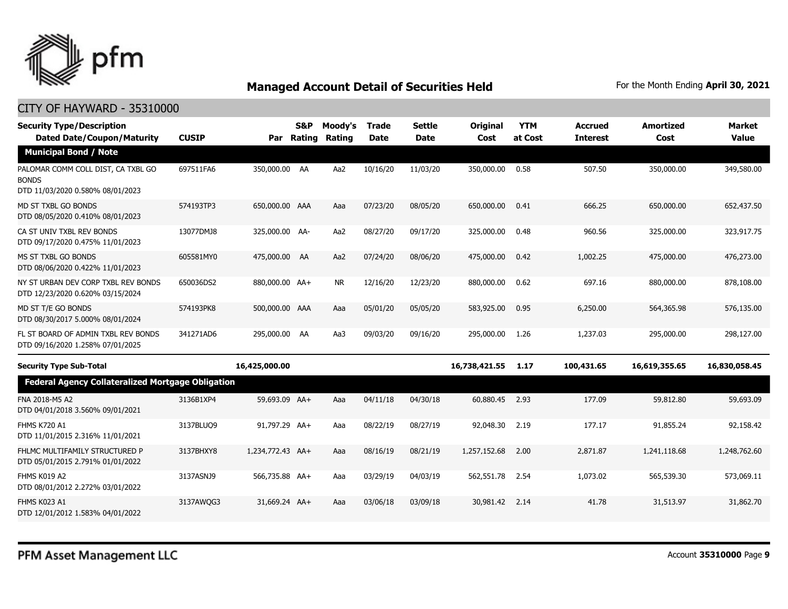

| <b>Security Type/Description</b><br><b>Dated Date/Coupon/Maturity</b>                  | <b>CUSIP</b> | Par              | S&P<br>Rating | Moody's<br><b>Rating</b> | <b>Trade</b><br><b>Date</b> | <b>Settle</b><br><b>Date</b> | <b>Original</b><br>Cost | <b>YTM</b><br>at Cost | <b>Accrued</b><br><b>Interest</b> | <b>Amortized</b><br>Cost | <b>Market</b><br><b>Value</b> |
|----------------------------------------------------------------------------------------|--------------|------------------|---------------|--------------------------|-----------------------------|------------------------------|-------------------------|-----------------------|-----------------------------------|--------------------------|-------------------------------|
| <b>Municipal Bond / Note</b>                                                           |              |                  |               |                          |                             |                              |                         |                       |                                   |                          |                               |
| PALOMAR COMM COLL DIST, CA TXBL GO<br><b>BONDS</b><br>DTD 11/03/2020 0.580% 08/01/2023 | 697511FA6    | 350,000.00 AA    |               | Aa2                      | 10/16/20                    | 11/03/20                     | 350,000.00              | 0.58                  | 507.50                            | 350,000.00               | 349,580.00                    |
| MD ST TXBL GO BONDS<br>DTD 08/05/2020 0.410% 08/01/2023                                | 574193TP3    | 650,000.00 AAA   |               | Aaa                      | 07/23/20                    | 08/05/20                     | 650,000.00              | 0.41                  | 666.25                            | 650,000.00               | 652,437.50                    |
| CA ST UNIV TXBL REV BONDS<br>DTD 09/17/2020 0.475% 11/01/2023                          | 13077DMJ8    | 325,000.00 AA-   |               | Aa2                      | 08/27/20                    | 09/17/20                     | 325,000.00              | 0.48                  | 960.56                            | 325,000.00               | 323,917.75                    |
| MS ST TXBL GO BONDS<br>DTD 08/06/2020 0.422% 11/01/2023                                | 605581MY0    | 475,000.00 AA    |               | Aa2                      | 07/24/20                    | 08/06/20                     | 475,000.00              | 0.42                  | 1,002.25                          | 475,000.00               | 476,273.00                    |
| NY ST URBAN DEV CORP TXBL REV BONDS<br>DTD 12/23/2020 0.620% 03/15/2024                | 650036DS2    | 880,000.00 AA+   |               | <b>NR</b>                | 12/16/20                    | 12/23/20                     | 880,000.00              | 0.62                  | 697.16                            | 880,000.00               | 878,108.00                    |
| MD ST T/E GO BONDS<br>DTD 08/30/2017 5.000% 08/01/2024                                 | 574193PK8    | 500,000.00 AAA   |               | Aaa                      | 05/01/20                    | 05/05/20                     | 583,925.00              | 0.95                  | 6,250.00                          | 564,365.98               | 576,135.00                    |
| FL ST BOARD OF ADMIN TXBL REV BONDS<br>DTD 09/16/2020 1.258% 07/01/2025                | 341271AD6    | 295,000.00 AA    |               | Aa3                      | 09/03/20                    | 09/16/20                     | 295,000.00              | 1.26                  | 1,237.03                          | 295,000.00               | 298,127.00                    |
| <b>Security Type Sub-Total</b>                                                         |              | 16,425,000.00    |               |                          |                             |                              | 16,738,421.55           | 1.17                  | 100,431.65                        | 16,619,355.65            | 16,830,058.45                 |
| <b>Federal Agency Collateralized Mortgage Obligation</b>                               |              |                  |               |                          |                             |                              |                         |                       |                                   |                          |                               |
| FNA 2018-M5 A2<br>DTD 04/01/2018 3.560% 09/01/2021                                     | 3136B1XP4    | 59,693.09 AA+    |               | Aaa                      | 04/11/18                    | 04/30/18                     | 60,880.45               | 2.93                  | 177.09                            | 59,812.80                | 59,693.09                     |
| FHMS K720 A1<br>DTD 11/01/2015 2.316% 11/01/2021                                       | 3137BLUO9    | 91,797.29 AA+    |               | Aaa                      | 08/22/19                    | 08/27/19                     | 92,048.30               | 2.19                  | 177.17                            | 91,855.24                | 92,158.42                     |
| FHLMC MULTIFAMILY STRUCTURED P<br>DTD 05/01/2015 2.791% 01/01/2022                     | 3137BHXY8    | 1,234,772.43 AA+ |               | Aaa                      | 08/16/19                    | 08/21/19                     | 1,257,152.68            | 2.00                  | 2,871.87                          | 1,241,118.68             | 1,248,762.60                  |
| FHMS K019 A2<br>DTD 08/01/2012 2.272% 03/01/2022                                       | 3137ASNJ9    | 566,735.88 AA+   |               | Aaa                      | 03/29/19                    | 04/03/19                     | 562,551.78              | 2.54                  | 1,073.02                          | 565,539.30               | 573,069.11                    |
| <b>FHMS K023 A1</b><br>DTD 12/01/2012 1.583% 04/01/2022                                | 3137AWQG3    | 31,669.24 AA+    |               | Aaa                      | 03/06/18                    | 03/09/18                     | 30,981.42               | 2.14                  | 41.78                             | 31,513.97                | 31,862.70                     |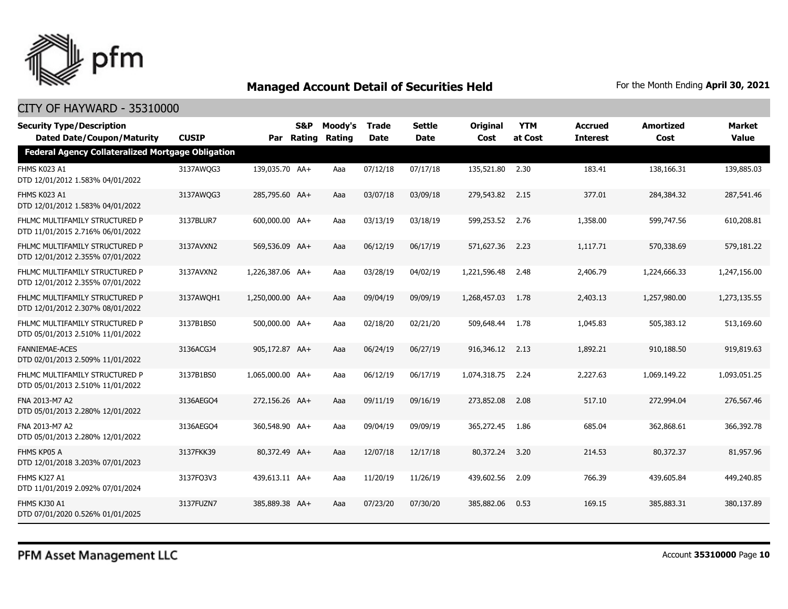

| <b>Security Type/Description</b>                                                              | <b>CUSIP</b> |                  | S&P    | Moody's | <b>Trade</b> | <b>Settle</b> | <b>Original</b> | <b>YTM</b> | <b>Accrued</b>  | <b>Amortized</b> | <b>Market</b><br>Value |
|-----------------------------------------------------------------------------------------------|--------------|------------------|--------|---------|--------------|---------------|-----------------|------------|-----------------|------------------|------------------------|
| <b>Dated Date/Coupon/Maturity</b><br><b>Federal Agency Collateralized Mortgage Obligation</b> |              | Par              | Rating | Rating  | <b>Date</b>  | <b>Date</b>   | Cost            | at Cost    | <b>Interest</b> | Cost             |                        |
| FHMS K023 A1<br>DTD 12/01/2012 1.583% 04/01/2022                                              | 3137AWQG3    | 139,035.70 AA+   |        | Aaa     | 07/12/18     | 07/17/18      | 135,521.80 2.30 |            | 183.41          | 138,166.31       | 139,885.03             |
| FHMS K023 A1<br>DTD 12/01/2012 1.583% 04/01/2022                                              | 3137AWQG3    | 285,795.60 AA+   |        | Aaa     | 03/07/18     | 03/09/18      | 279,543.82 2.15 |            | 377.01          | 284,384.32       | 287,541.46             |
| FHLMC MULTIFAMILY STRUCTURED P<br>DTD 11/01/2015 2.716% 06/01/2022                            | 3137BLUR7    | 600,000.00 AA+   |        | Aaa     | 03/13/19     | 03/18/19      | 599,253.52      | 2.76       | 1,358.00        | 599,747.56       | 610,208.81             |
| FHLMC MULTIFAMILY STRUCTURED P<br>DTD 12/01/2012 2.355% 07/01/2022                            | 3137AVXN2    | 569,536.09 AA+   |        | Aaa     | 06/12/19     | 06/17/19      | 571,627.36      | 2.23       | 1,117.71        | 570,338.69       | 579,181.22             |
| FHLMC MULTIFAMILY STRUCTURED P<br>DTD 12/01/2012 2.355% 07/01/2022                            | 3137AVXN2    | 1,226,387.06 AA+ |        | Aaa     | 03/28/19     | 04/02/19      | 1,221,596.48    | 2.48       | 2,406.79        | 1,224,666.33     | 1,247,156.00           |
| FHLMC MULTIFAMILY STRUCTURED P<br>DTD 12/01/2012 2.307% 08/01/2022                            | 3137AWQH1    | 1,250,000.00 AA+ |        | Aaa     | 09/04/19     | 09/09/19      | 1,268,457.03    | 1.78       | 2,403.13        | 1,257,980.00     | 1,273,135.55           |
| FHLMC MULTIFAMILY STRUCTURED P<br>DTD 05/01/2013 2.510% 11/01/2022                            | 3137B1BS0    | 500,000.00 AA+   |        | Aaa     | 02/18/20     | 02/21/20      | 509,648.44      | 1.78       | 1,045.83        | 505,383.12       | 513,169.60             |
| <b>FANNIEMAE-ACES</b><br>DTD 02/01/2013 2.509% 11/01/2022                                     | 3136ACGJ4    | 905,172.87 AA+   |        | Aaa     | 06/24/19     | 06/27/19      | 916,346.12 2.13 |            | 1,892.21        | 910,188.50       | 919,819.63             |
| FHLMC MULTIFAMILY STRUCTURED P<br>DTD 05/01/2013 2.510% 11/01/2022                            | 3137B1BS0    | 1,065,000.00 AA+ |        | Aaa     | 06/12/19     | 06/17/19      | 1,074,318.75    | 2.24       | 2,227.63        | 1,069,149.22     | 1,093,051.25           |
| FNA 2013-M7 A2<br>DTD 05/01/2013 2.280% 12/01/2022                                            | 3136AEGO4    | 272,156.26 AA+   |        | Aaa     | 09/11/19     | 09/16/19      | 273,852.08      | 2.08       | 517.10          | 272,994.04       | 276,567.46             |
| FNA 2013-M7 A2<br>DTD 05/01/2013 2.280% 12/01/2022                                            | 3136AEGO4    | 360,548.90 AA+   |        | Aaa     | 09/04/19     | 09/09/19      | 365,272.45      | 1.86       | 685.04          | 362,868.61       | 366,392,78             |
| FHMS KP05 A<br>DTD 12/01/2018 3.203% 07/01/2023                                               | 3137FKK39    | 80,372.49 AA+    |        | Aaa     | 12/07/18     | 12/17/18      | 80,372,24       | 3.20       | 214.53          | 80,372,37        | 81,957.96              |
| FHMS KJ27 A1<br>DTD 11/01/2019 2.092% 07/01/2024                                              | 3137FO3V3    | 439.613.11 AA+   |        | Aaa     | 11/20/19     | 11/26/19      | 439,602.56      | 2.09       | 766.39          | 439,605.84       | 449,240.85             |
| FHMS KJ30 A1<br>DTD 07/01/2020 0.526% 01/01/2025                                              | 3137FUZN7    | 385,889.38 AA+   |        | Aaa     | 07/23/20     | 07/30/20      | 385,882.06      | 0.53       | 169.15          | 385,883.31       | 380,137.89             |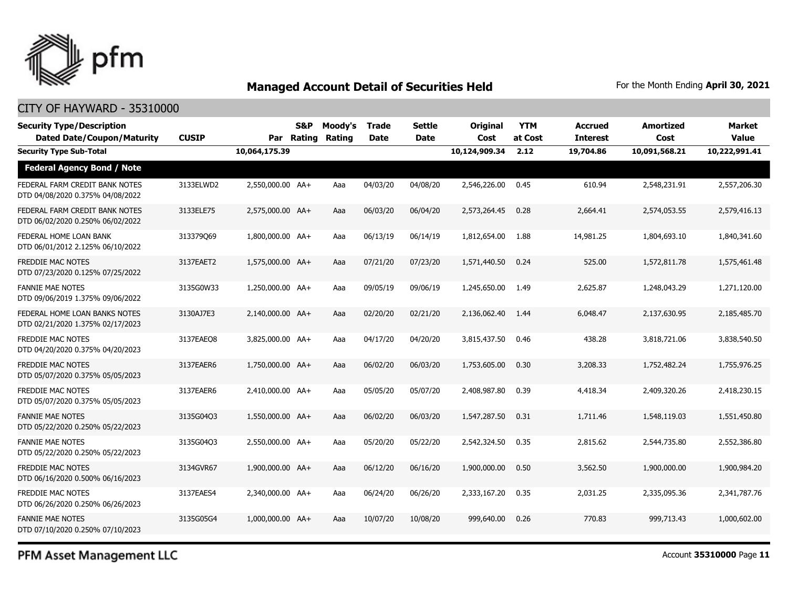

### CITY OF HAYWARD - 35310000

| <b>Security Type/Description</b><br><b>Dated Date/Coupon/Maturity</b> | <b>CUSIP</b> |                  | <b>S&amp;P</b><br>Par Rating | Moody's<br>Rating | <b>Trade</b><br><b>Date</b> | <b>Settle</b><br><b>Date</b> | <b>Original</b><br>Cost | <b>YTM</b><br>at Cost | <b>Accrued</b><br><b>Interest</b> | <b>Amortized</b><br>Cost | <b>Market</b><br><b>Value</b> |
|-----------------------------------------------------------------------|--------------|------------------|------------------------------|-------------------|-----------------------------|------------------------------|-------------------------|-----------------------|-----------------------------------|--------------------------|-------------------------------|
| <b>Security Type Sub-Total</b>                                        |              | 10,064,175.39    |                              |                   |                             |                              | 10,124,909.34           | 2.12                  | 19,704.86                         | 10,091,568.21            | 10,222,991.41                 |
| <b>Federal Agency Bond / Note</b>                                     |              |                  |                              |                   |                             |                              |                         |                       |                                   |                          |                               |
| FEDERAL FARM CREDIT BANK NOTES<br>DTD 04/08/2020 0.375% 04/08/2022    | 3133ELWD2    | 2,550,000.00 AA+ |                              | Aaa               | 04/03/20                    | 04/08/20                     | 2,546,226.00            | 0.45                  | 610.94                            | 2,548,231.91             | 2,557,206.30                  |
| FEDERAL FARM CREDIT BANK NOTES<br>DTD 06/02/2020 0.250% 06/02/2022    | 3133ELE75    | 2,575,000.00 AA+ |                              | Aaa               | 06/03/20                    | 06/04/20                     | 2,573,264.45            | 0.28                  | 2,664.41                          | 2,574,053.55             | 2,579,416.13                  |
| FEDERAL HOME LOAN BANK<br>DTD 06/01/2012 2.125% 06/10/2022            | 313379069    | 1,800,000.00 AA+ |                              | Aaa               | 06/13/19                    | 06/14/19                     | 1,812,654.00            | 1.88                  | 14,981.25                         | 1,804,693.10             | 1,840,341.60                  |
| <b>FREDDIE MAC NOTES</b><br>DTD 07/23/2020 0.125% 07/25/2022          | 3137EAET2    | 1,575,000.00 AA+ |                              | Aaa               | 07/21/20                    | 07/23/20                     | 1,571,440.50            | 0.24                  | 525.00                            | 1,572,811.78             | 1,575,461.48                  |
| <b>FANNIE MAE NOTES</b><br>DTD 09/06/2019 1.375% 09/06/2022           | 3135G0W33    | 1,250,000.00 AA+ |                              | Aaa               | 09/05/19                    | 09/06/19                     | 1,245,650.00            | 1.49                  | 2,625.87                          | 1,248,043.29             | 1,271,120.00                  |
| FEDERAL HOME LOAN BANKS NOTES<br>DTD 02/21/2020 1.375% 02/17/2023     | 3130AJ7E3    | 2,140,000.00 AA+ |                              | Aaa               | 02/20/20                    | 02/21/20                     | 2,136,062,40            | 1.44                  | 6,048.47                          | 2,137,630.95             | 2,185,485,70                  |
| <b>FREDDIE MAC NOTES</b><br>DTD 04/20/2020 0.375% 04/20/2023          | 3137EAEO8    | 3,825,000.00 AA+ |                              | Aaa               | 04/17/20                    | 04/20/20                     | 3,815,437.50            | 0.46                  | 438.28                            | 3,818,721.06             | 3,838,540.50                  |
| FREDDIE MAC NOTES<br>DTD 05/07/2020 0.375% 05/05/2023                 | 3137EAER6    | 1,750,000.00 AA+ |                              | Aaa               | 06/02/20                    | 06/03/20                     | 1,753,605.00            | 0.30                  | 3,208.33                          | 1,752,482.24             | 1,755,976.25                  |
| <b>FREDDIE MAC NOTES</b><br>DTD 05/07/2020 0.375% 05/05/2023          | 3137EAER6    | 2.410.000.00 AA+ |                              | Aaa               | 05/05/20                    | 05/07/20                     | 2,408,987.80            | 0.39                  | 4,418.34                          | 2,409,320,26             | 2,418,230.15                  |
| <b>FANNIE MAE NOTES</b><br>DTD 05/22/2020 0.250% 05/22/2023           | 3135G04O3    | 1,550,000.00 AA+ |                              | Aaa               | 06/02/20                    | 06/03/20                     | 1,547,287,50            | 0.31                  | 1,711.46                          | 1,548,119.03             | 1,551,450.80                  |
| <b>FANNIE MAE NOTES</b><br>DTD 05/22/2020 0.250% 05/22/2023           | 3135G04Q3    | 2,550,000.00 AA+ |                              | Aaa               | 05/20/20                    | 05/22/20                     | 2,542,324.50            | 0.35                  | 2,815.62                          | 2,544,735.80             | 2,552,386.80                  |
| <b>FREDDIE MAC NOTES</b><br>DTD 06/16/2020 0.500% 06/16/2023          | 3134GVR67    | 1,900,000.00 AA+ |                              | Aaa               | 06/12/20                    | 06/16/20                     | 1,900,000.00            | 0.50                  | 3,562.50                          | 1,900,000.00             | 1,900,984.20                  |
| <b>FREDDIE MAC NOTES</b><br>DTD 06/26/2020 0.250% 06/26/2023          | 3137EAES4    | 2.340.000.00 AA+ |                              | Aaa               | 06/24/20                    | 06/26/20                     | 2,333,167,20            | 0.35                  | 2,031.25                          | 2,335,095.36             | 2,341,787.76                  |
| <b>FANNIE MAE NOTES</b><br>DTD 07/10/2020 0.250% 07/10/2023           | 3135G05G4    | 1,000,000,00 AA+ |                              | Aaa               | 10/07/20                    | 10/08/20                     | 999,640,00              | 0.26                  | 770.83                            | 999,713.43               | 1,000,602.00                  |

PFM Asset Management LLC

Account **35310000** Page **11**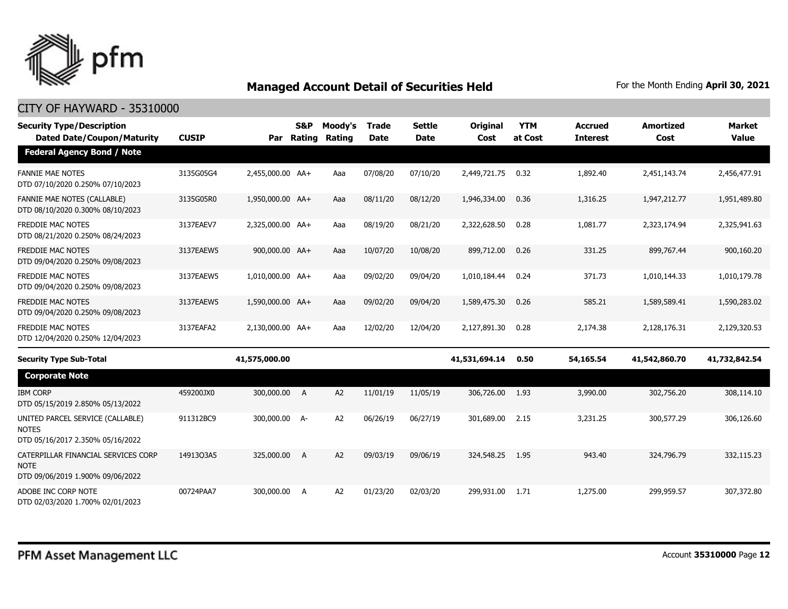

| <b>Security Type/Description</b><br><b>Dated Date/Coupon/Maturity</b>                  | <b>CUSIP</b> |                  | <b>S&amp;P</b><br>Par Rating | Moody's<br>Rating | <b>Trade</b><br><b>Date</b> | <b>Settle</b><br><b>Date</b> | <b>Original</b><br>Cost | <b>YTM</b><br>at Cost | <b>Accrued</b><br><b>Interest</b> | <b>Amortized</b><br>Cost | <b>Market</b><br><b>Value</b> |
|----------------------------------------------------------------------------------------|--------------|------------------|------------------------------|-------------------|-----------------------------|------------------------------|-------------------------|-----------------------|-----------------------------------|--------------------------|-------------------------------|
| <b>Federal Agency Bond / Note</b>                                                      |              |                  |                              |                   |                             |                              |                         |                       |                                   |                          |                               |
| <b>FANNIE MAE NOTES</b><br>DTD 07/10/2020 0.250% 07/10/2023                            | 3135G05G4    | 2,455,000.00 AA+ |                              | Aaa               | 07/08/20                    | 07/10/20                     | 2,449,721.75            | 0.32                  | 1,892.40                          | 2,451,143.74             | 2,456,477.91                  |
| <b>FANNIE MAE NOTES (CALLABLE)</b><br>DTD 08/10/2020 0.300% 08/10/2023                 | 3135G05R0    | 1,950,000.00 AA+ |                              | Aaa               | 08/11/20                    | 08/12/20                     | 1,946,334.00            | 0.36                  | 1,316.25                          | 1,947,212.77             | 1,951,489.80                  |
| <b>FREDDIE MAC NOTES</b><br>DTD 08/21/2020 0.250% 08/24/2023                           | 3137EAEV7    | 2,325,000.00 AA+ |                              | Aaa               | 08/19/20                    | 08/21/20                     | 2,322,628.50            | 0.28                  | 1,081.77                          | 2,323,174.94             | 2,325,941.63                  |
| <b>FREDDIE MAC NOTES</b><br>DTD 09/04/2020 0.250% 09/08/2023                           | 3137EAEW5    | 900,000.00 AA+   |                              | Aaa               | 10/07/20                    | 10/08/20                     | 899,712.00              | 0.26                  | 331.25                            | 899,767.44               | 900,160.20                    |
| <b>FREDDIE MAC NOTES</b><br>DTD 09/04/2020 0.250% 09/08/2023                           | 3137EAEW5    | 1,010,000.00 AA+ |                              | Aaa               | 09/02/20                    | 09/04/20                     | 1,010,184.44            | 0.24                  | 371.73                            | 1,010,144.33             | 1,010,179.78                  |
| <b>FREDDIE MAC NOTES</b><br>DTD 09/04/2020 0.250% 09/08/2023                           | 3137EAEW5    | 1,590,000.00 AA+ |                              | Aaa               | 09/02/20                    | 09/04/20                     | 1,589,475.30            | 0.26                  | 585.21                            | 1,589,589.41             | 1,590,283.02                  |
| <b>FREDDIE MAC NOTES</b><br>DTD 12/04/2020 0.250% 12/04/2023                           | 3137EAFA2    | 2,130,000.00 AA+ |                              | Aaa               | 12/02/20                    | 12/04/20                     | 2,127,891.30            | 0.28                  | 2,174.38                          | 2,128,176.31             | 2,129,320.53                  |
| <b>Security Type Sub-Total</b>                                                         |              | 41,575,000.00    |                              |                   |                             |                              | 41,531,694.14           | 0.50                  | 54,165.54                         | 41,542,860.70            | 41,732,842.54                 |
| <b>Corporate Note</b>                                                                  |              |                  |                              |                   |                             |                              |                         |                       |                                   |                          |                               |
| <b>IBM CORP</b><br>DTD 05/15/2019 2.850% 05/13/2022                                    | 459200JX0    | 300,000.00 A     |                              | A2                | 11/01/19                    | 11/05/19                     | 306,726.00              | 1.93                  | 3,990.00                          | 302,756.20               | 308,114.10                    |
| UNITED PARCEL SERVICE (CALLABLE)<br><b>NOTES</b>                                       | 911312BC9    | 300,000.00 A-    |                              | A2                | 06/26/19                    | 06/27/19                     | 301,689.00              | 2.15                  | 3,231,25                          | 300,577.29               | 306,126,60                    |
| DTD 05/16/2017 2.350% 05/16/2022                                                       |              |                  |                              |                   |                             |                              |                         |                       |                                   |                          |                               |
| CATERPILLAR FINANCIAL SERVICES CORP<br><b>NOTE</b><br>DTD 09/06/2019 1.900% 09/06/2022 | 1491303A5    | 325,000.00       | A                            | A2                | 09/03/19                    | 09/06/19                     | 324,548.25              | 1.95                  | 943.40                            | 324,796.79               | 332,115.23                    |
| ADOBE INC CORP NOTE<br>DTD 02/03/2020 1.700% 02/01/2023                                | 00724PAA7    | 300,000.00       | A                            | A <sub>2</sub>    | 01/23/20                    | 02/03/20                     | 299,931.00              | 1.71                  | 1,275.00                          | 299,959.57               | 307,372.80                    |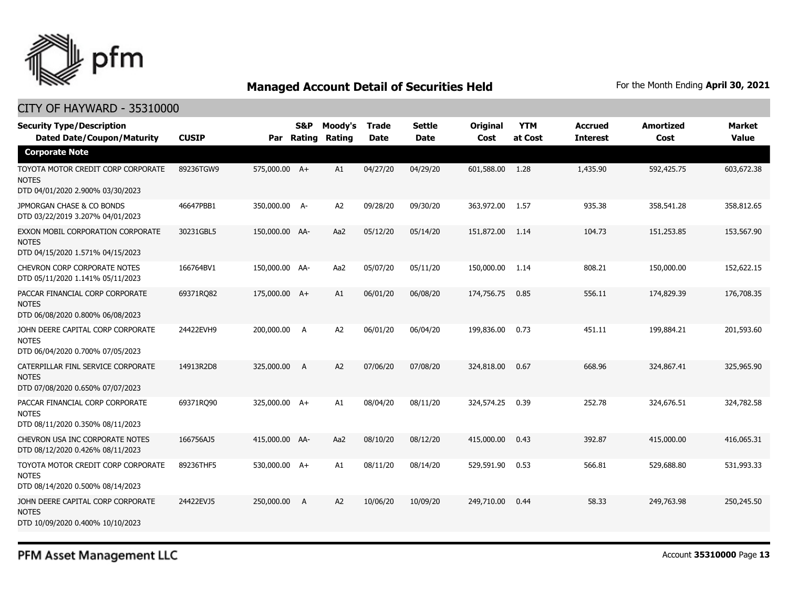

### CITY OF HAYWARD - 35310000

| <b>Security Type/Description</b><br><b>Dated Date/Coupon/Maturity</b>                  | <b>CUSIP</b> | Par            | S&P<br>Rating  | Moody's<br>Rating | <b>Trade</b><br><b>Date</b> | <b>Settle</b><br><b>Date</b> | <b>Original</b><br>Cost | <b>YTM</b><br>at Cost | <b>Accrued</b><br><b>Interest</b> | <b>Amortized</b><br>Cost | <b>Market</b><br><b>Value</b> |
|----------------------------------------------------------------------------------------|--------------|----------------|----------------|-------------------|-----------------------------|------------------------------|-------------------------|-----------------------|-----------------------------------|--------------------------|-------------------------------|
| <b>Corporate Note</b>                                                                  |              |                |                |                   |                             |                              |                         |                       |                                   |                          |                               |
| TOYOTA MOTOR CREDIT CORP CORPORATE<br><b>NOTES</b><br>DTD 04/01/2020 2.900% 03/30/2023 | 89236TGW9    | 575,000.00 A+  |                | A1                | 04/27/20                    | 04/29/20                     | 601,588.00              | 1.28                  | 1,435.90                          | 592,425.75               | 603,672.38                    |
| JPMORGAN CHASE & CO BONDS<br>DTD 03/22/2019 3.207% 04/01/2023                          | 46647PBB1    | 350,000.00 A-  |                | A2                | 09/28/20                    | 09/30/20                     | 363,972.00              | 1.57                  | 935.38                            | 358,541.28               | 358,812.65                    |
| EXXON MOBIL CORPORATION CORPORATE<br><b>NOTES</b><br>DTD 04/15/2020 1.571% 04/15/2023  | 30231GBL5    | 150,000.00 AA- |                | Aa2               | 05/12/20                    | 05/14/20                     | 151,872.00              | 1.14                  | 104.73                            | 151,253.85               | 153,567.90                    |
| CHEVRON CORP CORPORATE NOTES<br>DTD 05/11/2020 1.141% 05/11/2023                       | 166764BV1    | 150,000.00 AA- |                | Aa2               | 05/07/20                    | 05/11/20                     | 150,000.00              | 1.14                  | 808.21                            | 150,000.00               | 152,622.15                    |
| PACCAR FINANCIAL CORP CORPORATE<br><b>NOTES</b><br>DTD 06/08/2020 0.800% 06/08/2023    | 69371RQ82    | 175,000.00 A+  |                | A1                | 06/01/20                    | 06/08/20                     | 174,756.75              | 0.85                  | 556.11                            | 174,829.39               | 176,708.35                    |
| JOHN DEERE CAPITAL CORP CORPORATE<br><b>NOTES</b><br>DTD 06/04/2020 0.700% 07/05/2023  | 24422EVH9    | 200,000.00     | A              | A2                | 06/01/20                    | 06/04/20                     | 199,836.00              | 0.73                  | 451.11                            | 199,884.21               | 201,593.60                    |
| CATERPILLAR FINL SERVICE CORPORATE<br><b>NOTES</b><br>DTD 07/08/2020 0.650% 07/07/2023 | 14913R2D8    | 325,000.00     | A              | A2                | 07/06/20                    | 07/08/20                     | 324,818.00              | 0.67                  | 668.96                            | 324,867.41               | 325,965.90                    |
| PACCAR FINANCIAL CORP CORPORATE<br><b>NOTES</b><br>DTD 08/11/2020 0.350% 08/11/2023    | 69371RQ90    | 325,000.00 A+  |                | A1                | 08/04/20                    | 08/11/20                     | 324,574.25              | 0.39                  | 252.78                            | 324,676.51               | 324,782.58                    |
| CHEVRON USA INC CORPORATE NOTES<br>DTD 08/12/2020 0.426% 08/11/2023                    | 166756AJ5    | 415,000.00 AA- |                | Aa2               | 08/10/20                    | 08/12/20                     | 415,000.00              | 0.43                  | 392.87                            | 415,000.00               | 416,065.31                    |
| TOYOTA MOTOR CREDIT CORP CORPORATE<br><b>NOTES</b><br>DTD 08/14/2020 0.500% 08/14/2023 | 89236THF5    | 530,000.00 A+  |                | A1                | 08/11/20                    | 08/14/20                     | 529,591.90              | 0.53                  | 566.81                            | 529,688.80               | 531,993.33                    |
| JOHN DEERE CAPITAL CORP CORPORATE<br><b>NOTES</b><br>DTD 10/09/2020 0.400% 10/10/2023  | 24422EVJ5    | 250,000.00     | $\overline{A}$ | A2                | 10/06/20                    | 10/09/20                     | 249,710.00              | 0.44                  | 58.33                             | 249,763.98               | 250,245.50                    |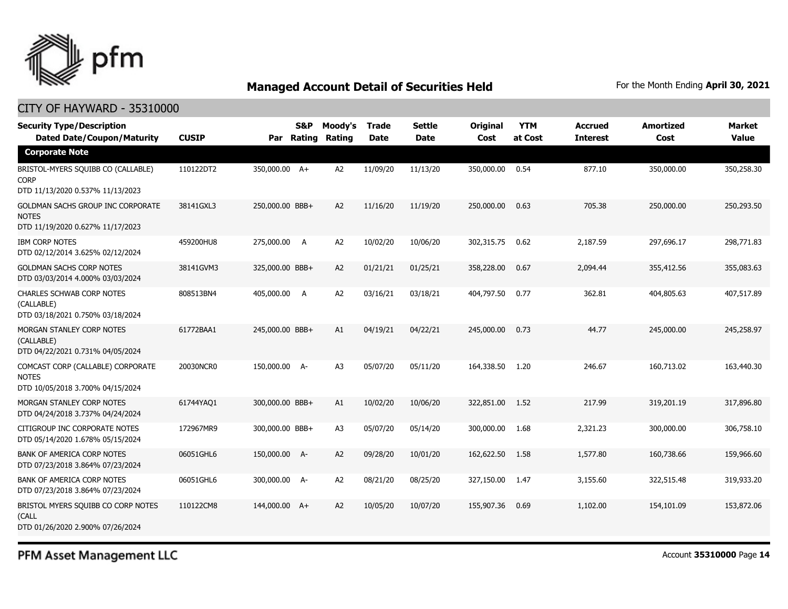

### CITY OF HAYWARD - 35310000

| <b>Security Type/Description</b><br><b>Dated Date/Coupon/Maturity</b>                 | <b>CUSIP</b> | S&P<br>Rating<br>Par | Moody's<br>Rating | <b>Trade</b><br><b>Date</b> | <b>Settle</b><br><b>Date</b> | Original<br>Cost | <b>YTM</b><br>at Cost | <b>Accrued</b><br><b>Interest</b> | <b>Amortized</b><br>Cost | <b>Market</b><br><b>Value</b> |
|---------------------------------------------------------------------------------------|--------------|----------------------|-------------------|-----------------------------|------------------------------|------------------|-----------------------|-----------------------------------|--------------------------|-------------------------------|
| <b>Corporate Note</b>                                                                 |              |                      |                   |                             |                              |                  |                       |                                   |                          |                               |
| BRISTOL-MYERS SQUIBB CO (CALLABLE)<br><b>CORP</b><br>DTD 11/13/2020 0.537% 11/13/2023 | 110122DT2    | 350,000.00 A+        | A <sub>2</sub>    | 11/09/20                    | 11/13/20                     | 350,000.00       | 0.54                  | 877.10                            | 350,000.00               | 350,258.30                    |
| GOLDMAN SACHS GROUP INC CORPORATE<br><b>NOTES</b><br>DTD 11/19/2020 0.627% 11/17/2023 | 38141GXL3    | 250,000.00 BBB+      | A <sub>2</sub>    | 11/16/20                    | 11/19/20                     | 250,000.00       | 0.63                  | 705.38                            | 250,000.00               | 250,293.50                    |
| <b>IBM CORP NOTES</b><br>DTD 02/12/2014 3.625% 02/12/2024                             | 459200HU8    | 275,000.00<br>A      | A <sub>2</sub>    | 10/02/20                    | 10/06/20                     | 302,315.75       | 0.62                  | 2,187.59                          | 297,696.17               | 298,771.83                    |
| <b>GOLDMAN SACHS CORP NOTES</b><br>DTD 03/03/2014 4.000% 03/03/2024                   | 38141GVM3    | 325,000.00 BBB+      | A <sub>2</sub>    | 01/21/21                    | 01/25/21                     | 358,228.00       | 0.67                  | 2,094.44                          | 355,412.56               | 355,083.63                    |
| <b>CHARLES SCHWAB CORP NOTES</b><br>(CALLABLE)<br>DTD 03/18/2021 0.750% 03/18/2024    | 808513BN4    | 405,000.00 A         | A <sub>2</sub>    | 03/16/21                    | 03/18/21                     | 404,797.50       | 0.77                  | 362.81                            | 404,805,63               | 407,517.89                    |
| MORGAN STANLEY CORP NOTES<br>(CALLABLE)<br>DTD 04/22/2021 0.731% 04/05/2024           | 61772BAA1    | 245,000.00 BBB+      | A1                | 04/19/21                    | 04/22/21                     | 245,000.00       | 0.73                  | 44.77                             | 245,000.00               | 245,258.97                    |
| COMCAST CORP (CALLABLE) CORPORATE<br><b>NOTES</b><br>DTD 10/05/2018 3.700% 04/15/2024 | 20030NCR0    | 150,000.00 A-        | A <sub>3</sub>    | 05/07/20                    | 05/11/20                     | 164,338.50       | 1.20                  | 246.67                            | 160,713.02               | 163,440.30                    |
| MORGAN STANLEY CORP NOTES<br>DTD 04/24/2018 3.737% 04/24/2024                         | 61744YAQ1    | 300,000.00 BBB+      | A1                | 10/02/20                    | 10/06/20                     | 322,851.00       | 1.52                  | 217.99                            | 319,201.19               | 317,896.80                    |
| CITIGROUP INC CORPORATE NOTES<br>DTD 05/14/2020 1.678% 05/15/2024                     | 172967MR9    | 300,000.00 BBB+      | A <sub>3</sub>    | 05/07/20                    | 05/14/20                     | 300,000.00       | 1.68                  | 2,321.23                          | 300,000.00               | 306,758.10                    |
| <b>BANK OF AMERICA CORP NOTES</b><br>DTD 07/23/2018 3.864% 07/23/2024                 | 06051GHL6    | 150,000.00 A-        | A2                | 09/28/20                    | 10/01/20                     | 162,622.50       | 1.58                  | 1,577.80                          | 160,738.66               | 159,966.60                    |
| BANK OF AMERICA CORP NOTES<br>DTD 07/23/2018 3.864% 07/23/2024                        | 06051GHL6    | 300,000.00 A-        | A <sub>2</sub>    | 08/21/20                    | 08/25/20                     | 327,150.00       | 1.47                  | 3,155.60                          | 322,515.48               | 319,933.20                    |
| BRISTOL MYERS SQUIBB CO CORP NOTES<br>(CALL<br>DTD 01/26/2020 2.900% 07/26/2024       | 110122CM8    | 144,000.00 A+        | A <sub>2</sub>    | 10/05/20                    | 10/07/20                     | 155,907.36       | 0.69                  | 1,102.00                          | 154,101.09               | 153,872.06                    |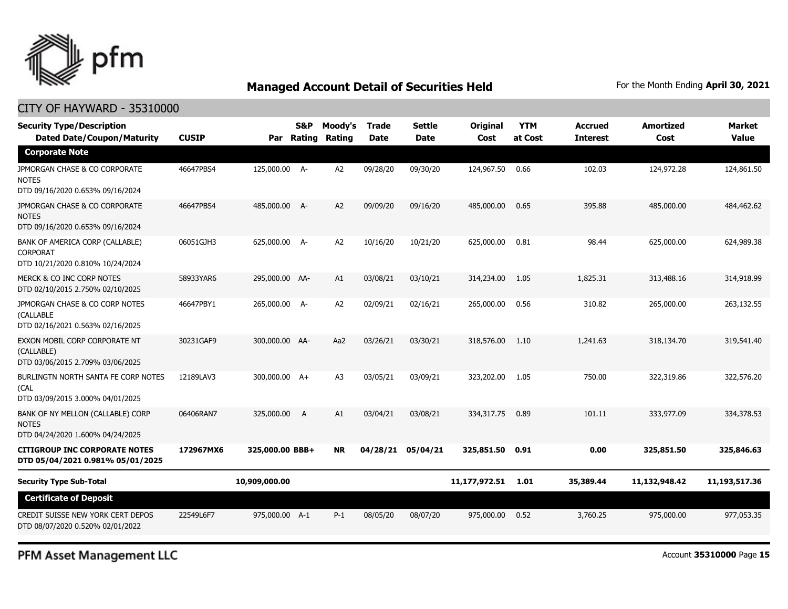

| <b>Security Type/Description</b><br><b>Dated Date/Coupon/Maturity</b>                  | <b>CUSIP</b> | Par             | S&P<br>Rating | Moody's<br>Rating | <b>Trade</b><br><b>Date</b> | <b>Settle</b><br><b>Date</b> | <b>Original</b><br>Cost | <b>YTM</b><br>at Cost | <b>Accrued</b><br><b>Interest</b> | <b>Amortized</b><br>Cost | <b>Market</b><br><b>Value</b> |
|----------------------------------------------------------------------------------------|--------------|-----------------|---------------|-------------------|-----------------------------|------------------------------|-------------------------|-----------------------|-----------------------------------|--------------------------|-------------------------------|
| <b>Corporate Note</b>                                                                  |              |                 |               |                   |                             |                              |                         |                       |                                   |                          |                               |
| JPMORGAN CHASE & CO CORPORATE<br><b>NOTES</b><br>DTD 09/16/2020 0.653% 09/16/2024      | 46647PBS4    | 125,000.00 A-   |               | A <sub>2</sub>    | 09/28/20                    | 09/30/20                     | 124,967.50              | 0.66                  | 102.03                            | 124,972.28               | 124,861.50                    |
| JPMORGAN CHASE & CO CORPORATE<br><b>NOTES</b><br>DTD 09/16/2020 0.653% 09/16/2024      | 46647PBS4    | 485,000.00 A-   |               | A2                | 09/09/20                    | 09/16/20                     | 485,000.00              | 0.65                  | 395.88                            | 485,000.00               | 484,462.62                    |
| BANK OF AMERICA CORP (CALLABLE)<br><b>CORPORAT</b><br>DTD 10/21/2020 0.810% 10/24/2024 | 06051GJH3    | 625,000.00 A-   |               | A <sub>2</sub>    | 10/16/20                    | 10/21/20                     | 625,000.00              | 0.81                  | 98.44                             | 625,000,00               | 624,989.38                    |
| MERCK & CO INC CORP NOTES<br>DTD 02/10/2015 2.750% 02/10/2025                          | 58933YAR6    | 295,000.00 AA-  |               | A1                | 03/08/21                    | 03/10/21                     | 314,234.00              | 1.05                  | 1,825,31                          | 313,488.16               | 314,918.99                    |
| JPMORGAN CHASE & CO CORP NOTES<br>(CALLABLE<br>DTD 02/16/2021 0.563% 02/16/2025        | 46647PBY1    | 265,000.00 A-   |               | A <sub>2</sub>    | 02/09/21                    | 02/16/21                     | 265,000.00              | 0.56                  | 310.82                            | 265,000.00               | 263,132.55                    |
| EXXON MOBIL CORP CORPORATE NT<br>(CALLABLE)<br>DTD 03/06/2015 2.709% 03/06/2025        | 30231GAF9    | 300,000.00 AA-  |               | Aa2               | 03/26/21                    | 03/30/21                     | 318,576.00              | 1.10                  | 1,241.63                          | 318,134.70               | 319,541.40                    |
| BURLINGTN NORTH SANTA FE CORP NOTES<br>(CAL<br>DTD 03/09/2015 3.000% 04/01/2025        | 12189LAV3    | 300,000.00 A+   |               | A <sub>3</sub>    | 03/05/21                    | 03/09/21                     | 323,202.00              | 1.05                  | 750.00                            | 322,319.86               | 322,576.20                    |
| BANK OF NY MELLON (CALLABLE) CORP<br><b>NOTES</b><br>DTD 04/24/2020 1.600% 04/24/2025  | 06406RAN7    | 325,000.00      | A             | A1                | 03/04/21                    | 03/08/21                     | 334, 317, 75            | 0.89                  | 101.11                            | 333,977.09               | 334,378.53                    |
| <b>CITIGROUP INC CORPORATE NOTES</b><br>DTD 05/04/2021 0.981% 05/01/2025               | 172967MX6    | 325,000.00 BBB+ |               | NR                | 04/28/21                    | 05/04/21                     | 325,851.50              | 0.91                  | 0.00                              | 325,851.50               | 325,846.63                    |
| <b>Security Type Sub-Total</b>                                                         |              | 10,909,000.00   |               |                   |                             |                              | 11,177,972.51           | 1.01                  | 35,389.44                         | 11,132,948.42            | 11,193,517.36                 |
| <b>Certificate of Deposit</b>                                                          |              |                 |               |                   |                             |                              |                         |                       |                                   |                          |                               |
| CREDIT SUISSE NEW YORK CERT DEPOS<br>DTD 08/07/2020 0.520% 02/01/2022                  | 22549L6F7    | 975,000.00 A-1  |               | $P-1$             | 08/05/20                    | 08/07/20                     | 975,000.00              | 0.52                  | 3,760.25                          | 975,000.00               | 977,053.35                    |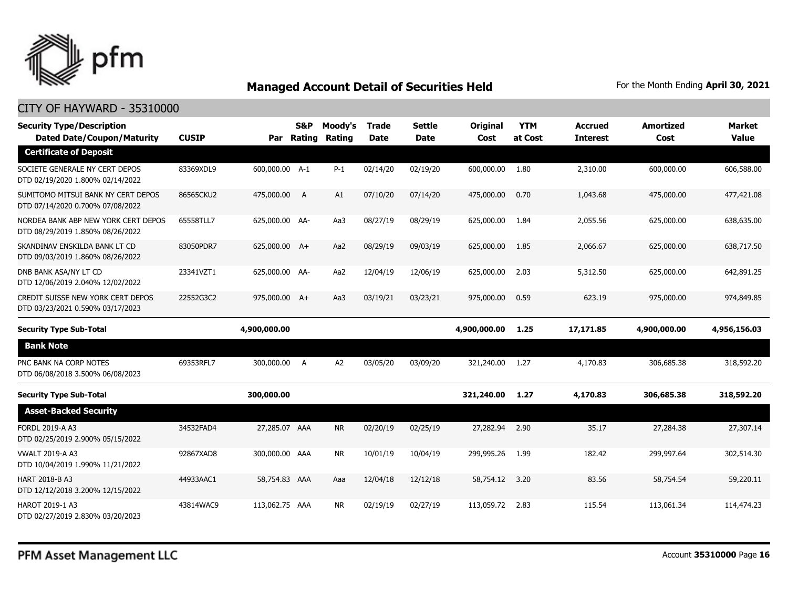

| <b>Security Type/Description</b><br><b>Dated Date/Coupon/Maturity</b>   | <b>CUSIP</b> |                | S&P | Moody's<br>Par Rating Rating | Trade<br><b>Date</b> | <b>Settle</b><br>Date | <b>Original</b><br>Cost | <b>YTM</b><br>at Cost | <b>Accrued</b><br><b>Interest</b> | <b>Amortized</b><br>Cost | <b>Market</b><br><b>Value</b> |
|-------------------------------------------------------------------------|--------------|----------------|-----|------------------------------|----------------------|-----------------------|-------------------------|-----------------------|-----------------------------------|--------------------------|-------------------------------|
| <b>Certificate of Deposit</b>                                           |              |                |     |                              |                      |                       |                         |                       |                                   |                          |                               |
| SOCIETE GENERALE NY CERT DEPOS<br>DTD 02/19/2020 1.800% 02/14/2022      | 83369XDL9    | 600,000.00 A-1 |     | $P-1$                        | 02/14/20             | 02/19/20              | 600,000.00              | 1.80                  | 2,310.00                          | 600,000.00               | 606,588.00                    |
| SUMITOMO MITSUI BANK NY CERT DEPOS<br>DTD 07/14/2020 0.700% 07/08/2022  | 86565CKU2    | 475,000.00 A   |     | A1                           | 07/10/20             | 07/14/20              | 475,000.00              | 0.70                  | 1,043.68                          | 475,000.00               | 477,421.08                    |
| NORDEA BANK ABP NEW YORK CERT DEPOS<br>DTD 08/29/2019 1.850% 08/26/2022 | 65558TLL7    | 625,000.00 AA- |     | Aa3                          | 08/27/19             | 08/29/19              | 625,000.00              | 1.84                  | 2,055.56                          | 625,000.00               | 638,635.00                    |
| SKANDINAV ENSKILDA BANK LT CD<br>DTD 09/03/2019 1.860% 08/26/2022       | 83050PDR7    | 625,000.00 A+  |     | Aa2                          | 08/29/19             | 09/03/19              | 625,000.00              | 1.85                  | 2,066.67                          | 625,000.00               | 638,717.50                    |
| DNB BANK ASA/NY LT CD<br>DTD 12/06/2019 2.040% 12/02/2022               | 23341VZT1    | 625,000.00 AA- |     | Aa2                          | 12/04/19             | 12/06/19              | 625,000.00              | 2.03                  | 5,312.50                          | 625,000.00               | 642,891.25                    |
| CREDIT SUISSE NEW YORK CERT DEPOS<br>DTD 03/23/2021 0.590% 03/17/2023   | 22552G3C2    | 975,000.00 A+  |     | Aa3                          | 03/19/21             | 03/23/21              | 975,000.00              | 0.59                  | 623.19                            | 975,000.00               | 974,849.85                    |
|                                                                         |              |                |     |                              |                      |                       |                         |                       |                                   |                          |                               |
| <b>Security Type Sub-Total</b>                                          |              | 4,900,000.00   |     |                              |                      |                       | 4,900,000.00            | 1.25                  | 17,171.85                         | 4,900,000.00             | 4,956,156.03                  |
| <b>Bank Note</b>                                                        |              |                |     |                              |                      |                       |                         |                       |                                   |                          |                               |
| PNC BANK NA CORP NOTES<br>DTD 06/08/2018 3.500% 06/08/2023              | 69353RFL7    | 300,000.00 A   |     | A <sub>2</sub>               | 03/05/20             | 03/09/20              | 321,240.00              | 1.27                  | 4,170.83                          | 306,685.38               | 318,592.20                    |
| <b>Security Type Sub-Total</b>                                          |              | 300,000.00     |     |                              |                      |                       | 321,240.00              | 1.27                  | 4,170.83                          | 306,685.38               | 318,592.20                    |
| <b>Asset-Backed Security</b>                                            |              |                |     |                              |                      |                       |                         |                       |                                   |                          |                               |
| <b>FORDL 2019-A A3</b><br>DTD 02/25/2019 2.900% 05/15/2022              | 34532FAD4    | 27,285.07 AAA  |     | <b>NR</b>                    | 02/20/19             | 02/25/19              | 27,282.94               | 2.90                  | 35.17                             | 27,284.38                | 27,307.14                     |
| <b>VWALT 2019-A A3</b><br>DTD 10/04/2019 1.990% 11/21/2022              | 92867XAD8    | 300,000.00 AAA |     | <b>NR</b>                    | 10/01/19             | 10/04/19              | 299,995.26              | 1.99                  | 182.42                            | 299,997.64               | 302,514.30                    |
| <b>HART 2018-B A3</b><br>DTD 12/12/2018 3.200% 12/15/2022               | 44933AAC1    | 58,754.83 AAA  |     | Aaa                          | 12/04/18             | 12/12/18              | 58,754.12               | 3.20                  | 83.56                             | 58,754.54                | 59,220.11                     |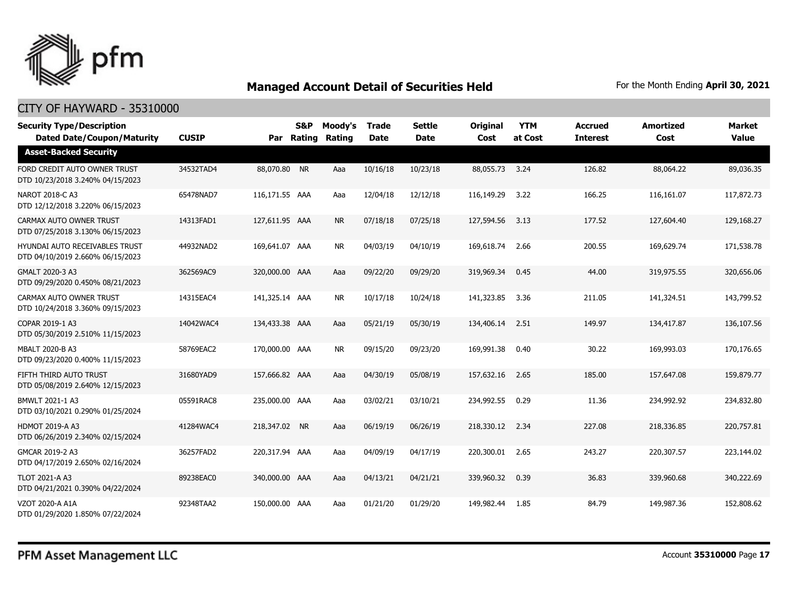

| <b>Security Type/Description</b><br><b>Dated Date/Coupon/Maturity</b> | <b>CUSIP</b> |                | <b>S&amp;P</b><br>Par Rating | Moody's<br>Rating | <b>Trade</b><br><b>Date</b> | <b>Settle</b><br><b>Date</b> | <b>Original</b><br>Cost | <b>YTM</b><br>at Cost | <b>Accrued</b><br><b>Interest</b> | <b>Amortized</b><br>Cost | <b>Market</b><br><b>Value</b> |
|-----------------------------------------------------------------------|--------------|----------------|------------------------------|-------------------|-----------------------------|------------------------------|-------------------------|-----------------------|-----------------------------------|--------------------------|-------------------------------|
| <b>Asset-Backed Security</b>                                          |              |                |                              |                   |                             |                              |                         |                       |                                   |                          |                               |
| FORD CREDIT AUTO OWNER TRUST<br>DTD 10/23/2018 3.240% 04/15/2023      | 34532TAD4    | 88,070.80 NR   |                              | Aaa               | 10/16/18                    | 10/23/18                     | 88,055.73 3.24          |                       | 126.82                            | 88,064.22                | 89,036.35                     |
| NAROT 2018-C A3<br>DTD 12/12/2018 3.220% 06/15/2023                   | 65478NAD7    | 116,171.55 AAA |                              | Aaa               | 12/04/18                    | 12/12/18                     | 116,149.29              | 3.22                  | 166.25                            | 116,161.07               | 117,872.73                    |
| CARMAX AUTO OWNER TRUST<br>DTD 07/25/2018 3.130% 06/15/2023           | 14313FAD1    | 127,611.95 AAA |                              | <b>NR</b>         | 07/18/18                    | 07/25/18                     | 127,594.56              | 3.13                  | 177.52                            | 127,604.40               | 129,168.27                    |
| HYUNDAI AUTO RECEIVABLES TRUST<br>DTD 04/10/2019 2.660% 06/15/2023    | 44932NAD2    | 169,641.07 AAA |                              | NR.               | 04/03/19                    | 04/10/19                     | 169,618.74              | 2.66                  | 200.55                            | 169,629.74               | 171,538.78                    |
| GMALT 2020-3 A3<br>DTD 09/29/2020 0.450% 08/21/2023                   | 362569AC9    | 320,000.00 AAA |                              | Aaa               | 09/22/20                    | 09/29/20                     | 319,969.34              | 0.45                  | 44.00                             | 319,975.55               | 320,656.06                    |
| CARMAX AUTO OWNER TRUST<br>DTD 10/24/2018 3.360% 09/15/2023           | 14315EAC4    | 141,325.14 AAA |                              | <b>NR</b>         | 10/17/18                    | 10/24/18                     | 141,323.85              | 3.36                  | 211.05                            | 141,324.51               | 143,799.52                    |
| COPAR 2019-1 A3<br>DTD 05/30/2019 2.510% 11/15/2023                   | 14042WAC4    | 134,433.38 AAA |                              | Aaa               | 05/21/19                    | 05/30/19                     | 134,406.14              | 2.51                  | 149.97                            | 134,417.87               | 136,107.56                    |
| MBALT 2020-B A3<br>DTD 09/23/2020 0.400% 11/15/2023                   | 58769EAC2    | 170,000.00 AAA |                              | <b>NR</b>         | 09/15/20                    | 09/23/20                     | 169,991.38              | 0.40                  | 30.22                             | 169,993.03               | 170,176.65                    |
| FIFTH THIRD AUTO TRUST<br>DTD 05/08/2019 2.640% 12/15/2023            | 31680YAD9    | 157,666.82 AAA |                              | Aaa               | 04/30/19                    | 05/08/19                     | 157,632.16              | 2.65                  | 185.00                            | 157,647.08               | 159,879.77                    |
| BMWLT 2021-1 A3<br>DTD 03/10/2021 0.290% 01/25/2024                   | 05591RAC8    | 235,000.00 AAA |                              | Aaa               | 03/02/21                    | 03/10/21                     | 234,992.55              | 0.29                  | 11.36                             | 234,992.92               | 234,832.80                    |
| <b>HDMOT 2019-A A3</b><br>DTD 06/26/2019 2.340% 02/15/2024            | 41284WAC4    | 218,347.02 NR  |                              | Aaa               | 06/19/19                    | 06/26/19                     | 218,330.12 2.34         |                       | 227.08                            | 218,336.85               | 220,757.81                    |
| GMCAR 2019-2 A3<br>DTD 04/17/2019 2.650% 02/16/2024                   | 36257FAD2    | 220,317.94 AAA |                              | Aaa               | 04/09/19                    | 04/17/19                     | 220,300.01              | 2.65                  | 243.27                            | 220,307.57               | 223,144.02                    |
| <b>TLOT 2021-A A3</b><br>DTD 04/21/2021 0.390% 04/22/2024             | 89238EAC0    | 340,000.00 AAA |                              | Aaa               | 04/13/21                    | 04/21/21                     | 339,960.32              | 0.39                  | 36.83                             | 339,960,68               | 340,222.69                    |
| VZOT 2020-A A1A<br>DTD 01/29/2020 1.850% 07/22/2024                   | 92348TAA2    | 150,000.00 AAA |                              | Aaa               | 01/21/20                    | 01/29/20                     | 149,982.44              | 1.85                  | 84.79                             | 149,987.36               | 152,808.62                    |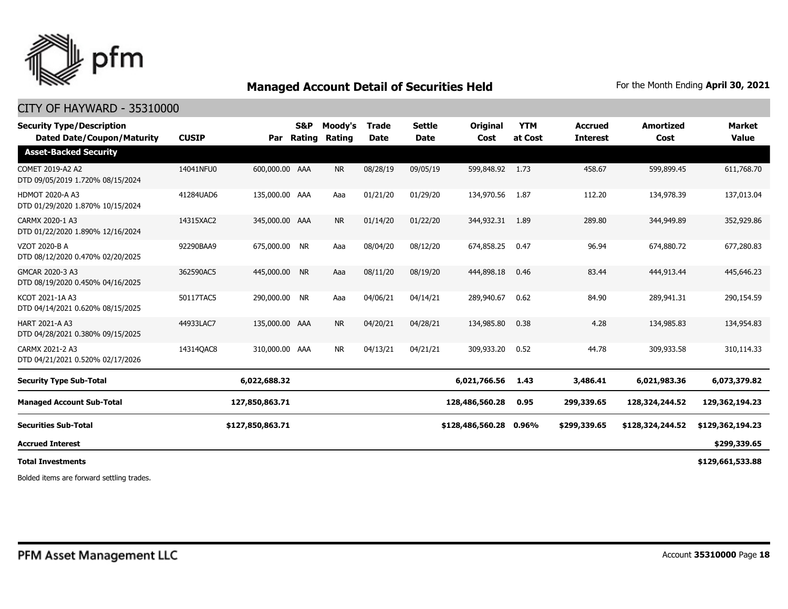

### CITY OF HAYWARD - 35310000

| <b>Security Type/Description</b><br><b>Dated Date/Coupon/Maturity</b> | <b>CUSIP</b> | Par              | S&P<br>Rating | Moody's<br>Rating | <b>Trade</b><br><b>Date</b> | <b>Settle</b><br><b>Date</b> | <b>Original</b><br>Cost | <b>YTM</b><br>at Cost | <b>Accrued</b><br><b>Interest</b> | <b>Amortized</b><br>Cost | <b>Market</b><br><b>Value</b> |
|-----------------------------------------------------------------------|--------------|------------------|---------------|-------------------|-----------------------------|------------------------------|-------------------------|-----------------------|-----------------------------------|--------------------------|-------------------------------|
| <b>Asset-Backed Security</b>                                          |              |                  |               |                   |                             |                              |                         |                       |                                   |                          |                               |
| COMET 2019-A2 A2<br>DTD 09/05/2019 1.720% 08/15/2024                  | 14041NFU0    | 600,000.00 AAA   |               | <b>NR</b>         | 08/28/19                    | 09/05/19                     | 599,848.92              | 1.73                  | 458.67                            | 599,899.45               | 611,768.70                    |
| <b>HDMOT 2020-A A3</b><br>DTD 01/29/2020 1.870% 10/15/2024            | 41284UAD6    | 135,000.00 AAA   |               | Aaa               | 01/21/20                    | 01/29/20                     | 134,970.56              | 1.87                  | 112.20                            | 134,978.39               | 137,013.04                    |
| CARMX 2020-1 A3<br>DTD 01/22/2020 1.890% 12/16/2024                   | 14315XAC2    | 345,000.00 AAA   |               | <b>NR</b>         | 01/14/20                    | 01/22/20                     | 344,932.31              | 1.89                  | 289.80                            | 344,949.89               | 352,929.86                    |
| VZOT 2020-B A<br>DTD 08/12/2020 0.470% 02/20/2025                     | 92290BAA9    | 675,000.00 NR    |               | Aaa               | 08/04/20                    | 08/12/20                     | 674,858.25              | 0.47                  | 96.94                             | 674,880.72               | 677,280.83                    |
| GMCAR 2020-3 A3<br>DTD 08/19/2020 0.450% 04/16/2025                   | 362590AC5    | 445,000.00       | <b>NR</b>     | Aaa               | 08/11/20                    | 08/19/20                     | 444,898.18              | 0.46                  | 83.44                             | 444,913.44               | 445,646.23                    |
| KCOT 2021-1A A3<br>DTD 04/14/2021 0.620% 08/15/2025                   | 50117TAC5    | 290,000.00 NR    |               | Aaa               | 04/06/21                    | 04/14/21                     | 289,940.67              | 0.62                  | 84.90                             | 289,941.31               | 290,154.59                    |
| <b>HART 2021-A A3</b><br>DTD 04/28/2021 0.380% 09/15/2025             | 44933LAC7    | 135,000.00 AAA   |               | <b>NR</b>         | 04/20/21                    | 04/28/21                     | 134,985.80              | 0.38                  | 4.28                              | 134,985.83               | 134,954.83                    |
| CARMX 2021-2 A3<br>DTD 04/21/2021 0.520% 02/17/2026                   | 14314QAC8    | 310,000.00 AAA   |               | <b>NR</b>         | 04/13/21                    | 04/21/21                     | 309,933.20              | 0.52                  | 44.78                             | 309,933.58               | 310,114.33                    |
| <b>Security Type Sub-Total</b>                                        |              | 6,022,688.32     |               |                   |                             |                              | 6,021,766.56            | 1.43                  | 3,486.41                          | 6,021,983.36             | 6,073,379.82                  |
| <b>Managed Account Sub-Total</b>                                      |              | 127,850,863.71   |               |                   |                             |                              | 128,486,560.28          | 0.95                  | 299,339.65                        | 128,324,244.52           | 129,362,194.23                |
| <b>Securities Sub-Total</b>                                           |              | \$127,850,863.71 |               |                   |                             |                              | \$128,486,560.28        | 0.96%                 | \$299,339.65                      | \$128,324,244.52         | \$129,362,194.23              |
| <b>Accrued Interest</b>                                               |              |                  |               |                   |                             |                              |                         |                       |                                   |                          | \$299,339.65                  |
| <b>Total Investments</b>                                              |              |                  |               |                   |                             |                              |                         |                       |                                   |                          | \$129,661,533.88              |

Bolded items are forward settling trades.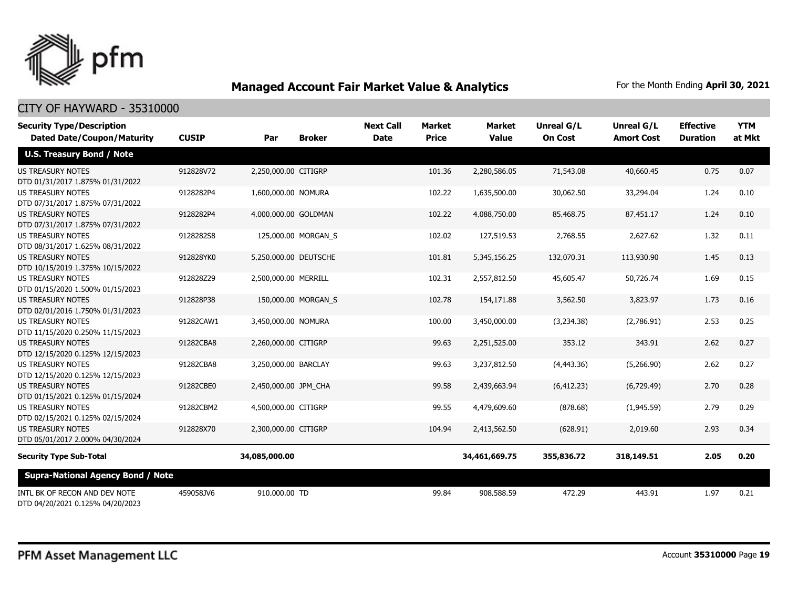

| <b>Security Type/Description</b><br><b>Dated Date/Coupon/Maturity</b> | <b>CUSIP</b> | Par                   | <b>Broker</b>       | <b>Next Call</b><br><b>Date</b> | <b>Market</b><br><b>Price</b> | Market<br><b>Value</b> | <b>Unreal G/L</b><br><b>On Cost</b> | Unreal G/L<br><b>Amort Cost</b> | <b>Effective</b><br><b>Duration</b> | <b>YTM</b><br>at Mkt |
|-----------------------------------------------------------------------|--------------|-----------------------|---------------------|---------------------------------|-------------------------------|------------------------|-------------------------------------|---------------------------------|-------------------------------------|----------------------|
| <b>U.S. Treasury Bond / Note</b>                                      |              |                       |                     |                                 |                               |                        |                                     |                                 |                                     |                      |
| <b>US TREASURY NOTES</b><br>DTD 01/31/2017 1.875% 01/31/2022          | 912828V72    | 2,250,000.00 CITIGRP  |                     |                                 | 101.36                        | 2,280,586.05           | 71,543.08                           | 40,660.45                       | 0.75                                | 0.07                 |
| <b>US TREASURY NOTES</b><br>DTD 07/31/2017 1.875% 07/31/2022          | 9128282P4    | 1,600,000.00 NOMURA   |                     |                                 | 102.22                        | 1,635,500.00           | 30,062.50                           | 33,294.04                       | 1.24                                | 0.10                 |
| <b>US TREASURY NOTES</b><br>DTD 07/31/2017 1.875% 07/31/2022          | 9128282P4    | 4,000,000.00 GOLDMAN  |                     |                                 | 102.22                        | 4,088,750.00           | 85,468.75                           | 87,451.17                       | 1.24                                | 0.10                 |
| <b>US TREASURY NOTES</b><br>DTD 08/31/2017 1.625% 08/31/2022          | 9128282S8    |                       | 125,000.00 MORGAN S |                                 | 102.02                        | 127,519.53             | 2,768.55                            | 2,627.62                        | 1.32                                | 0.11                 |
| <b>US TREASURY NOTES</b><br>DTD 10/15/2019 1.375% 10/15/2022          | 912828YK0    | 5,250,000.00 DEUTSCHE |                     |                                 | 101.81                        | 5,345,156.25           | 132,070.31                          | 113,930.90                      | 1.45                                | 0.13                 |
| <b>US TREASURY NOTES</b><br>DTD 01/15/2020 1.500% 01/15/2023          | 912828Z29    | 2,500,000.00 MERRILL  |                     |                                 | 102.31                        | 2,557,812.50           | 45,605.47                           | 50,726.74                       | 1.69                                | 0.15                 |
| <b>US TREASURY NOTES</b><br>DTD 02/01/2016 1.750% 01/31/2023          | 912828P38    |                       | 150,000.00 MORGAN_S |                                 | 102.78                        | 154,171.88             | 3,562.50                            | 3,823.97                        | 1.73                                | 0.16                 |
| <b>US TREASURY NOTES</b><br>DTD 11/15/2020 0.250% 11/15/2023          | 91282CAW1    | 3,450,000.00 NOMURA   |                     |                                 | 100.00                        | 3,450,000.00           | (3,234.38)                          | (2.786.91)                      | 2.53                                | 0.25                 |
| <b>US TREASURY NOTES</b><br>DTD 12/15/2020 0.125% 12/15/2023          | 91282CBA8    | 2,260,000.00 CITIGRP  |                     |                                 | 99.63                         | 2,251,525.00           | 353.12                              | 343.91                          | 2.62                                | 0.27                 |
| <b>US TREASURY NOTES</b><br>DTD 12/15/2020 0.125% 12/15/2023          | 91282CBA8    | 3,250,000.00 BARCLAY  |                     |                                 | 99.63                         | 3,237,812.50           | (4,443.36)                          | (5,266.90)                      | 2.62                                | 0.27                 |
| <b>US TREASURY NOTES</b><br>DTD 01/15/2021 0.125% 01/15/2024          | 91282CBE0    | 2,450,000.00 JPM_CHA  |                     |                                 | 99.58                         | 2,439,663,94           | (6, 412.23)                         | (6,729.49)                      | 2.70                                | 0.28                 |
| <b>US TREASURY NOTES</b><br>DTD 02/15/2021 0.125% 02/15/2024          | 91282CBM2    | 4,500,000.00 CITIGRP  |                     |                                 | 99.55                         | 4,479,609.60           | (878.68)                            | (1,945.59)                      | 2.79                                | 0.29                 |
| <b>US TREASURY NOTES</b><br>DTD 05/01/2017 2.000% 04/30/2024          | 912828X70    | 2,300,000.00 CITIGRP  |                     |                                 | 104.94                        | 2,413,562.50           | (628.91)                            | 2,019.60                        | 2.93                                | 0.34                 |
| <b>Security Type Sub-Total</b>                                        |              | 34,085,000.00         |                     |                                 |                               | 34,461,669.75          | 355,836.72                          | 318,149.51                      | 2.05                                | 0.20                 |
| <b>Supra-National Agency Bond / Note</b>                              |              |                       |                     |                                 |                               |                        |                                     |                                 |                                     |                      |
| INTL BK OF RECON AND DEV NOTE<br>DTD 04/20/2021 0.125% 04/20/2023     | 459058JV6    | 910,000.00 TD         |                     |                                 | 99.84                         | 908,588.59             | 472.29                              | 443.91                          | 1.97                                | 0.21                 |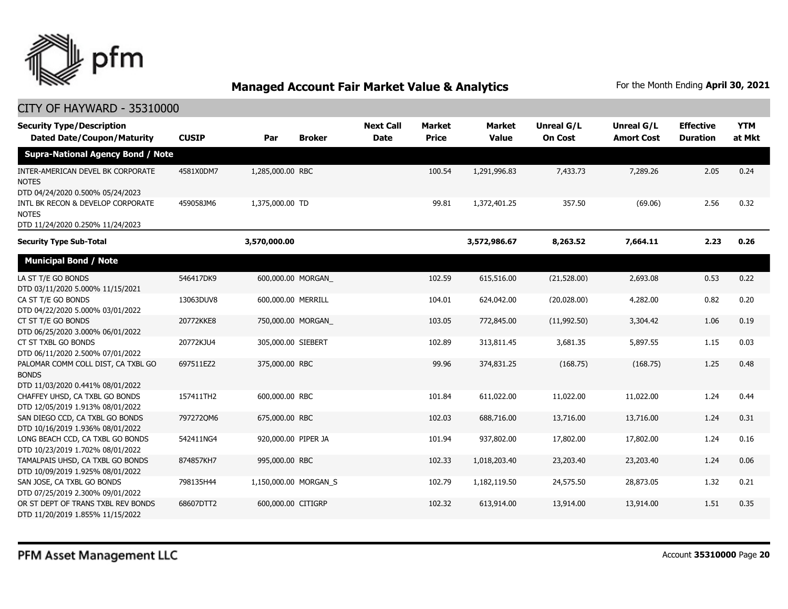

| <b>Security Type/Description</b><br><b>Dated Date/Coupon/Maturity</b>                  | <b>CUSIP</b> | Par                   | <b>Broker</b> | <b>Next Call</b><br><b>Date</b> | <b>Market</b><br><b>Price</b> | <b>Market</b><br><b>Value</b> | Unreal G/L<br><b>On Cost</b> | Unreal G/L<br><b>Amort Cost</b> | <b>Effective</b><br><b>Duration</b> | <b>YTM</b><br>at Mkt |
|----------------------------------------------------------------------------------------|--------------|-----------------------|---------------|---------------------------------|-------------------------------|-------------------------------|------------------------------|---------------------------------|-------------------------------------|----------------------|
| <b>Supra-National Agency Bond / Note</b>                                               |              |                       |               |                                 |                               |                               |                              |                                 |                                     |                      |
| INTER-AMERICAN DEVEL BK CORPORATE<br><b>NOTES</b><br>DTD 04/24/2020 0.500% 05/24/2023  | 4581X0DM7    | 1,285,000.00 RBC      |               |                                 | 100.54                        | 1,291,996.83                  | 7,433.73                     | 7,289.26                        | 2.05                                | 0.24                 |
| INTL BK RECON & DEVELOP CORPORATE<br><b>NOTES</b><br>DTD 11/24/2020 0.250% 11/24/2023  | 459058JM6    | 1,375,000.00 TD       |               |                                 | 99.81                         | 1,372,401.25                  | 357.50                       | (69.06)                         | 2.56                                | 0.32                 |
| <b>Security Type Sub-Total</b>                                                         |              | 3,570,000.00          |               |                                 |                               | 3,572,986.67                  | 8,263.52                     | 7,664.11                        | 2.23                                | 0.26                 |
| <b>Municipal Bond / Note</b>                                                           |              |                       |               |                                 |                               |                               |                              |                                 |                                     |                      |
| LA ST T/E GO BONDS<br>DTD 03/11/2020 5.000% 11/15/2021                                 | 546417DK9    | 600,000.00 MORGAN     |               |                                 | 102.59                        | 615,516.00                    | (21,528.00)                  | 2,693.08                        | 0.53                                | 0.22                 |
| CA ST T/E GO BONDS<br>DTD 04/22/2020 5.000% 03/01/2022                                 | 13063DUV8    | 600,000.00 MERRILL    |               |                                 | 104.01                        | 624,042.00                    | (20,028.00)                  | 4,282.00                        | 0.82                                | 0.20                 |
| CT ST T/E GO BONDS<br>DTD 06/25/2020 3.000% 06/01/2022                                 | 20772KKE8    | 750,000.00 MORGAN     |               |                                 | 103.05                        | 772,845.00                    | (11,992.50)                  | 3,304.42                        | 1.06                                | 0.19                 |
| CT ST TXBL GO BONDS<br>DTD 06/11/2020 2.500% 07/01/2022                                | 20772KJU4    | 305,000.00 SIEBERT    |               |                                 | 102.89                        | 313,811.45                    | 3,681.35                     | 5,897.55                        | 1.15                                | 0.03                 |
| PALOMAR COMM COLL DIST, CA TXBL GO<br><b>BONDS</b><br>DTD 11/03/2020 0.441% 08/01/2022 | 697511EZ2    | 375,000.00 RBC        |               |                                 | 99.96                         | 374,831.25                    | (168.75)                     | (168.75)                        | 1.25                                | 0.48                 |
| CHAFFEY UHSD, CA TXBL GO BONDS<br>DTD 12/05/2019 1.913% 08/01/2022                     | 157411TH2    | 600,000.00 RBC        |               |                                 | 101.84                        | 611,022.00                    | 11,022.00                    | 11,022.00                       | 1.24                                | 0.44                 |
| SAN DIEGO CCD, CA TXBL GO BONDS<br>DTD 10/16/2019 1.936% 08/01/2022                    | 7972720M6    | 675,000.00 RBC        |               |                                 | 102.03                        | 688,716.00                    | 13,716.00                    | 13,716.00                       | 1.24                                | 0.31                 |
| LONG BEACH CCD, CA TXBL GO BONDS<br>DTD 10/23/2019 1.702% 08/01/2022                   | 542411NG4    | 920,000.00 PIPER JA   |               |                                 | 101.94                        | 937,802.00                    | 17,802.00                    | 17,802.00                       | 1.24                                | 0.16                 |
| TAMALPAIS UHSD, CA TXBL GO BONDS<br>DTD 10/09/2019 1.925% 08/01/2022                   | 874857KH7    | 995,000.00 RBC        |               |                                 | 102.33                        | 1,018,203.40                  | 23,203.40                    | 23,203.40                       | 1.24                                | 0.06                 |
| SAN JOSE, CA TXBL GO BONDS<br>DTD 07/25/2019 2.300% 09/01/2022                         | 798135H44    | 1,150,000.00 MORGAN S |               |                                 | 102.79                        | 1,182,119.50                  | 24,575.50                    | 28,873.05                       | 1.32                                | 0.21                 |
| OR ST DEPT OF TRANS TXBL REV BONDS<br>DTD 11/20/2019 1.855% 11/15/2022                 | 68607DTT2    | 600,000.00 CITIGRP    |               |                                 | 102.32                        | 613,914.00                    | 13,914.00                    | 13,914.00                       | 1.51                                | 0.35                 |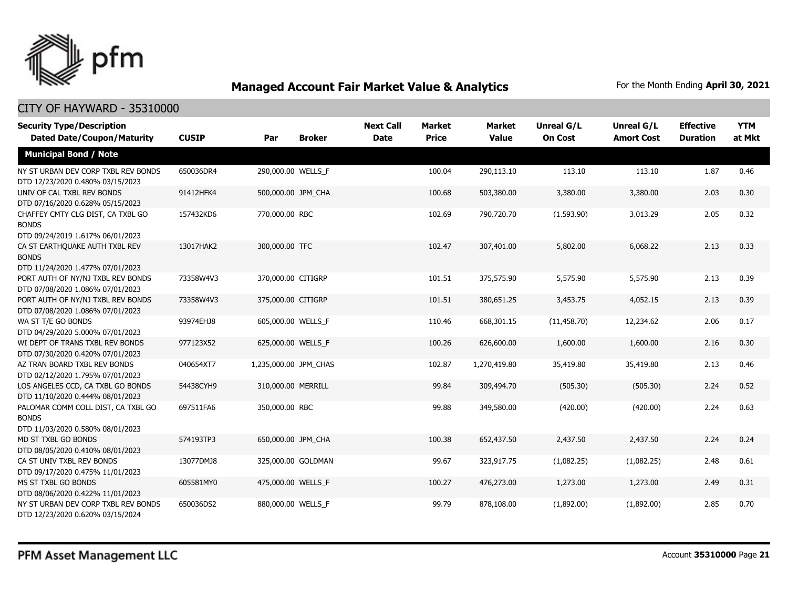

| <b>Security Type/Description</b><br><b>Dated Date/Coupon/Maturity</b>                  | <b>CUSIP</b> | Par                   | <b>Broker</b> | <b>Next Call</b><br><b>Date</b> | <b>Market</b><br><b>Price</b> | <b>Market</b><br><b>Value</b> | <b>Unreal G/L</b><br><b>On Cost</b> | Unreal G/L<br><b>Amort Cost</b> | <b>Effective</b><br><b>Duration</b> | <b>YTM</b><br>at Mkt |
|----------------------------------------------------------------------------------------|--------------|-----------------------|---------------|---------------------------------|-------------------------------|-------------------------------|-------------------------------------|---------------------------------|-------------------------------------|----------------------|
| <b>Municipal Bond / Note</b>                                                           |              |                       |               |                                 |                               |                               |                                     |                                 |                                     |                      |
| NY ST URBAN DEV CORP TXBL REV BONDS<br>DTD 12/23/2020 0.480% 03/15/2023                | 650036DR4    | 290,000.00 WELLS F    |               |                                 | 100.04                        | 290,113.10                    | 113.10                              | 113.10                          | 1.87                                | 0.46                 |
| UNIV OF CAL TXBL REV BONDS<br>DTD 07/16/2020 0.628% 05/15/2023                         | 91412HFK4    | 500,000.00 JPM_CHA    |               |                                 | 100.68                        | 503,380.00                    | 3,380.00                            | 3,380.00                        | 2.03                                | 0.30                 |
| CHAFFEY CMTY CLG DIST, CA TXBL GO<br><b>BONDS</b><br>DTD 09/24/2019 1.617% 06/01/2023  | 157432KD6    | 770,000.00 RBC        |               |                                 | 102.69                        | 790,720.70                    | (1,593.90)                          | 3,013.29                        | 2.05                                | 0.32                 |
| CA ST EARTHOUAKE AUTH TXBL REV<br><b>BONDS</b><br>DTD 11/24/2020 1.477% 07/01/2023     | 13017HAK2    | 300,000.00 TFC        |               |                                 | 102.47                        | 307,401.00                    | 5,802.00                            | 6,068.22                        | 2.13                                | 0.33                 |
| PORT AUTH OF NY/NJ TXBL REV BONDS<br>DTD 07/08/2020 1.086% 07/01/2023                  | 73358W4V3    | 370,000.00 CITIGRP    |               |                                 | 101.51                        | 375,575.90                    | 5,575.90                            | 5,575.90                        | 2.13                                | 0.39                 |
| PORT AUTH OF NY/NJ TXBL REV BONDS<br>DTD 07/08/2020 1.086% 07/01/2023                  | 73358W4V3    | 375,000.00 CITIGRP    |               |                                 | 101.51                        | 380,651.25                    | 3,453.75                            | 4,052.15                        | 2.13                                | 0.39                 |
| WA ST T/E GO BONDS<br>DTD 04/29/2020 5.000% 07/01/2023                                 | 93974EHJ8    | 605,000.00 WELLS_F    |               |                                 | 110.46                        | 668,301.15                    | (11, 458.70)                        | 12,234.62                       | 2.06                                | 0.17                 |
| WI DEPT OF TRANS TXBL REV BONDS<br>DTD 07/30/2020 0.420% 07/01/2023                    | 977123X52    | 625,000.00 WELLS F    |               |                                 | 100.26                        | 626,600.00                    | 1,600.00                            | 1,600.00                        | 2.16                                | 0.30                 |
| AZ TRAN BOARD TXBL REV BONDS<br>DTD 02/12/2020 1.795% 07/01/2023                       | 040654XT7    | 1,235,000.00 JPM_CHAS |               |                                 | 102.87                        | 1,270,419.80                  | 35,419.80                           | 35,419.80                       | 2.13                                | 0.46                 |
| LOS ANGELES CCD, CA TXBL GO BONDS<br>DTD 11/10/2020 0.444% 08/01/2023                  | 54438CYH9    | 310,000.00 MERRILL    |               |                                 | 99.84                         | 309,494.70                    | (505.30)                            | (505.30)                        | 2.24                                | 0.52                 |
| PALOMAR COMM COLL DIST, CA TXBL GO<br><b>BONDS</b><br>DTD 11/03/2020 0.580% 08/01/2023 | 697511FA6    | 350,000.00 RBC        |               |                                 | 99.88                         | 349,580.00                    | (420.00)                            | (420.00)                        | 2.24                                | 0.63                 |
| MD ST TXBL GO BONDS<br>DTD 08/05/2020 0.410% 08/01/2023                                | 574193TP3    | 650,000.00 JPM_CHA    |               |                                 | 100.38                        | 652,437.50                    | 2,437.50                            | 2,437.50                        | 2.24                                | 0.24                 |
| CA ST UNIV TXBL REV BONDS<br>DTD 09/17/2020 0.475% 11/01/2023                          | 13077DMJ8    | 325,000.00 GOLDMAN    |               |                                 | 99.67                         | 323,917.75                    | (1,082.25)                          | (1,082.25)                      | 2.48                                | 0.61                 |
| MS ST TXBL GO BONDS<br>DTD 08/06/2020 0.422% 11/01/2023                                | 605581MY0    | 475,000.00 WELLS_F    |               |                                 | 100.27                        | 476,273.00                    | 1,273.00                            | 1,273.00                        | 2.49                                | 0.31                 |
| NY ST URBAN DEV CORP TXBL REV BONDS<br>DTD 12/23/2020 0.620% 03/15/2024                | 650036DS2    | 880,000.00 WELLS F    |               |                                 | 99.79                         | 878,108.00                    | (1,892.00)                          | (1,892.00)                      | 2.85                                | 0.70                 |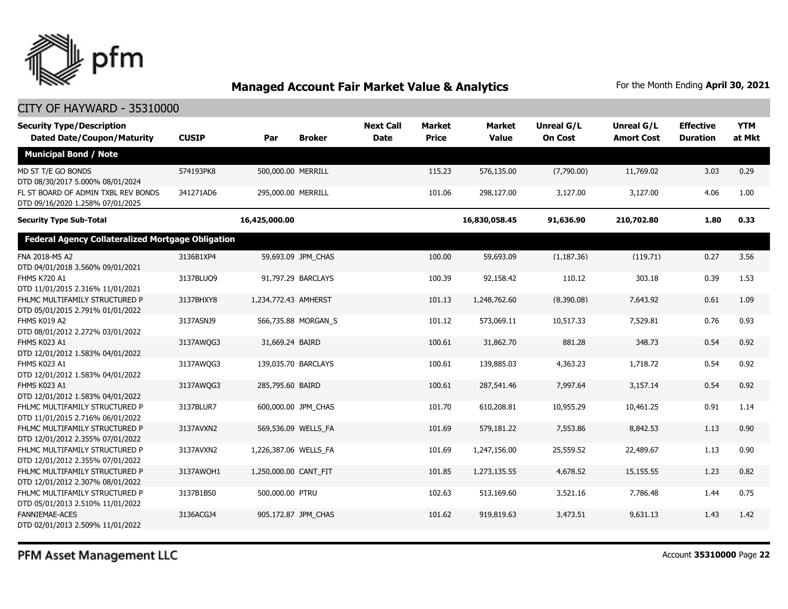

### CITY OF HAYWARD - 35310000

| <b>Security Type/Description</b><br><b>Dated Date/Coupon/Maturity</b>   | <b>CUSIP</b> | Par                   | <b>Broker</b>       | <b>Next Call</b><br><b>Date</b> | <b>Market</b><br><b>Price</b> | <b>Market</b><br><b>Value</b> | <b>Unreal G/L</b><br><b>On Cost</b> | Unreal G/L<br><b>Amort Cost</b> | <b>Effective</b><br><b>Duration</b> | <b>YTM</b><br>at Mkt |
|-------------------------------------------------------------------------|--------------|-----------------------|---------------------|---------------------------------|-------------------------------|-------------------------------|-------------------------------------|---------------------------------|-------------------------------------|----------------------|
| <b>Municipal Bond / Note</b>                                            |              |                       |                     |                                 |                               |                               |                                     |                                 |                                     |                      |
| MD ST T/E GO BONDS<br>DTD 08/30/2017 5.000% 08/01/2024                  | 574193PK8    | 500,000.00 MERRILL    |                     |                                 | 115.23                        | 576,135.00                    | (7.790.00)                          | 11,769.02                       | 3.03                                | 0.29                 |
| FL ST BOARD OF ADMIN TXBL REV BONDS<br>DTD 09/16/2020 1.258% 07/01/2025 | 341271AD6    | 295,000.00 MERRILL    |                     |                                 | 101.06                        | 298,127.00                    | 3,127.00                            | 3,127.00                        | 4.06                                | 1.00                 |
| <b>Security Type Sub-Total</b>                                          |              | 16,425,000.00         |                     |                                 |                               | 16,830,058.45                 | 91,636.90                           | 210,702.80                      | 1.80                                | 0.33                 |
| <b>Federal Agency Collateralized Mortgage Obligation</b>                |              |                       |                     |                                 |                               |                               |                                     |                                 |                                     |                      |
| FNA 2018-M5 A2<br>DTD 04/01/2018 3.560% 09/01/2021                      | 3136B1XP4    |                       | 59,693.09 JPM_CHAS  |                                 | 100.00                        | 59,693.09                     | (1, 187.36)                         | (119.71)                        | 0.27                                | 3.56                 |
| <b>FHMS K720 A1</b><br>DTD 11/01/2015 2.316% 11/01/2021                 | 3137BLUQ9    |                       | 91,797.29 BARCLAYS  |                                 | 100.39                        | 92,158.42                     | 110.12                              | 303.18                          | 0.39                                | 1.53                 |
| FHLMC MULTIFAMILY STRUCTURED P<br>DTD 05/01/2015 2.791% 01/01/2022      | 3137BHXY8    | 1,234,772.43 AMHERST  |                     |                                 | 101.13                        | 1,248,762.60                  | (8,390.08)                          | 7,643.92                        | 0.61                                | 1.09                 |
| FHMS K019 A2<br>DTD 08/01/2012 2.272% 03/01/2022                        | 3137ASNJ9    |                       | 566,735.88 MORGAN_S |                                 | 101.12                        | 573,069.11                    | 10,517.33                           | 7,529.81                        | 0.76                                | 0.93                 |
| FHMS K023 A1<br>DTD 12/01/2012 1.583% 04/01/2022                        | 3137AWQG3    | 31,669.24 BAIRD       |                     |                                 | 100.61                        | 31,862.70                     | 881.28                              | 348.73                          | 0.54                                | 0.92                 |
| FHMS K023 A1<br>DTD 12/01/2012 1.583% 04/01/2022                        | 3137AWOG3    | 139,035.70 BARCLAYS   |                     |                                 | 100.61                        | 139,885.03                    | 4,363.23                            | 1,718.72                        | 0.54                                | 0.92                 |
| FHMS K023 A1<br>DTD 12/01/2012 1.583% 04/01/2022                        | 3137AWQG3    | 285,795.60 BAIRD      |                     |                                 | 100.61                        | 287,541.46                    | 7,997.64                            | 3,157.14                        | 0.54                                | 0.92                 |
| FHLMC MULTIFAMILY STRUCTURED P<br>DTD 11/01/2015 2.716% 06/01/2022      | 3137BLUR7    |                       | 600,000.00 JPM CHAS |                                 | 101.70                        | 610,208.81                    | 10,955.29                           | 10,461.25                       | 0.91                                | 1.14                 |
| FHLMC MULTIFAMILY STRUCTURED P<br>DTD 12/01/2012 2.355% 07/01/2022      | 3137AVXN2    | 569,536.09 WELLS_FA   |                     |                                 | 101.69                        | 579,181.22                    | 7,553.86                            | 8,842.53                        | 1.13                                | 0.90                 |
| FHLMC MULTIFAMILY STRUCTURED P<br>DTD 12/01/2012 2.355% 07/01/2022      | 3137AVXN2    | 1,226,387.06 WELLS_FA |                     |                                 | 101.69                        | 1,247,156.00                  | 25,559.52                           | 22,489.67                       | 1.13                                | 0.90                 |
| FHLMC MULTIFAMILY STRUCTURED P<br>DTD 12/01/2012 2.307% 08/01/2022      | 3137AWQH1    | 1,250,000.00 CANT FIT |                     |                                 | 101.85                        | 1,273,135.55                  | 4,678.52                            | 15,155.55                       | 1.23                                | 0.82                 |
| FHLMC MULTIFAMILY STRUCTURED P<br>DTD 05/01/2013 2.510% 11/01/2022      | 3137B1BS0    | 500,000.00 PTRU       |                     |                                 | 102.63                        | 513,169.60                    | 3,521.16                            | 7,786.48                        | 1.44                                | 0.75                 |
| <b>FANNIEMAE-ACES</b><br>DTD 02/01/2013 2.509% 11/01/2022               | 3136ACGJ4    |                       | 905,172.87 JPM CHAS |                                 | 101.62                        | 919,819.63                    | 3,473.51                            | 9,631.13                        | 1.43                                | 1.42                 |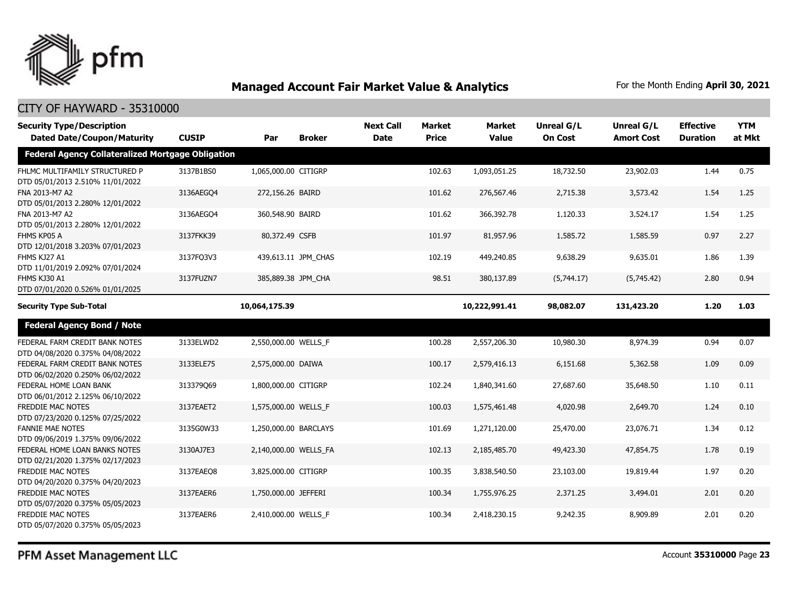

| <b>Security Type/Description</b><br><b>Dated Date/Coupon/Maturity</b> | <b>CUSIP</b> | Par                   | <b>Broker</b>       | <b>Next Call</b><br><b>Date</b> | <b>Market</b><br><b>Price</b> | <b>Market</b><br><b>Value</b> | <b>Unreal G/L</b><br><b>On Cost</b> | Unreal G/L<br><b>Amort Cost</b> | <b>Effective</b><br><b>Duration</b> | <b>YTM</b><br>at Mkt |
|-----------------------------------------------------------------------|--------------|-----------------------|---------------------|---------------------------------|-------------------------------|-------------------------------|-------------------------------------|---------------------------------|-------------------------------------|----------------------|
| <b>Federal Agency Collateralized Mortgage Obligation</b>              |              |                       |                     |                                 |                               |                               |                                     |                                 |                                     |                      |
| FHLMC MULTIFAMILY STRUCTURED P<br>DTD 05/01/2013 2.510% 11/01/2022    | 3137B1BS0    | 1,065,000.00 CITIGRP  |                     |                                 | 102.63                        | 1,093,051.25                  | 18,732.50                           | 23,902.03                       | 1.44                                | 0.75                 |
| FNA 2013-M7 A2<br>DTD 05/01/2013 2.280% 12/01/2022                    | 3136AEGO4    | 272,156.26 BAIRD      |                     |                                 | 101.62                        | 276,567.46                    | 2,715.38                            | 3,573.42                        | 1.54                                | 1.25                 |
| FNA 2013-M7 A2<br>DTD 05/01/2013 2.280% 12/01/2022                    | 3136AEGO4    | 360,548.90 BAIRD      |                     |                                 | 101.62                        | 366,392.78                    | 1,120.33                            | 3,524.17                        | 1.54                                | 1.25                 |
| FHMS KP05 A<br>DTD 12/01/2018 3.203% 07/01/2023                       | 3137FKK39    | 80,372.49 CSFB        |                     |                                 | 101.97                        | 81,957.96                     | 1,585.72                            | 1,585.59                        | 0.97                                | 2.27                 |
| FHMS KJ27 A1<br>DTD 11/01/2019 2.092% 07/01/2024                      | 3137FQ3V3    |                       | 439,613.11 JPM_CHAS |                                 | 102.19                        | 449,240.85                    | 9,638.29                            | 9,635.01                        | 1.86                                | 1.39                 |
| FHMS KJ30 A1<br>DTD 07/01/2020 0.526% 01/01/2025                      | 3137FUZN7    | 385,889.38 JPM_CHA    |                     |                                 | 98.51                         | 380,137.89                    | (5,744.17)                          | (5,745.42)                      | 2.80                                | 0.94                 |
| <b>Security Type Sub-Total</b>                                        |              | 10,064,175.39         |                     |                                 |                               | 10,222,991.41                 | 98,082.07                           | 131,423.20                      | 1.20                                | 1.03                 |
| <b>Federal Agency Bond / Note</b>                                     |              |                       |                     |                                 |                               |                               |                                     |                                 |                                     |                      |
| FEDERAL FARM CREDIT BANK NOTES<br>DTD 04/08/2020 0.375% 04/08/2022    | 3133ELWD2    | 2,550,000.00 WELLS_F  |                     |                                 | 100.28                        | 2,557,206.30                  | 10,980.30                           | 8,974.39                        | 0.94                                | 0.07                 |
| FEDERAL FARM CREDIT BANK NOTES<br>DTD 06/02/2020 0.250% 06/02/2022    | 3133ELE75    | 2,575,000.00 DAIWA    |                     |                                 | 100.17                        | 2,579,416.13                  | 6,151.68                            | 5,362.58                        | 1.09                                | 0.09                 |
| FEDERAL HOME LOAN BANK<br>DTD 06/01/2012 2.125% 06/10/2022            | 313379069    | 1,800,000.00 CITIGRP  |                     |                                 | 102.24                        | 1,840,341.60                  | 27,687.60                           | 35,648.50                       | 1.10                                | 0.11                 |
| <b>FREDDIE MAC NOTES</b><br>DTD 07/23/2020 0.125% 07/25/2022          | 3137EAET2    | 1,575,000.00 WELLS_F  |                     |                                 | 100.03                        | 1,575,461.48                  | 4,020.98                            | 2,649.70                        | 1.24                                | 0.10                 |
| <b>FANNIE MAE NOTES</b><br>DTD 09/06/2019 1.375% 09/06/2022           | 3135G0W33    | 1,250,000.00 BARCLAYS |                     |                                 | 101.69                        | 1,271,120.00                  | 25,470.00                           | 23,076.71                       | 1.34                                | 0.12                 |
| FEDERAL HOME LOAN BANKS NOTES<br>DTD 02/21/2020 1.375% 02/17/2023     | 3130AJ7E3    | 2,140,000.00 WELLS_FA |                     |                                 | 102.13                        | 2,185,485.70                  | 49,423.30                           | 47,854.75                       | 1.78                                | 0.19                 |
| <b>FREDDIE MAC NOTES</b><br>DTD 04/20/2020 0.375% 04/20/2023          | 3137EAEO8    | 3,825,000.00 CITIGRP  |                     |                                 | 100.35                        | 3,838,540.50                  | 23,103.00                           | 19,819.44                       | 1.97                                | 0.20                 |
| FREDDIE MAC NOTES<br>DTD 05/07/2020 0.375% 05/05/2023                 | 3137EAER6    | 1,750,000.00 JEFFERI  |                     |                                 | 100.34                        | 1,755,976.25                  | 2,371.25                            | 3,494.01                        | 2.01                                | 0.20                 |
| FREDDIE MAC NOTES<br>DTD 05/07/2020 0.375% 05/05/2023                 | 3137EAER6    | 2,410,000.00 WELLS F  |                     |                                 | 100.34                        | 2,418,230.15                  | 9,242.35                            | 8,909.89                        | 2.01                                | 0.20                 |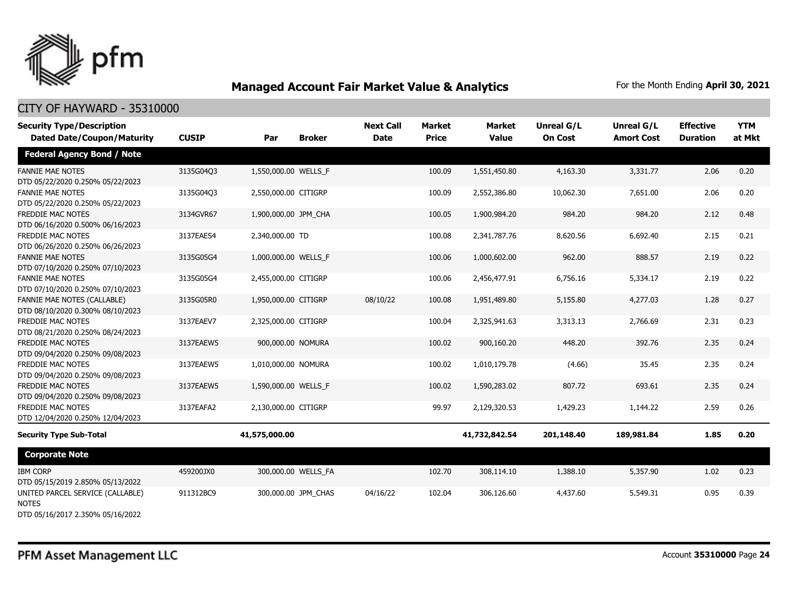

| <b>Security Type/Description</b>                                                     |              |                      |               | <b>Next Call</b> | <b>Market</b> | <b>Market</b> | Unreal G/L     | Unreal G/L        | <b>Effective</b> | <b>YTM</b> |
|--------------------------------------------------------------------------------------|--------------|----------------------|---------------|------------------|---------------|---------------|----------------|-------------------|------------------|------------|
| <b>Dated Date/Coupon/Maturity</b>                                                    | <b>CUSIP</b> | Par                  | <b>Broker</b> | <b>Date</b>      | <b>Price</b>  | <b>Value</b>  | <b>On Cost</b> | <b>Amort Cost</b> | <b>Duration</b>  | at Mkt     |
| <b>Federal Agency Bond / Note</b>                                                    |              |                      |               |                  |               |               |                |                   |                  |            |
| <b>FANNIE MAE NOTES</b><br>DTD 05/22/2020 0.250% 05/22/2023                          | 3135G04Q3    | 1,550,000.00 WELLS F |               |                  | 100.09        | 1,551,450.80  | 4,163.30       | 3,331.77          | 2.06             | 0.20       |
| <b>FANNIE MAE NOTES</b><br>DTD 05/22/2020 0.250% 05/22/2023                          | 3135G04Q3    | 2,550,000.00 CITIGRP |               |                  | 100.09        | 2,552,386.80  | 10,062.30      | 7,651.00          | 2.06             | 0.20       |
| FREDDIE MAC NOTES<br>DTD 06/16/2020 0.500% 06/16/2023                                | 3134GVR67    | 1,900,000.00 JPM_CHA |               |                  | 100.05        | 1,900,984.20  | 984.20         | 984.20            | 2.12             | 0.48       |
| FREDDIE MAC NOTES<br>DTD 06/26/2020 0.250% 06/26/2023                                | 3137EAES4    | 2,340,000.00 TD      |               |                  | 100.08        | 2,341,787.76  | 8,620.56       | 6,692.40          | 2.15             | 0.21       |
| <b>FANNIE MAE NOTES</b><br>DTD 07/10/2020 0.250% 07/10/2023                          | 3135G05G4    | 1,000,000.00 WELLS F |               |                  | 100.06        | 1,000,602.00  | 962.00         | 888.57            | 2.19             | 0.22       |
| <b>FANNIE MAE NOTES</b><br>DTD 07/10/2020 0.250% 07/10/2023                          | 3135G05G4    | 2,455,000.00 CITIGRP |               |                  | 100.06        | 2,456,477.91  | 6,756.16       | 5,334.17          | 2.19             | 0.22       |
| FANNIE MAE NOTES (CALLABLE)<br>DTD 08/10/2020 0.300% 08/10/2023                      | 3135G05R0    | 1,950,000.00 CITIGRP |               | 08/10/22         | 100.08        | 1,951,489.80  | 5,155.80       | 4,277.03          | 1.28             | 0.27       |
| <b>FREDDIE MAC NOTES</b><br>DTD 08/21/2020 0.250% 08/24/2023                         | 3137EAEV7    | 2,325,000.00 CITIGRP |               |                  | 100.04        | 2,325,941.63  | 3,313.13       | 2,766.69          | 2.31             | 0.23       |
| FREDDIE MAC NOTES<br>DTD 09/04/2020 0.250% 09/08/2023                                | 3137EAEW5    | 900,000.00 NOMURA    |               |                  | 100.02        | 900,160.20    | 448.20         | 392.76            | 2.35             | 0.24       |
| FREDDIE MAC NOTES<br>DTD 09/04/2020 0.250% 09/08/2023                                | 3137EAEW5    | 1,010,000.00 NOMURA  |               |                  | 100.02        | 1,010,179.78  | (4.66)         | 35.45             | 2.35             | 0.24       |
| <b>FREDDIE MAC NOTES</b><br>DTD 09/04/2020 0.250% 09/08/2023                         | 3137EAEW5    | 1,590,000.00 WELLS_F |               |                  | 100.02        | 1,590,283.02  | 807.72         | 693.61            | 2.35             | 0.24       |
| FREDDIE MAC NOTES<br>DTD 12/04/2020 0.250% 12/04/2023                                | 3137EAFA2    | 2,130,000.00 CITIGRP |               |                  | 99.97         | 2,129,320.53  | 1,429.23       | 1,144.22          | 2.59             | 0.26       |
| <b>Security Type Sub-Total</b>                                                       |              | 41,575,000.00        |               |                  |               | 41,732,842.54 | 201,148.40     | 189,981.84        | 1.85             | 0.20       |
| <b>Corporate Note</b>                                                                |              |                      |               |                  |               |               |                |                   |                  |            |
| <b>IBM CORP</b><br>DTD 05/15/2019 2.850% 05/13/2022                                  | 459200JX0    | 300,000.00 WELLS FA  |               |                  | 102.70        | 308,114.10    | 1,388.10       | 5,357.90          | 1.02             | 0.23       |
| UNITED PARCEL SERVICE (CALLABLE)<br><b>NOTES</b><br>DTD 05/16/2017 2.350% 05/16/2022 | 911312BC9    | 300,000.00 JPM CHAS  |               | 04/16/22         | 102.04        | 306,126.60    | 4,437.60       | 5,549.31          | 0.95             | 0.39       |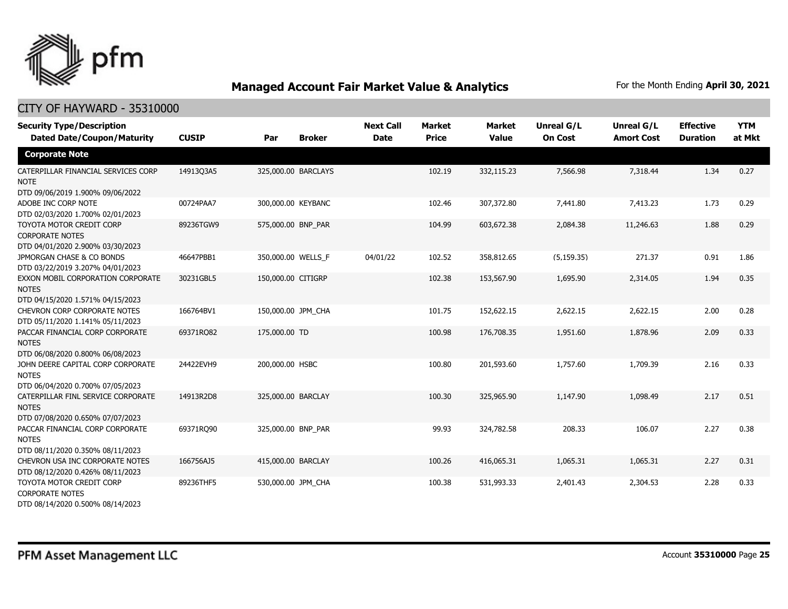

| <b>Security Type/Description</b><br><b>Dated Date/Coupon/Maturity</b>                             | <b>CUSIP</b> | Par                 | <b>Broker</b> | <b>Next Call</b><br><b>Date</b> | <b>Market</b><br><b>Price</b> | <b>Market</b><br><b>Value</b> | <b>Unreal G/L</b><br><b>On Cost</b> | Unreal G/L<br><b>Amort Cost</b> | <b>Effective</b><br><b>Duration</b> | <b>YTM</b><br>at Mkt |
|---------------------------------------------------------------------------------------------------|--------------|---------------------|---------------|---------------------------------|-------------------------------|-------------------------------|-------------------------------------|---------------------------------|-------------------------------------|----------------------|
| <b>Corporate Note</b>                                                                             |              |                     |               |                                 |                               |                               |                                     |                                 |                                     |                      |
| CATERPILLAR FINANCIAL SERVICES CORP<br><b>NOTE</b><br>DTD 09/06/2019 1.900% 09/06/2022            | 14913Q3A5    | 325,000.00 BARCLAYS |               |                                 | 102.19                        | 332,115.23                    | 7,566.98                            | 7,318.44                        | 1.34                                | 0.27                 |
| ADOBE INC CORP NOTE<br>DTD 02/03/2020 1.700% 02/01/2023                                           | 00724PAA7    | 300,000.00 KEYBANC  |               |                                 | 102.46                        | 307,372.80                    | 7,441.80                            | 7,413.23                        | 1.73                                | 0.29                 |
| TOYOTA MOTOR CREDIT CORP<br><b>CORPORATE NOTES</b>                                                | 89236TGW9    | 575,000.00 BNP_PAR  |               |                                 | 104.99                        | 603,672.38                    | 2,084.38                            | 11,246.63                       | 1.88                                | 0.29                 |
| DTD 04/01/2020 2.900% 03/30/2023<br>JPMORGAN CHASE & CO BONDS<br>DTD 03/22/2019 3.207% 04/01/2023 | 46647PBB1    | 350,000.00 WELLS F  |               | 04/01/22                        | 102.52                        | 358,812.65                    | (5, 159.35)                         | 271.37                          | 0.91                                | 1.86                 |
| EXXON MOBIL CORPORATION CORPORATE<br><b>NOTES</b><br>DTD 04/15/2020 1.571% 04/15/2023             | 30231GBL5    | 150,000.00 CITIGRP  |               |                                 | 102.38                        | 153,567.90                    | 1,695.90                            | 2,314.05                        | 1.94                                | 0.35                 |
| CHEVRON CORP CORPORATE NOTES<br>DTD 05/11/2020 1.141% 05/11/2023                                  | 166764BV1    | 150,000.00 JPM_CHA  |               |                                 | 101.75                        | 152,622.15                    | 2,622.15                            | 2,622.15                        | 2.00                                | 0.28                 |
| PACCAR FINANCIAL CORP CORPORATE<br><b>NOTES</b><br>DTD 06/08/2020 0.800% 06/08/2023               | 69371RQ82    | 175,000.00 TD       |               |                                 | 100.98                        | 176,708.35                    | 1,951.60                            | 1,878.96                        | 2.09                                | 0.33                 |
| JOHN DEERE CAPITAL CORP CORPORATE<br><b>NOTES</b><br>DTD 06/04/2020 0.700% 07/05/2023             | 24422EVH9    | 200,000.00 HSBC     |               |                                 | 100.80                        | 201,593.60                    | 1,757.60                            | 1,709.39                        | 2.16                                | 0.33                 |
| CATERPILLAR FINL SERVICE CORPORATE<br><b>NOTES</b><br>DTD 07/08/2020 0.650% 07/07/2023            | 14913R2D8    | 325,000.00 BARCLAY  |               |                                 | 100.30                        | 325,965.90                    | 1,147.90                            | 1,098.49                        | 2.17                                | 0.51                 |
| PACCAR FINANCIAL CORP CORPORATE<br><b>NOTES</b><br>DTD 08/11/2020 0.350% 08/11/2023               | 69371RO90    | 325,000.00 BNP PAR  |               |                                 | 99.93                         | 324,782.58                    | 208.33                              | 106.07                          | 2.27                                | 0.38                 |
| CHEVRON USA INC CORPORATE NOTES<br>DTD 08/12/2020 0.426% 08/11/2023                               | 166756AJ5    | 415,000.00 BARCLAY  |               |                                 | 100.26                        | 416,065.31                    | 1,065.31                            | 1,065.31                        | 2.27                                | 0.31                 |
| TOYOTA MOTOR CREDIT CORP<br><b>CORPORATE NOTES</b><br>DTD 08/14/2020 0.500% 08/14/2023            | 89236THF5    | 530,000.00 JPM CHA  |               |                                 | 100.38                        | 531,993.33                    | 2,401.43                            | 2,304.53                        | 2.28                                | 0.33                 |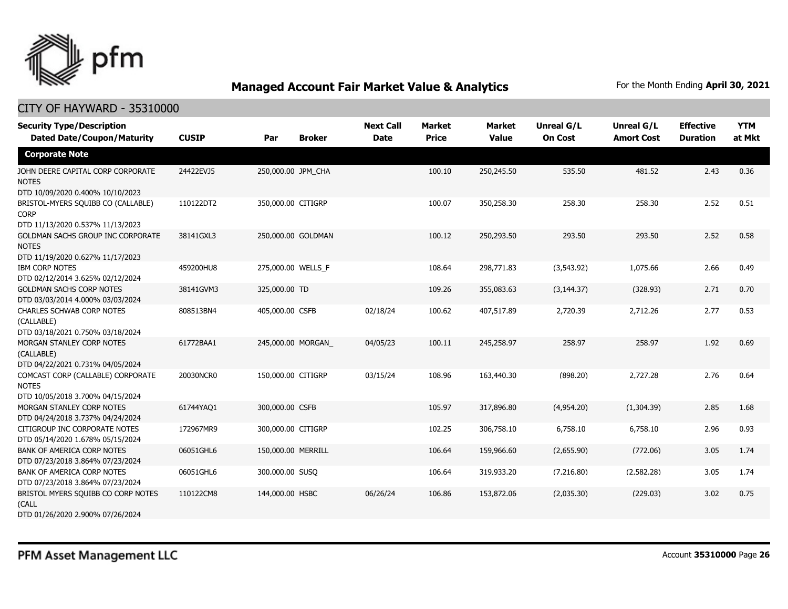

| <b>Security Type/Description</b><br><b>Dated Date/Coupon/Maturity</b>                                                     | <b>CUSIP</b> | Par                | <b>Broker</b> | <b>Next Call</b><br><b>Date</b> | <b>Market</b><br><b>Price</b> | <b>Market</b><br><b>Value</b> | <b>Unreal G/L</b><br><b>On Cost</b> | Unreal G/L<br><b>Amort Cost</b> | <b>Effective</b><br><b>Duration</b> | <b>YTM</b><br>at Mkt |
|---------------------------------------------------------------------------------------------------------------------------|--------------|--------------------|---------------|---------------------------------|-------------------------------|-------------------------------|-------------------------------------|---------------------------------|-------------------------------------|----------------------|
| <b>Corporate Note</b>                                                                                                     |              |                    |               |                                 |                               |                               |                                     |                                 |                                     |                      |
| JOHN DEERE CAPITAL CORP CORPORATE<br><b>NOTES</b><br>DTD 10/09/2020 0.400% 10/10/2023                                     | 24422EVJ5    | 250,000.00 JPM_CHA |               |                                 | 100.10                        | 250,245.50                    | 535.50                              | 481.52                          | 2.43                                | 0.36                 |
| BRISTOL-MYERS SQUIBB CO (CALLABLE)<br><b>CORP</b>                                                                         | 110122DT2    | 350,000.00 CITIGRP |               |                                 | 100.07                        | 350,258.30                    | 258.30                              | 258.30                          | 2.52                                | 0.51                 |
| DTD 11/13/2020 0.537% 11/13/2023<br>GOLDMAN SACHS GROUP INC CORPORATE<br><b>NOTES</b><br>DTD 11/19/2020 0.627% 11/17/2023 | 38141GXL3    | 250,000.00 GOLDMAN |               |                                 | 100.12                        | 250,293.50                    | 293.50                              | 293.50                          | 2.52                                | 0.58                 |
| <b>IBM CORP NOTES</b><br>DTD 02/12/2014 3.625% 02/12/2024                                                                 | 459200HU8    | 275,000.00 WELLS F |               |                                 | 108.64                        | 298,771.83                    | (3,543.92)                          | 1,075.66                        | 2.66                                | 0.49                 |
| <b>GOLDMAN SACHS CORP NOTES</b><br>DTD 03/03/2014 4.000% 03/03/2024                                                       | 38141GVM3    | 325,000.00 TD      |               |                                 | 109.26                        | 355,083.63                    | (3, 144.37)                         | (328.93)                        | 2.71                                | 0.70                 |
| <b>CHARLES SCHWAB CORP NOTES</b><br>(CALLABLE)<br>DTD 03/18/2021 0.750% 03/18/2024                                        | 808513BN4    | 405,000.00 CSFB    |               | 02/18/24                        | 100.62                        | 407,517.89                    | 2,720.39                            | 2,712.26                        | 2.77                                | 0.53                 |
| MORGAN STANLEY CORP NOTES<br>(CALLABLE)<br>DTD 04/22/2021 0.731% 04/05/2024                                               | 61772BAA1    | 245,000.00 MORGAN  |               | 04/05/23                        | 100.11                        | 245,258.97                    | 258.97                              | 258.97                          | 1.92                                | 0.69                 |
| COMCAST CORP (CALLABLE) CORPORATE<br><b>NOTES</b><br>DTD 10/05/2018 3.700% 04/15/2024                                     | 20030NCR0    | 150,000.00 CITIGRP |               | 03/15/24                        | 108.96                        | 163,440.30                    | (898.20)                            | 2,727.28                        | 2.76                                | 0.64                 |
| MORGAN STANLEY CORP NOTES<br>DTD 04/24/2018 3.737% 04/24/2024                                                             | 61744YAQ1    | 300,000.00 CSFB    |               |                                 | 105.97                        | 317,896.80                    | (4,954.20)                          | (1,304.39)                      | 2.85                                | 1.68                 |
| CITIGROUP INC CORPORATE NOTES<br>DTD 05/14/2020 1.678% 05/15/2024                                                         | 172967MR9    | 300,000.00 CITIGRP |               |                                 | 102.25                        | 306,758.10                    | 6,758.10                            | 6,758.10                        | 2.96                                | 0.93                 |
| <b>BANK OF AMERICA CORP NOTES</b><br>DTD 07/23/2018 3.864% 07/23/2024                                                     | 06051GHL6    | 150,000.00 MERRILL |               |                                 | 106.64                        | 159,966.60                    | (2,655.90)                          | (772.06)                        | 3.05                                | 1.74                 |
| BANK OF AMERICA CORP NOTES<br>DTD 07/23/2018 3.864% 07/23/2024                                                            | 06051GHL6    | 300,000.00 SUSQ    |               |                                 | 106.64                        | 319,933.20                    | (7,216.80)                          | (2,582.28)                      | 3.05                                | 1.74                 |
| BRISTOL MYERS SQUIBB CO CORP NOTES<br>(CALL<br>DTD 01/26/2020 2.900% 07/26/2024                                           | 110122CM8    | 144,000.00 HSBC    |               | 06/26/24                        | 106.86                        | 153,872.06                    | (2,035.30)                          | (229.03)                        | 3.02                                | 0.75                 |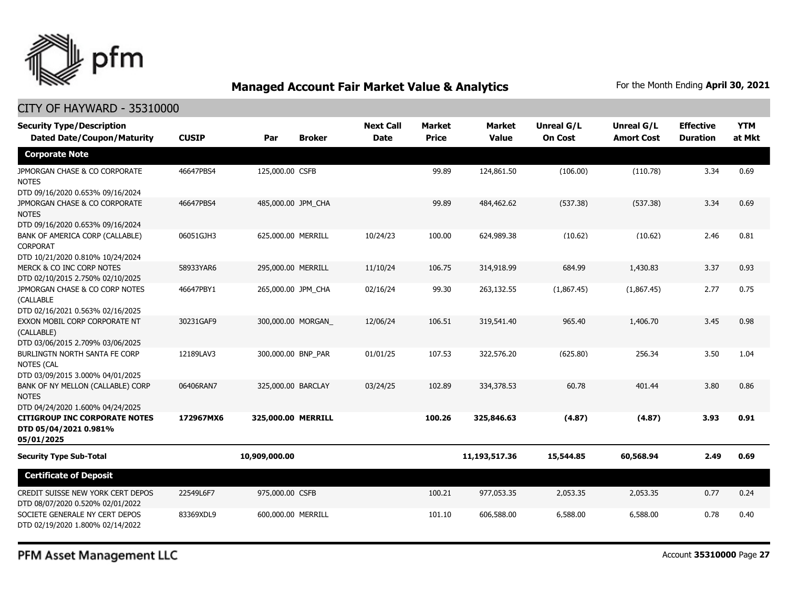

### CITY OF HAYWARD - 35310000

| <b>Security Type/Description</b><br><b>Dated Date/Coupon/Maturity</b>                  | <b>CUSIP</b> | Par                | <b>Broker</b>     | <b>Next Call</b><br><b>Date</b> | Market<br><b>Price</b> | <b>Market</b><br><b>Value</b> | Unreal G/L<br><b>On Cost</b> | <b>Unreal G/L</b><br><b>Amort Cost</b> | <b>Effective</b><br><b>Duration</b> | <b>YTM</b><br>at Mkt |
|----------------------------------------------------------------------------------------|--------------|--------------------|-------------------|---------------------------------|------------------------|-------------------------------|------------------------------|----------------------------------------|-------------------------------------|----------------------|
| <b>Corporate Note</b>                                                                  |              |                    |                   |                                 |                        |                               |                              |                                        |                                     |                      |
| JPMORGAN CHASE & CO CORPORATE<br><b>NOTES</b><br>DTD 09/16/2020 0.653% 09/16/2024      | 46647PBS4    | 125,000.00 CSFB    |                   |                                 | 99.89                  | 124,861.50                    | (106.00)                     | (110.78)                               | 3.34                                | 0.69                 |
| JPMORGAN CHASE & CO CORPORATE<br><b>NOTES</b><br>DTD 09/16/2020 0.653% 09/16/2024      | 46647PBS4    | 485,000.00 JPM_CHA |                   |                                 | 99.89                  | 484,462.62                    | (537.38)                     | (537.38)                               | 3.34                                | 0.69                 |
| BANK OF AMERICA CORP (CALLABLE)<br><b>CORPORAT</b><br>DTD 10/21/2020 0.810% 10/24/2024 | 06051GJH3    | 625,000.00 MERRILL |                   | 10/24/23                        | 100.00                 | 624,989.38                    | (10.62)                      | (10.62)                                | 2.46                                | 0.81                 |
| MERCK & CO INC CORP NOTES<br>DTD 02/10/2015 2.750% 02/10/2025                          | 58933YAR6    | 295,000.00 MERRILL |                   | 11/10/24                        | 106.75                 | 314,918.99                    | 684.99                       | 1,430.83                               | 3.37                                | 0.93                 |
| JPMORGAN CHASE & CO CORP NOTES<br>(CALLABLE<br>DTD 02/16/2021 0.563% 02/16/2025        | 46647PBY1    | 265,000.00 JPM CHA |                   | 02/16/24                        | 99.30                  | 263,132.55                    | (1,867.45)                   | (1,867.45)                             | 2.77                                | 0.75                 |
| EXXON MOBIL CORP CORPORATE NT<br>(CALLABLE)<br>DTD 03/06/2015 2.709% 03/06/2025        | 30231GAF9    |                    | 300,000.00 MORGAN | 12/06/24                        | 106.51                 | 319,541.40                    | 965.40                       | 1,406.70                               | 3.45                                | 0.98                 |
| BURLINGTN NORTH SANTA FE CORP<br><b>NOTES (CAL</b><br>DTD 03/09/2015 3.000% 04/01/2025 | 12189LAV3    | 300,000.00 BNP_PAR |                   | 01/01/25                        | 107.53                 | 322,576.20                    | (625.80)                     | 256.34                                 | 3.50                                | 1.04                 |
| BANK OF NY MELLON (CALLABLE) CORP<br><b>NOTES</b><br>DTD 04/24/2020 1.600% 04/24/2025  | 06406RAN7    | 325,000.00 BARCLAY |                   | 03/24/25                        | 102.89                 | 334,378.53                    | 60.78                        | 401.44                                 | 3.80                                | 0.86                 |
| <b>CITIGROUP INC CORPORATE NOTES</b><br>DTD 05/04/2021 0.981%<br>05/01/2025            | 172967MX6    | 325,000.00 MERRILL |                   |                                 | 100.26                 | 325,846.63                    | (4.87)                       | (4.87)                                 | 3.93                                | 0.91                 |
| <b>Security Type Sub-Total</b>                                                         |              | 10,909,000.00      |                   |                                 |                        | 11,193,517.36                 | 15,544.85                    | 60,568.94                              | 2.49                                | 0.69                 |
| <b>Certificate of Deposit</b>                                                          |              |                    |                   |                                 |                        |                               |                              |                                        |                                     |                      |
| CREDIT SUISSE NEW YORK CERT DEPOS<br>DTD 08/07/2020 0.520% 02/01/2022                  | 22549L6F7    | 975,000.00 CSFB    |                   |                                 | 100.21                 | 977,053.35                    | 2,053.35                     | 2,053.35                               | 0.77                                | 0.24                 |
| SOCIETE GENERALE NY CERT DEPOS<br>DTD 02/19/2020 1.800% 02/14/2022                     | 83369XDL9    | 600,000.00 MERRILL |                   |                                 | 101.10                 | 606,588.00                    | 6,588.00                     | 6,588.00                               | 0.78                                | 0.40                 |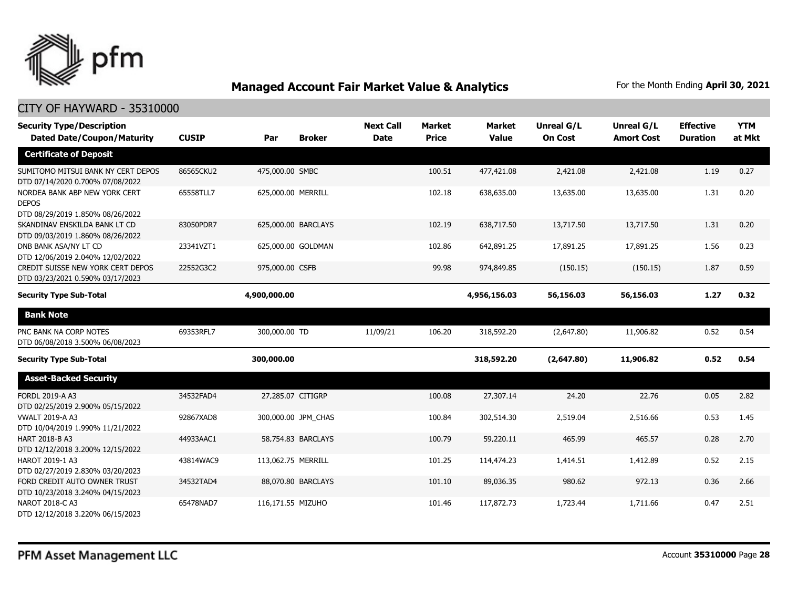

| <b>Security Type/Description</b>                                                  |              |                    |                     | <b>Next Call</b> | <b>Market</b> | <b>Market</b> | <b>Unreal G/L</b> | Unreal G/L        | <b>Effective</b> | <b>YTM</b> |
|-----------------------------------------------------------------------------------|--------------|--------------------|---------------------|------------------|---------------|---------------|-------------------|-------------------|------------------|------------|
| <b>Dated Date/Coupon/Maturity</b>                                                 | <b>CUSIP</b> | Par                | <b>Broker</b>       | <b>Date</b>      | <b>Price</b>  | <b>Value</b>  | <b>On Cost</b>    | <b>Amort Cost</b> | <b>Duration</b>  | at Mkt     |
| <b>Certificate of Deposit</b>                                                     |              |                    |                     |                  |               |               |                   |                   |                  |            |
| SUMITOMO MITSUI BANK NY CERT DEPOS<br>DTD 07/14/2020 0.700% 07/08/2022            | 86565CKU2    | 475,000.00 SMBC    |                     |                  | 100.51        | 477,421.08    | 2,421.08          | 2,421.08          | 1.19             | 0.27       |
| NORDEA BANK ABP NEW YORK CERT<br><b>DEPOS</b><br>DTD 08/29/2019 1.850% 08/26/2022 | 65558TLL7    | 625,000.00 MERRILL |                     |                  | 102.18        | 638,635.00    | 13,635.00         | 13,635.00         | 1.31             | 0.20       |
| SKANDINAV ENSKILDA BANK LT CD<br>DTD 09/03/2019 1.860% 08/26/2022                 | 83050PDR7    |                    | 625,000.00 BARCLAYS |                  | 102.19        | 638,717.50    | 13,717.50         | 13,717.50         | 1.31             | 0.20       |
| DNB BANK ASA/NY LT CD<br>DTD 12/06/2019 2.040% 12/02/2022                         | 23341VZT1    |                    | 625,000.00 GOLDMAN  |                  | 102.86        | 642,891.25    | 17,891.25         | 17,891.25         | 1.56             | 0.23       |
| CREDIT SUISSE NEW YORK CERT DEPOS<br>DTD 03/23/2021 0.590% 03/17/2023             | 22552G3C2    | 975,000.00 CSFB    |                     |                  | 99.98         | 974,849.85    | (150.15)          | (150.15)          | 1.87             | 0.59       |
| <b>Security Type Sub-Total</b>                                                    |              | 4,900,000.00       |                     |                  |               | 4,956,156.03  | 56,156.03         | 56,156.03         | 1.27             | 0.32       |
| <b>Bank Note</b>                                                                  |              |                    |                     |                  |               |               |                   |                   |                  |            |
| PNC BANK NA CORP NOTES<br>DTD 06/08/2018 3.500% 06/08/2023                        | 69353RFL7    | 300,000.00 TD      |                     | 11/09/21         | 106.20        | 318,592.20    | (2,647.80)        | 11,906.82         | 0.52             | 0.54       |
| <b>Security Type Sub-Total</b>                                                    |              | 300,000.00         |                     |                  |               | 318,592.20    | (2,647.80)        | 11,906.82         | 0.52             | 0.54       |
| <b>Asset-Backed Security</b>                                                      |              |                    |                     |                  |               |               |                   |                   |                  |            |
| <b>FORDL 2019-A A3</b><br>DTD 02/25/2019 2.900% 05/15/2022                        | 34532FAD4    |                    | 27,285.07 CITIGRP   |                  | 100.08        | 27,307.14     | 24.20             | 22.76             | 0.05             | 2.82       |
| <b>VWALT 2019-A A3</b><br>DTD 10/04/2019 1.990% 11/21/2022                        | 92867XAD8    |                    | 300,000.00 JPM_CHAS |                  | 100.84        | 302,514.30    | 2,519.04          | 2,516.66          | 0.53             | 1.45       |
| HART 2018-B A3<br>DTD 12/12/2018 3.200% 12/15/2022                                | 44933AAC1    |                    | 58,754.83 BARCLAYS  |                  | 100.79        | 59,220.11     | 465.99            | 465.57            | 0.28             | 2.70       |
| HAROT 2019-1 A3<br>DTD 02/27/2019 2.830% 03/20/2023                               | 43814WAC9    | 113,062.75 MERRILL |                     |                  | 101.25        | 114,474.23    | 1,414.51          | 1,412.89          | 0.52             | 2.15       |
| FORD CREDIT AUTO OWNER TRUST<br>DTD 10/23/2018 3.240% 04/15/2023                  | 34532TAD4    |                    | 88,070.80 BARCLAYS  |                  | 101.10        | 89,036.35     | 980.62            | 972.13            | 0.36             | 2.66       |
| NAROT 2018-C A3<br>DTD 12/12/2018 3.220% 06/15/2023                               | 65478NAD7    | 116,171.55 MIZUHO  |                     |                  | 101.46        | 117,872.73    | 1,723.44          | 1,711.66          | 0.47             | 2.51       |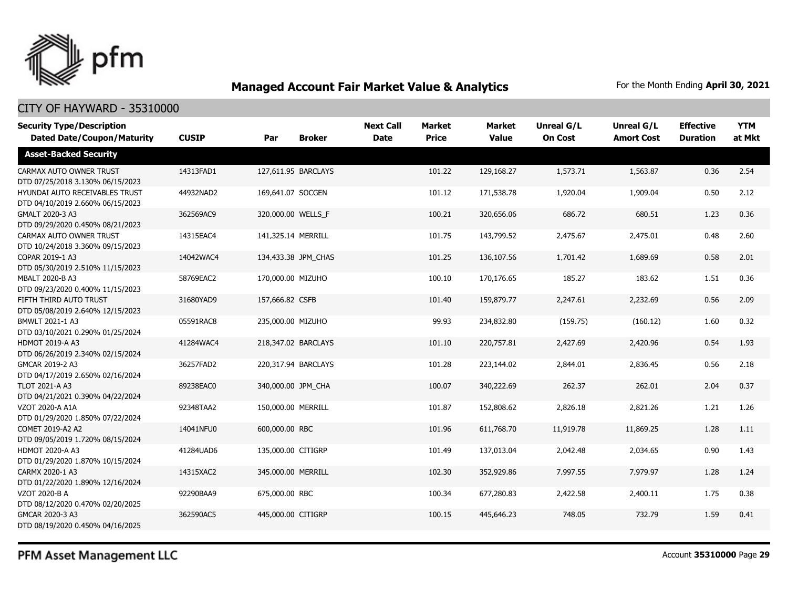

### CITY OF HAYWARD - 35310000

| <b>Security Type/Description</b><br><b>Dated Date/Coupon/Maturity</b> | <b>CUSIP</b> | Par                | <b>Broker</b>       | <b>Next Call</b><br><b>Date</b> | <b>Market</b><br><b>Price</b> | <b>Market</b><br><b>Value</b> | <b>Unreal G/L</b><br><b>On Cost</b> | Unreal G/L<br><b>Amort Cost</b> | <b>Effective</b><br><b>Duration</b> | <b>YTM</b><br>at Mkt |
|-----------------------------------------------------------------------|--------------|--------------------|---------------------|---------------------------------|-------------------------------|-------------------------------|-------------------------------------|---------------------------------|-------------------------------------|----------------------|
| <b>Asset-Backed Security</b>                                          |              |                    |                     |                                 |                               |                               |                                     |                                 |                                     |                      |
| CARMAX AUTO OWNER TRUST<br>DTD 07/25/2018 3.130% 06/15/2023           | 14313FAD1    |                    | 127,611.95 BARCLAYS |                                 | 101.22                        | 129,168.27                    | 1,573.71                            | 1,563.87                        | 0.36                                | 2.54                 |
| HYUNDAI AUTO RECEIVABLES TRUST<br>DTD 04/10/2019 2.660% 06/15/2023    | 44932NAD2    | 169,641.07 SOCGEN  |                     |                                 | 101.12                        | 171,538.78                    | 1,920.04                            | 1,909.04                        | 0.50                                | 2.12                 |
| GMALT 2020-3 A3<br>DTD 09/29/2020 0.450% 08/21/2023                   | 362569AC9    |                    | 320,000.00 WELLS F  |                                 | 100.21                        | 320,656.06                    | 686.72                              | 680.51                          | 1.23                                | 0.36                 |
| CARMAX AUTO OWNER TRUST<br>DTD 10/24/2018 3.360% 09/15/2023           | 14315EAC4    | 141,325.14 MERRILL |                     |                                 | 101.75                        | 143,799.52                    | 2,475.67                            | 2,475.01                        | 0.48                                | 2.60                 |
| COPAR 2019-1 A3<br>DTD 05/30/2019 2.510% 11/15/2023                   | 14042WAC4    |                    | 134,433.38 JPM CHAS |                                 | 101.25                        | 136,107.56                    | 1,701.42                            | 1,689.69                        | 0.58                                | 2.01                 |
| MBALT 2020-B A3<br>DTD 09/23/2020 0.400% 11/15/2023                   | 58769EAC2    | 170,000.00 MIZUHO  |                     |                                 | 100.10                        | 170,176.65                    | 185.27                              | 183.62                          | 1.51                                | 0.36                 |
| FIFTH THIRD AUTO TRUST<br>DTD 05/08/2019 2.640% 12/15/2023            | 31680YAD9    | 157,666.82 CSFB    |                     |                                 | 101.40                        | 159,879.77                    | 2,247.61                            | 2,232.69                        | 0.56                                | 2.09                 |
| BMWLT 2021-1 A3<br>DTD 03/10/2021 0.290% 01/25/2024                   | 05591RAC8    | 235,000.00 MIZUHO  |                     |                                 | 99.93                         | 234,832.80                    | (159.75)                            | (160.12)                        | 1.60                                | 0.32                 |
| <b>HDMOT 2019-A A3</b><br>DTD 06/26/2019 2.340% 02/15/2024            | 41284WAC4    |                    | 218,347.02 BARCLAYS |                                 | 101.10                        | 220,757.81                    | 2,427.69                            | 2,420.96                        | 0.54                                | 1.93                 |
| GMCAR 2019-2 A3<br>DTD 04/17/2019 2.650% 02/16/2024                   | 36257FAD2    |                    | 220,317.94 BARCLAYS |                                 | 101.28                        | 223,144.02                    | 2,844.01                            | 2,836.45                        | 0.56                                | 2.18                 |
| <b>TLOT 2021-A A3</b><br>DTD 04/21/2021 0.390% 04/22/2024             | 89238EAC0    |                    | 340,000.00 JPM CHA  |                                 | 100.07                        | 340,222.69                    | 262.37                              | 262.01                          | 2.04                                | 0.37                 |
| VZOT 2020-A A1A<br>DTD 01/29/2020 1.850% 07/22/2024                   | 92348TAA2    | 150,000.00 MERRILL |                     |                                 | 101.87                        | 152,808.62                    | 2,826.18                            | 2,821.26                        | 1.21                                | 1.26                 |
| COMET 2019-A2 A2<br>DTD 09/05/2019 1.720% 08/15/2024                  | 14041NFU0    | 600,000,00 RBC     |                     |                                 | 101.96                        | 611,768.70                    | 11,919.78                           | 11,869.25                       | 1.28                                | 1.11                 |
| <b>HDMOT 2020-A A3</b><br>DTD 01/29/2020 1.870% 10/15/2024            | 41284UAD6    | 135,000.00 CITIGRP |                     |                                 | 101.49                        | 137,013.04                    | 2,042.48                            | 2,034.65                        | 0.90                                | 1.43                 |
| CARMX 2020-1 A3<br>DTD 01/22/2020 1.890% 12/16/2024                   | 14315XAC2    | 345,000.00 MERRILL |                     |                                 | 102.30                        | 352,929.86                    | 7,997.55                            | 7,979.97                        | 1.28                                | 1.24                 |
| VZOT 2020-B A<br>DTD 08/12/2020 0.470% 02/20/2025                     | 92290BAA9    | 675,000.00 RBC     |                     |                                 | 100.34                        | 677,280.83                    | 2,422.58                            | 2,400.11                        | 1.75                                | 0.38                 |
| GMCAR 2020-3 A3<br>DTD 08/19/2020 0.450% 04/16/2025                   | 362590AC5    | 445,000.00 CITIGRP |                     |                                 | 100.15                        | 445,646.23                    | 748.05                              | 732.79                          | 1.59                                | 0.41                 |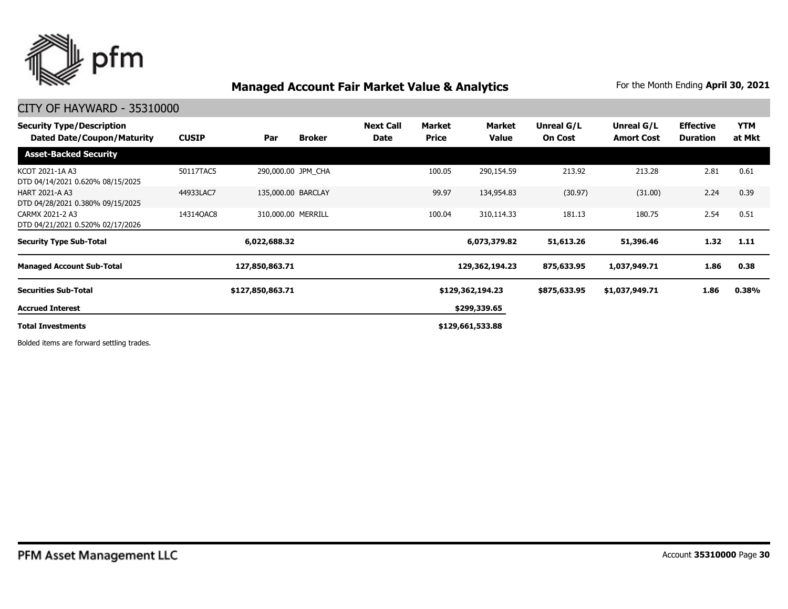

### CITY OF HAYWARD - 35310000

| <b>Security Type/Description</b><br><b>Dated Date/Coupon/Maturity</b> | <b>CUSIP</b> | Par                | <b>Broker</b> | <b>Next Call</b><br><b>Date</b> | Market<br><b>Price</b> | Market<br><b>Value</b> | Unreal G/L<br><b>On Cost</b> | Unreal G/L<br><b>Amort Cost</b> | <b>Effective</b><br><b>Duration</b> | <b>YTM</b><br>at Mkt |
|-----------------------------------------------------------------------|--------------|--------------------|---------------|---------------------------------|------------------------|------------------------|------------------------------|---------------------------------|-------------------------------------|----------------------|
| <b>Asset-Backed Security</b>                                          |              |                    |               |                                 |                        |                        |                              |                                 |                                     |                      |
| KCOT 2021-1A A3<br>DTD 04/14/2021 0.620% 08/15/2025                   | 50117TAC5    | 290,000.00 JPM CHA |               |                                 | 100.05                 | 290,154.59             | 213.92                       | 213.28                          | 2.81                                | 0.61                 |
| <b>HART 2021-A A3</b><br>DTD 04/28/2021 0.380% 09/15/2025             | 44933LAC7    | 135,000.00 BARCLAY |               |                                 | 99.97                  | 134,954.83             | (30.97)                      | (31.00)                         | 2.24                                | 0.39                 |
| CARMX 2021-2 A3<br>DTD 04/21/2021 0.520% 02/17/2026                   | 14314QAC8    | 310,000.00 MERRILL |               |                                 | 100.04                 | 310,114.33             | 181.13                       | 180.75                          | 2.54                                | 0.51                 |
| <b>Security Type Sub-Total</b>                                        |              | 6,022,688.32       |               |                                 |                        | 6,073,379.82           | 51,613.26                    | 51,396.46                       | 1.32                                | 1.11                 |
| <b>Managed Account Sub-Total</b>                                      |              | 127,850,863.71     |               |                                 |                        | 129,362,194.23         | 875,633.95                   | 1,037,949.71                    | 1.86                                | 0.38                 |
| <b>Securities Sub-Total</b>                                           |              | \$127,850,863.71   |               |                                 |                        | \$129,362,194.23       | \$875,633.95                 | \$1,037,949.71                  | 1.86                                | 0.38%                |
| <b>Accrued Interest</b>                                               |              |                    |               |                                 |                        | \$299,339.65           |                              |                                 |                                     |                      |
| <b>Total Investments</b>                                              |              |                    |               |                                 |                        | \$129,661,533.88       |                              |                                 |                                     |                      |

Bolded items are forward settling trades.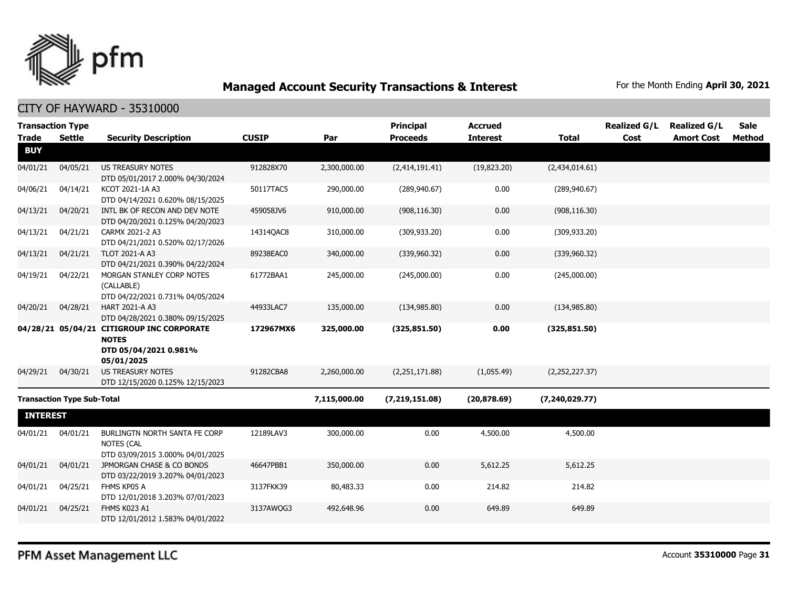

### CITY OF HAYWARD - 35310000

| <b>Transaction Type</b> |                                   |                                                                                                  |              |              | <b>Principal</b> | <b>Accrued</b>  |                  | <b>Realized G/L</b> | <b>Realized G/L</b> | <b>Sale</b>   |
|-------------------------|-----------------------------------|--------------------------------------------------------------------------------------------------|--------------|--------------|------------------|-----------------|------------------|---------------------|---------------------|---------------|
| <b>Trade</b>            | <b>Settle</b>                     | <b>Security Description</b>                                                                      | <b>CUSIP</b> | Par          | <b>Proceeds</b>  | <b>Interest</b> | <b>Total</b>     | Cost                | <b>Amort Cost</b>   | <b>Method</b> |
| <b>BUY</b>              |                                   |                                                                                                  |              |              |                  |                 |                  |                     |                     |               |
| 04/01/21                | 04/05/21                          | <b>US TREASURY NOTES</b><br>DTD 05/01/2017 2.000% 04/30/2024                                     | 912828X70    | 2,300,000.00 | (2,414,191.41)   | (19,823.20)     | (2,434,014.61)   |                     |                     |               |
| 04/06/21                | 04/14/21                          | KCOT 2021-1A A3<br>DTD 04/14/2021 0.620% 08/15/2025                                              | 50117TAC5    | 290,000.00   | (289, 940.67)    | 0.00            | (289, 940.67)    |                     |                     |               |
| 04/13/21                | 04/20/21                          | INTL BK OF RECON AND DEV NOTE<br>DTD 04/20/2021 0.125% 04/20/2023                                | 459058JV6    | 910,000.00   | (908, 116.30)    | 0.00            | (908, 116.30)    |                     |                     |               |
| 04/13/21                | 04/21/21                          | CARMX 2021-2 A3<br>DTD 04/21/2021 0.520% 02/17/2026                                              | 14314QAC8    | 310,000.00   | (309, 933.20)    | 0.00            | (309, 933.20)    |                     |                     |               |
| 04/13/21                | 04/21/21                          | TLOT 2021-A A3<br>DTD 04/21/2021 0.390% 04/22/2024                                               | 89238EAC0    | 340,000.00   | (339,960.32)     | 0.00            | (339,960.32)     |                     |                     |               |
| 04/19/21                | 04/22/21                          | MORGAN STANLEY CORP NOTES<br>(CALLABLE)<br>DTD 04/22/2021 0.731% 04/05/2024                      | 61772BAA1    | 245,000.00   | (245,000.00)     | 0.00            | (245,000.00)     |                     |                     |               |
| 04/20/21                | 04/28/21                          | HART 2021-A A3<br>DTD 04/28/2021 0.380% 09/15/2025                                               | 44933LAC7    | 135,000.00   | (134, 985.80)    | 0.00            | (134, 985.80)    |                     |                     |               |
|                         |                                   | 04/28/21 05/04/21 CITIGROUP INC CORPORATE<br><b>NOTES</b><br>DTD 05/04/2021 0.981%<br>05/01/2025 | 172967MX6    | 325,000.00   | (325, 851.50)    | 0.00            | (325, 851.50)    |                     |                     |               |
| 04/29/21                | 04/30/21                          | <b>US TREASURY NOTES</b><br>DTD 12/15/2020 0.125% 12/15/2023                                     | 91282CBA8    | 2,260,000.00 | (2,251,171.88)   | (1,055.49)      | (2,252,227.37)   |                     |                     |               |
|                         | <b>Transaction Type Sub-Total</b> |                                                                                                  |              | 7,115,000.00 | (7, 219, 151.08) | (20, 878.69)    | (7, 240, 029.77) |                     |                     |               |
| <b>INTEREST</b>         |                                   |                                                                                                  |              |              |                  |                 |                  |                     |                     |               |
| 04/01/21                | 04/01/21                          | BURLINGTN NORTH SANTA FE CORP<br><b>NOTES (CAL</b><br>DTD 03/09/2015 3.000% 04/01/2025           | 12189LAV3    | 300,000.00   | 0.00             | 4,500.00        | 4,500.00         |                     |                     |               |
| 04/01/21                | 04/01/21                          | JPMORGAN CHASE & CO BONDS<br>DTD 03/22/2019 3.207% 04/01/2023                                    | 46647PBB1    | 350,000.00   | 0.00             | 5,612.25        | 5,612.25         |                     |                     |               |
| 04/01/21                | 04/25/21                          | FHMS KP05 A<br>DTD 12/01/2018 3.203% 07/01/2023                                                  | 3137FKK39    | 80,483.33    | 0.00             | 214.82          | 214.82           |                     |                     |               |
| 04/01/21                | 04/25/21                          | FHMS K023 A1<br>DTD 12/01/2012 1.583% 04/01/2022                                                 | 3137AWQG3    | 492,648.96   | 0.00             | 649.89          | 649.89           |                     |                     |               |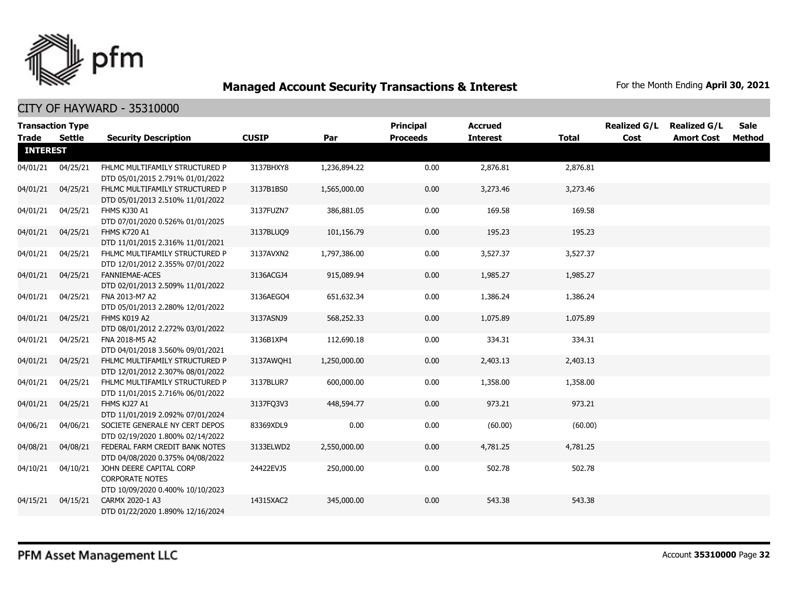

|                 | <b>Transaction Type</b> |                                                                                       |              |              | <b>Principal</b> | <b>Accrued</b>  |              | <b>Realized G/L</b> | <b>Realized G/L</b> | <b>Sale</b> |
|-----------------|-------------------------|---------------------------------------------------------------------------------------|--------------|--------------|------------------|-----------------|--------------|---------------------|---------------------|-------------|
| Trade           | Settle                  | <b>Security Description</b>                                                           | <b>CUSIP</b> | Par          | <b>Proceeds</b>  | <b>Interest</b> | <b>Total</b> | Cost                | <b>Amort Cost</b>   | Method      |
| <b>INTEREST</b> |                         |                                                                                       |              |              |                  |                 |              |                     |                     |             |
| 04/01/21        | 04/25/21                | FHLMC MULTIFAMILY STRUCTURED P<br>DTD 05/01/2015 2.791% 01/01/2022                    | 3137BHXY8    | 1,236,894.22 | 0.00             | 2,876.81        | 2,876.81     |                     |                     |             |
| 04/01/21        | 04/25/21                | FHLMC MULTIFAMILY STRUCTURED P<br>DTD 05/01/2013 2.510% 11/01/2022                    | 3137B1BS0    | 1,565,000.00 | 0.00             | 3,273.46        | 3,273.46     |                     |                     |             |
| 04/01/21        | 04/25/21                | FHMS KJ30 A1<br>DTD 07/01/2020 0.526% 01/01/2025                                      | 3137FUZN7    | 386,881.05   | 0.00             | 169.58          | 169.58       |                     |                     |             |
| 04/01/21        | 04/25/21                | <b>FHMS K720 A1</b><br>DTD 11/01/2015 2.316% 11/01/2021                               | 3137BLUQ9    | 101,156.79   | 0.00             | 195.23          | 195.23       |                     |                     |             |
| 04/01/21        | 04/25/21                | FHLMC MULTIFAMILY STRUCTURED P<br>DTD 12/01/2012 2.355% 07/01/2022                    | 3137AVXN2    | 1,797,386.00 | 0.00             | 3,527.37        | 3,527.37     |                     |                     |             |
| 04/01/21        | 04/25/21                | FANNIEMAE-ACES<br>DTD 02/01/2013 2.509% 11/01/2022                                    | 3136ACGJ4    | 915,089.94   | 0.00             | 1,985.27        | 1,985.27     |                     |                     |             |
| 04/01/21        | 04/25/21                | FNA 2013-M7 A2<br>DTD 05/01/2013 2.280% 12/01/2022                                    | 3136AEGO4    | 651,632.34   | 0.00             | 1,386.24        | 1,386.24     |                     |                     |             |
| 04/01/21        | 04/25/21                | FHMS K019 A2<br>DTD 08/01/2012 2.272% 03/01/2022                                      | 3137ASNJ9    | 568,252.33   | 0.00             | 1,075.89        | 1,075.89     |                     |                     |             |
| 04/01/21        | 04/25/21                | FNA 2018-M5 A2<br>DTD 04/01/2018 3.560% 09/01/2021                                    | 3136B1XP4    | 112,690.18   | 0.00             | 334.31          | 334.31       |                     |                     |             |
| 04/01/21        | 04/25/21                | FHLMC MULTIFAMILY STRUCTURED P<br>DTD 12/01/2012 2.307% 08/01/2022                    | 3137AWQH1    | 1,250,000.00 | 0.00             | 2,403.13        | 2,403.13     |                     |                     |             |
| 04/01/21        | 04/25/21                | FHLMC MULTIFAMILY STRUCTURED P<br>DTD 11/01/2015 2.716% 06/01/2022                    | 3137BLUR7    | 600,000.00   | 0.00             | 1,358.00        | 1,358.00     |                     |                     |             |
| 04/01/21        | 04/25/21                | FHMS KJ27 A1<br>DTD 11/01/2019 2.092% 07/01/2024                                      | 3137FO3V3    | 448,594.77   | 0.00             | 973.21          | 973.21       |                     |                     |             |
| 04/06/21        | 04/06/21                | SOCIETE GENERALE NY CERT DEPOS<br>DTD 02/19/2020 1.800% 02/14/2022                    | 83369XDL9    | 0.00         | 0.00             | (60.00)         | (60.00)      |                     |                     |             |
| 04/08/21        | 04/08/21                | FEDERAL FARM CREDIT BANK NOTES<br>DTD 04/08/2020 0.375% 04/08/2022                    | 3133ELWD2    | 2,550,000.00 | 0.00             | 4,781.25        | 4,781.25     |                     |                     |             |
| 04/10/21        | 04/10/21                | JOHN DEERE CAPITAL CORP<br><b>CORPORATE NOTES</b><br>DTD 10/09/2020 0.400% 10/10/2023 | 24422EVJ5    | 250,000.00   | 0.00             | 502.78          | 502.78       |                     |                     |             |
| 04/15/21        | 04/15/21                | CARMX 2020-1 A3<br>DTD 01/22/2020 1.890% 12/16/2024                                   | 14315XAC2    | 345,000.00   | 0.00             | 543.38          | 543.38       |                     |                     |             |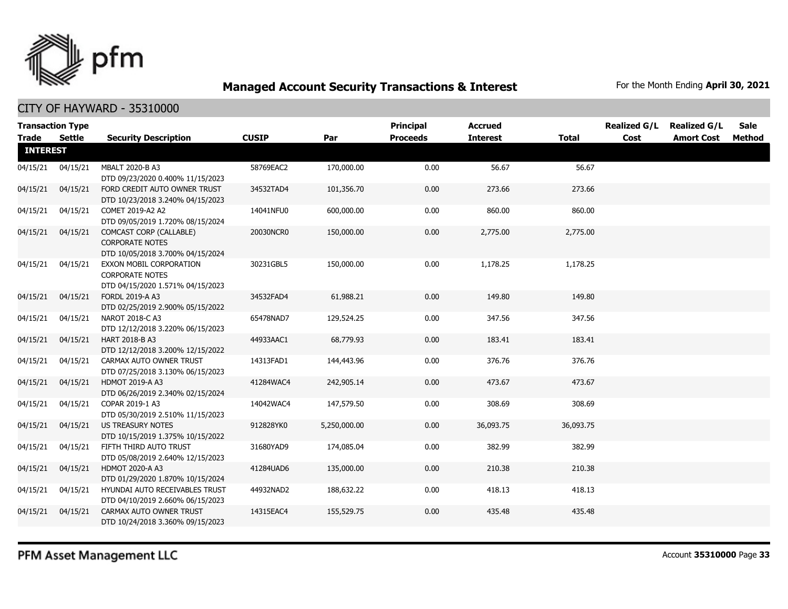

CITY OF HAYWARD - 35310000

| <b>Transaction Type</b>         |          |                                                                                       |              |              | Principal       | <b>Accrued</b>  |              | <b>Realized G/L</b> | <b>Realized G/L</b> | <b>Sale</b> |
|---------------------------------|----------|---------------------------------------------------------------------------------------|--------------|--------------|-----------------|-----------------|--------------|---------------------|---------------------|-------------|
| <b>Trade</b><br><b>INTEREST</b> | Settle   | <b>Security Description</b>                                                           | <b>CUSIP</b> | Par          | <b>Proceeds</b> | <b>Interest</b> | <b>Total</b> | Cost                | <b>Amort Cost</b>   | Method      |
| 04/15/21                        | 04/15/21 | MBALT 2020-B A3<br>DTD 09/23/2020 0.400% 11/15/2023                                   | 58769EAC2    | 170,000.00   | 0.00            | 56.67           | 56.67        |                     |                     |             |
| 04/15/21                        | 04/15/21 | FORD CREDIT AUTO OWNER TRUST<br>DTD 10/23/2018 3.240% 04/15/2023                      | 34532TAD4    | 101,356.70   | 0.00            | 273.66          | 273.66       |                     |                     |             |
| 04/15/21                        | 04/15/21 | COMET 2019-A2 A2<br>DTD 09/05/2019 1.720% 08/15/2024                                  | 14041NFU0    | 600,000.00   | 0.00            | 860.00          | 860.00       |                     |                     |             |
| 04/15/21                        | 04/15/21 | COMCAST CORP (CALLABLE)<br><b>CORPORATE NOTES</b><br>DTD 10/05/2018 3.700% 04/15/2024 | 20030NCR0    | 150,000.00   | 0.00            | 2,775.00        | 2,775.00     |                     |                     |             |
| 04/15/21                        | 04/15/21 | EXXON MOBIL CORPORATION<br><b>CORPORATE NOTES</b><br>DTD 04/15/2020 1.571% 04/15/2023 | 30231GBL5    | 150,000,00   | 0.00            | 1,178.25        | 1,178.25     |                     |                     |             |
| 04/15/21                        | 04/15/21 | FORDL 2019-A A3<br>DTD 02/25/2019 2.900% 05/15/2022                                   | 34532FAD4    | 61,988.21    | 0.00            | 149.80          | 149.80       |                     |                     |             |
| 04/15/21                        | 04/15/21 | NAROT 2018-C A3<br>DTD 12/12/2018 3.220% 06/15/2023                                   | 65478NAD7    | 129,524.25   | 0.00            | 347.56          | 347.56       |                     |                     |             |
| 04/15/21                        | 04/15/21 | HART 2018-B A3<br>DTD 12/12/2018 3.200% 12/15/2022                                    | 44933AAC1    | 68,779.93    | 0.00            | 183.41          | 183.41       |                     |                     |             |
| 04/15/21                        | 04/15/21 | CARMAX AUTO OWNER TRUST<br>DTD 07/25/2018 3.130% 06/15/2023                           | 14313FAD1    | 144,443.96   | 0.00            | 376.76          | 376.76       |                     |                     |             |
| 04/15/21                        | 04/15/21 | <b>HDMOT 2019-A A3</b><br>DTD 06/26/2019 2.340% 02/15/2024                            | 41284WAC4    | 242,905.14   | 0.00            | 473.67          | 473.67       |                     |                     |             |
| 04/15/21                        | 04/15/21 | COPAR 2019-1 A3<br>DTD 05/30/2019 2.510% 11/15/2023                                   | 14042WAC4    | 147,579.50   | 0.00            | 308.69          | 308.69       |                     |                     |             |
| 04/15/21                        | 04/15/21 | US TREASURY NOTES<br>DTD 10/15/2019 1.375% 10/15/2022                                 | 912828YK0    | 5,250,000.00 | 0.00            | 36,093.75       | 36,093.75    |                     |                     |             |
| 04/15/21                        | 04/15/21 | FIFTH THIRD AUTO TRUST<br>DTD 05/08/2019 2.640% 12/15/2023                            | 31680YAD9    | 174,085.04   | 0.00            | 382.99          | 382.99       |                     |                     |             |
| 04/15/21                        | 04/15/21 | <b>HDMOT 2020-A A3</b><br>DTD 01/29/2020 1.870% 10/15/2024                            | 41284UAD6    | 135,000.00   | 0.00            | 210.38          | 210.38       |                     |                     |             |
| 04/15/21                        | 04/15/21 | HYUNDAI AUTO RECEIVABLES TRUST<br>DTD 04/10/2019 2.660% 06/15/2023                    | 44932NAD2    | 188,632.22   | 0.00            | 418.13          | 418.13       |                     |                     |             |
| 04/15/21                        | 04/15/21 | CARMAX AUTO OWNER TRUST<br>DTD 10/24/2018 3.360% 09/15/2023                           | 14315EAC4    | 155,529.75   | 0.00            | 435.48          | 435.48       |                     |                     |             |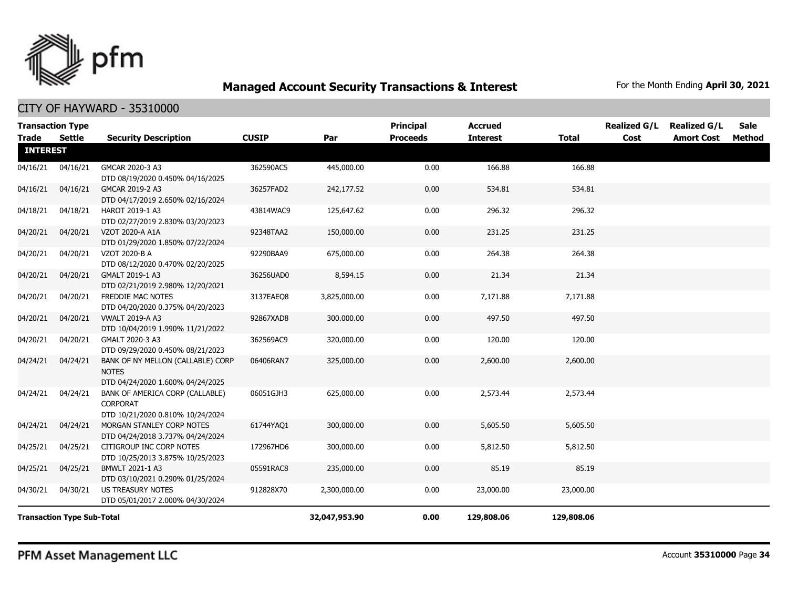

### CITY OF HAYWARD - 35310000

| <b>Transaction Type</b><br><b>Trade</b><br>Settle |          | <b>Security Description</b>                                                            | <b>CUSIP</b> | Par           | Principal<br><b>Proceeds</b> | <b>Accrued</b><br><b>Interest</b> | <b>Total</b> | <b>Realized G/L</b><br>Cost | <b>Realized G/L</b><br><b>Amort Cost</b> | <b>Sale</b><br>Method |
|---------------------------------------------------|----------|----------------------------------------------------------------------------------------|--------------|---------------|------------------------------|-----------------------------------|--------------|-----------------------------|------------------------------------------|-----------------------|
| <b>INTEREST</b>                                   |          |                                                                                        |              |               |                              |                                   |              |                             |                                          |                       |
| 04/16/21                                          | 04/16/21 | GMCAR 2020-3 A3<br>DTD 08/19/2020 0.450% 04/16/2025                                    | 362590AC5    | 445,000.00    | 0.00                         | 166.88                            | 166.88       |                             |                                          |                       |
| 04/16/21                                          | 04/16/21 | GMCAR 2019-2 A3<br>DTD 04/17/2019 2.650% 02/16/2024                                    | 36257FAD2    | 242,177.52    | 0.00                         | 534.81                            | 534.81       |                             |                                          |                       |
| 04/18/21                                          | 04/18/21 | HAROT 2019-1 A3<br>DTD 02/27/2019 2.830% 03/20/2023                                    | 43814WAC9    | 125,647.62    | 0.00                         | 296.32                            | 296.32       |                             |                                          |                       |
| 04/20/21                                          | 04/20/21 | VZOT 2020-A A1A<br>DTD 01/29/2020 1.850% 07/22/2024                                    | 92348TAA2    | 150,000.00    | 0.00                         | 231.25                            | 231.25       |                             |                                          |                       |
| 04/20/21                                          | 04/20/21 | VZOT 2020-B A<br>DTD 08/12/2020 0.470% 02/20/2025                                      | 92290BAA9    | 675,000.00    | 0.00                         | 264.38                            | 264.38       |                             |                                          |                       |
| 04/20/21                                          | 04/20/21 | GMALT 2019-1 A3<br>DTD 02/21/2019 2.980% 12/20/2021                                    | 36256UAD0    | 8,594.15      | 0.00                         | 21.34                             | 21.34        |                             |                                          |                       |
| 04/20/21                                          | 04/20/21 | FREDDIE MAC NOTES<br>DTD 04/20/2020 0.375% 04/20/2023                                  | 3137EAEO8    | 3,825,000.00  | 0.00                         | 7,171.88                          | 7,171.88     |                             |                                          |                       |
| 04/20/21                                          | 04/20/21 | <b>VWALT 2019-A A3</b><br>DTD 10/04/2019 1.990% 11/21/2022                             | 92867XAD8    | 300,000.00    | 0.00                         | 497.50                            | 497.50       |                             |                                          |                       |
| 04/20/21                                          | 04/20/21 | GMALT 2020-3 A3<br>DTD 09/29/2020 0.450% 08/21/2023                                    | 362569AC9    | 320,000.00    | 0.00                         | 120.00                            | 120.00       |                             |                                          |                       |
| 04/24/21                                          | 04/24/21 | BANK OF NY MELLON (CALLABLE) CORP<br><b>NOTES</b><br>DTD 04/24/2020 1.600% 04/24/2025  | 06406RAN7    | 325,000.00    | 0.00                         | 2,600.00                          | 2,600.00     |                             |                                          |                       |
| 04/24/21                                          | 04/24/21 | BANK OF AMERICA CORP (CALLABLE)<br><b>CORPORAT</b><br>DTD 10/21/2020 0.810% 10/24/2024 | 06051GJH3    | 625,000.00    | 0.00                         | 2,573.44                          | 2,573.44     |                             |                                          |                       |
| 04/24/21                                          | 04/24/21 | MORGAN STANLEY CORP NOTES<br>DTD 04/24/2018 3.737% 04/24/2024                          | 61744YAQ1    | 300,000.00    | 0.00                         | 5,605.50                          | 5,605.50     |                             |                                          |                       |
| 04/25/21                                          | 04/25/21 | CITIGROUP INC CORP NOTES<br>DTD 10/25/2013 3.875% 10/25/2023                           | 172967HD6    | 300,000.00    | 0.00                         | 5,812.50                          | 5,812.50     |                             |                                          |                       |
| 04/25/21                                          | 04/25/21 | BMWLT 2021-1 A3<br>DTD 03/10/2021 0.290% 01/25/2024                                    | 05591RAC8    | 235,000.00    | 0.00                         | 85.19                             | 85.19        |                             |                                          |                       |
| 04/30/21                                          | 04/30/21 | US TREASURY NOTES<br>DTD 05/01/2017 2.000% 04/30/2024                                  | 912828X70    | 2,300,000.00  | 0.00                         | 23,000.00                         | 23,000.00    |                             |                                          |                       |
| <b>Transaction Type Sub-Total</b>                 |          |                                                                                        |              | 32,047,953.90 | 0.00                         | 129,808.06                        | 129,808.06   |                             |                                          |                       |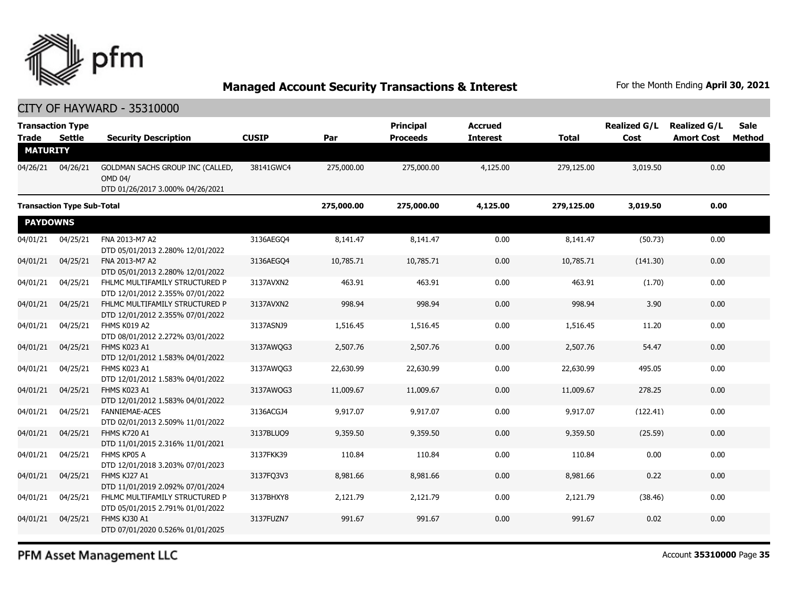

CITY OF HAYWARD - 35310000

| <b>Trade</b>                      | <b>Transaction Type</b><br><b>Settle</b> | <b>Security Description</b>                                                            | <b>CUSIP</b> | Par        | Principal<br><b>Proceeds</b> | <b>Accrued</b><br><b>Interest</b> | <b>Total</b> | <b>Realized G/L</b><br>Cost | <b>Realized G/L</b><br><b>Amort Cost</b> | <b>Sale</b><br><b>Method</b> |
|-----------------------------------|------------------------------------------|----------------------------------------------------------------------------------------|--------------|------------|------------------------------|-----------------------------------|--------------|-----------------------------|------------------------------------------|------------------------------|
| <b>MATURITY</b>                   |                                          |                                                                                        |              |            |                              |                                   |              |                             |                                          |                              |
| 04/26/21                          | 04/26/21                                 | GOLDMAN SACHS GROUP INC (CALLED,<br><b>OMD 04/</b><br>DTD 01/26/2017 3.000% 04/26/2021 | 38141GWC4    | 275,000.00 | 275,000.00                   | 4,125.00                          | 279,125.00   | 3,019.50                    | 0.00                                     |                              |
| <b>Transaction Type Sub-Total</b> |                                          |                                                                                        | 275,000.00   | 275,000.00 | 4,125.00                     | 279,125.00                        | 3,019.50     | 0.00                        |                                          |                              |
| <b>PAYDOWNS</b>                   |                                          |                                                                                        |              |            |                              |                                   |              |                             |                                          |                              |
| 04/01/21                          | 04/25/21                                 | FNA 2013-M7 A2<br>DTD 05/01/2013 2.280% 12/01/2022                                     | 3136AEGQ4    | 8,141.47   | 8,141.47                     | 0.00                              | 8,141.47     | (50.73)                     | 0.00                                     |                              |
| 04/01/21                          | 04/25/21                                 | FNA 2013-M7 A2<br>DTD 05/01/2013 2.280% 12/01/2022                                     | 3136AEGO4    | 10,785.71  | 10,785.71                    | 0.00                              | 10,785.71    | (141.30)                    | 0.00                                     |                              |
| 04/01/21                          | 04/25/21                                 | FHLMC MULTIFAMILY STRUCTURED P<br>DTD 12/01/2012 2.355% 07/01/2022                     | 3137AVXN2    | 463.91     | 463.91                       | 0.00                              | 463.91       | (1.70)                      | 0.00                                     |                              |
| 04/01/21                          | 04/25/21                                 | FHLMC MULTIFAMILY STRUCTURED P<br>DTD 12/01/2012 2.355% 07/01/2022                     | 3137AVXN2    | 998.94     | 998.94                       | 0.00                              | 998.94       | 3.90                        | 0.00                                     |                              |
| 04/01/21                          | 04/25/21                                 | FHMS K019 A2<br>DTD 08/01/2012 2.272% 03/01/2022                                       | 3137ASNJ9    | 1,516.45   | 1,516.45                     | 0.00                              | 1,516.45     | 11.20                       | 0.00                                     |                              |
| 04/01/21                          | 04/25/21                                 | FHMS K023 A1<br>DTD 12/01/2012 1.583% 04/01/2022                                       | 3137AWQG3    | 2,507.76   | 2,507.76                     | 0.00                              | 2,507.76     | 54.47                       | 0.00                                     |                              |
| 04/01/21                          | 04/25/21                                 | FHMS K023 A1<br>DTD 12/01/2012 1.583% 04/01/2022                                       | 3137AWQG3    | 22,630.99  | 22,630.99                    | 0.00                              | 22,630.99    | 495.05                      | 0.00                                     |                              |
| 04/01/21                          | 04/25/21                                 | FHMS K023 A1<br>DTD 12/01/2012 1.583% 04/01/2022                                       | 3137AWQG3    | 11,009.67  | 11,009.67                    | 0.00                              | 11,009.67    | 278.25                      | 0.00                                     |                              |
| 04/01/21                          | 04/25/21                                 | <b>FANNIEMAE-ACES</b><br>DTD 02/01/2013 2.509% 11/01/2022                              | 3136ACGJ4    | 9,917.07   | 9,917.07                     | 0.00                              | 9,917.07     | (122.41)                    | 0.00                                     |                              |
| 04/01/21                          | 04/25/21                                 | <b>FHMS K720 A1</b><br>DTD 11/01/2015 2.316% 11/01/2021                                | 3137BLUQ9    | 9,359.50   | 9,359.50                     | 0.00                              | 9,359.50     | (25.59)                     | 0.00                                     |                              |
| 04/01/21                          | 04/25/21                                 | FHMS KP05 A<br>DTD 12/01/2018 3.203% 07/01/2023                                        | 3137FKK39    | 110.84     | 110.84                       | 0.00                              | 110.84       | 0.00                        | 0.00                                     |                              |
| 04/01/21                          | 04/25/21                                 | FHMS KJ27 A1<br>DTD 11/01/2019 2.092% 07/01/2024                                       | 3137FQ3V3    | 8,981.66   | 8,981.66                     | 0.00                              | 8,981.66     | 0.22                        | 0.00                                     |                              |
| 04/01/21                          | 04/25/21                                 | FHLMC MULTIFAMILY STRUCTURED P<br>DTD 05/01/2015 2.791% 01/01/2022                     | 3137BHXY8    | 2,121.79   | 2,121.79                     | 0.00                              | 2,121.79     | (38.46)                     | 0.00                                     |                              |
| 04/01/21                          | 04/25/21                                 | FHMS KJ30 A1<br>DTD 07/01/2020 0.526% 01/01/2025                                       | 3137FUZN7    | 991.67     | 991.67                       | 0.00                              | 991.67       | 0.02                        | 0.00                                     |                              |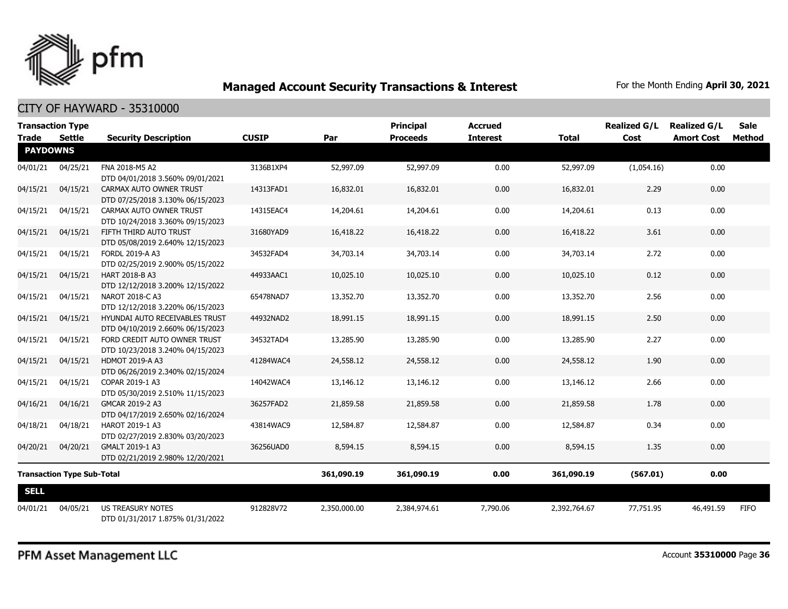

### CITY OF HAYWARD - 35310000

| <b>Transaction Type</b><br><b>Trade</b><br>Settle |          |                                                                    | <b>CUSIP</b> |              | <b>Principal</b><br><b>Proceeds</b> | <b>Accrued</b>  |              | <b>Realized G/L</b><br>Cost | <b>Realized G/L</b> | <b>Sale</b><br>Method |
|---------------------------------------------------|----------|--------------------------------------------------------------------|--------------|--------------|-------------------------------------|-----------------|--------------|-----------------------------|---------------------|-----------------------|
| <b>PAYDOWNS</b>                                   |          | <b>Security Description</b>                                        |              | Par          |                                     | <b>Interest</b> | <b>Total</b> |                             | <b>Amort Cost</b>   |                       |
| 04/01/21                                          | 04/25/21 | FNA 2018-M5 A2<br>DTD 04/01/2018 3.560% 09/01/2021                 | 3136B1XP4    | 52,997.09    | 52,997.09                           | 0.00            | 52,997.09    | (1,054.16)                  | 0.00                |                       |
| 04/15/21                                          | 04/15/21 | CARMAX AUTO OWNER TRUST<br>DTD 07/25/2018 3.130% 06/15/2023        | 14313FAD1    | 16,832.01    | 16,832.01                           | 0.00            | 16,832.01    | 2.29                        | 0.00                |                       |
| 04/15/21                                          | 04/15/21 | CARMAX AUTO OWNER TRUST<br>DTD 10/24/2018 3.360% 09/15/2023        | 14315EAC4    | 14,204.61    | 14,204.61                           | 0.00            | 14,204.61    | 0.13                        | 0.00                |                       |
| 04/15/21                                          | 04/15/21 | FIFTH THIRD AUTO TRUST<br>DTD 05/08/2019 2.640% 12/15/2023         | 31680YAD9    | 16,418.22    | 16,418.22                           | 0.00            | 16,418.22    | 3.61                        | 0.00                |                       |
| 04/15/21                                          | 04/15/21 | FORDL 2019-A A3<br>DTD 02/25/2019 2.900% 05/15/2022                | 34532FAD4    | 34,703.14    | 34,703.14                           | 0.00            | 34,703.14    | 2.72                        | 0.00                |                       |
| 04/15/21                                          | 04/15/21 | HART 2018-B A3<br>DTD 12/12/2018 3.200% 12/15/2022                 | 44933AAC1    | 10,025.10    | 10,025.10                           | 0.00            | 10,025.10    | 0.12                        | 0.00                |                       |
| 04/15/21                                          | 04/15/21 | NAROT 2018-C A3<br>DTD 12/12/2018 3.220% 06/15/2023                | 65478NAD7    | 13,352.70    | 13,352.70                           | 0.00            | 13,352.70    | 2.56                        | 0.00                |                       |
| 04/15/21                                          | 04/15/21 | HYUNDAI AUTO RECEIVABLES TRUST<br>DTD 04/10/2019 2.660% 06/15/2023 | 44932NAD2    | 18,991.15    | 18,991.15                           | 0.00            | 18,991.15    | 2.50                        | 0.00                |                       |
| 04/15/21                                          | 04/15/21 | FORD CREDIT AUTO OWNER TRUST<br>DTD 10/23/2018 3.240% 04/15/2023   | 34532TAD4    | 13,285.90    | 13,285.90                           | 0.00            | 13,285.90    | 2.27                        | 0.00                |                       |
| 04/15/21                                          | 04/15/21 | <b>HDMOT 2019-A A3</b><br>DTD 06/26/2019 2.340% 02/15/2024         | 41284WAC4    | 24,558.12    | 24,558.12                           | 0.00            | 24,558.12    | 1.90                        | 0.00                |                       |
| 04/15/21                                          | 04/15/21 | COPAR 2019-1 A3<br>DTD 05/30/2019 2.510% 11/15/2023                | 14042WAC4    | 13,146.12    | 13,146.12                           | 0.00            | 13,146.12    | 2.66                        | 0.00                |                       |
| 04/16/21                                          | 04/16/21 | GMCAR 2019-2 A3<br>DTD 04/17/2019 2.650% 02/16/2024                | 36257FAD2    | 21,859.58    | 21,859.58                           | 0.00            | 21,859.58    | 1.78                        | 0.00                |                       |
| 04/18/21                                          | 04/18/21 | HAROT 2019-1 A3<br>DTD 02/27/2019 2.830% 03/20/2023                | 43814WAC9    | 12,584.87    | 12,584.87                           | 0.00            | 12,584.87    | 0.34                        | 0.00                |                       |
| 04/20/21                                          | 04/20/21 | GMALT 2019-1 A3<br>DTD 02/21/2019 2.980% 12/20/2021                | 36256UAD0    | 8,594.15     | 8,594.15                            | 0.00            | 8,594.15     | 1.35                        | 0.00                |                       |
| <b>Transaction Type Sub-Total</b>                 |          |                                                                    | 361,090.19   | 361,090.19   | 0.00                                | 361,090.19      | (567.01)     | 0.00                        |                     |                       |
| <b>SELL</b>                                       |          |                                                                    |              |              |                                     |                 |              |                             |                     |                       |
| 04/01/21                                          | 04/05/21 | US TREASURY NOTES<br>DTD 01/31/2017 1.875% 01/31/2022              | 912828V72    | 2,350,000.00 | 2,384,974.61                        | 7,790.06        | 2,392,764.67 | 77,751.95                   | 46,491.59           | <b>FIFO</b>           |